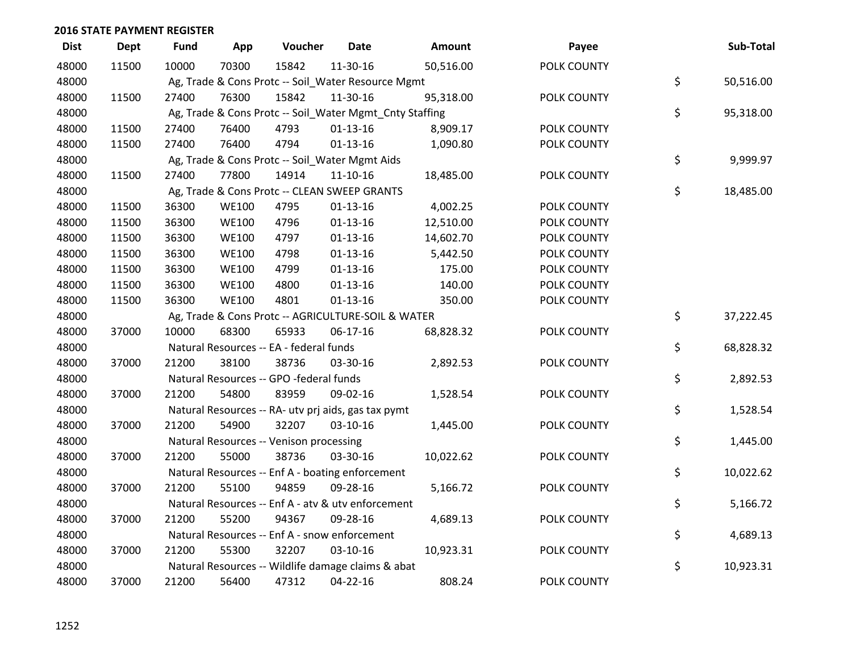| <b>Dist</b> | <b>Dept</b> | <b>Fund</b> | App          | Voucher                                                 | <b>Date</b>    | <b>Amount</b> | Payee       | Sub-Total       |
|-------------|-------------|-------------|--------------|---------------------------------------------------------|----------------|---------------|-------------|-----------------|
| 48000       | 11500       | 10000       | 70300        | 15842                                                   | 11-30-16       | 50,516.00     | POLK COUNTY |                 |
| 48000       |             |             |              | Ag, Trade & Cons Protc -- Soil_Water Resource Mgmt      |                |               |             | \$<br>50,516.00 |
| 48000       | 11500       | 27400       | 76300        | 15842                                                   | 11-30-16       | 95,318.00     | POLK COUNTY |                 |
| 48000       |             |             |              | Ag, Trade & Cons Protc -- Soil_Water Mgmt_Cnty Staffing |                |               |             | \$<br>95,318.00 |
| 48000       | 11500       | 27400       | 76400        | 4793                                                    | $01-13-16$     | 8,909.17      | POLK COUNTY |                 |
| 48000       | 11500       | 27400       | 76400        | 4794                                                    | $01 - 13 - 16$ | 1,090.80      | POLK COUNTY |                 |
| 48000       |             |             |              | Ag, Trade & Cons Protc -- Soil_Water Mgmt Aids          |                |               |             | \$<br>9,999.97  |
| 48000       | 11500       | 27400       | 77800        | 14914                                                   | $11 - 10 - 16$ | 18,485.00     | POLK COUNTY |                 |
| 48000       |             |             |              | Ag, Trade & Cons Protc -- CLEAN SWEEP GRANTS            |                |               |             | \$<br>18,485.00 |
| 48000       | 11500       | 36300       | <b>WE100</b> | 4795                                                    | $01 - 13 - 16$ | 4,002.25      | POLK COUNTY |                 |
| 48000       | 11500       | 36300       | <b>WE100</b> | 4796                                                    | $01 - 13 - 16$ | 12,510.00     | POLK COUNTY |                 |
| 48000       | 11500       | 36300       | <b>WE100</b> | 4797                                                    | $01 - 13 - 16$ | 14,602.70     | POLK COUNTY |                 |
| 48000       | 11500       | 36300       | <b>WE100</b> | 4798                                                    | $01-13-16$     | 5,442.50      | POLK COUNTY |                 |
| 48000       | 11500       | 36300       | <b>WE100</b> | 4799                                                    | $01 - 13 - 16$ | 175.00        | POLK COUNTY |                 |
| 48000       | 11500       | 36300       | <b>WE100</b> | 4800                                                    | $01 - 13 - 16$ | 140.00        | POLK COUNTY |                 |
| 48000       | 11500       | 36300       | <b>WE100</b> | 4801                                                    | $01 - 13 - 16$ | 350.00        | POLK COUNTY |                 |
| 48000       |             |             |              | Ag, Trade & Cons Protc -- AGRICULTURE-SOIL & WATER      |                |               |             | \$<br>37,222.45 |
| 48000       | 37000       | 10000       | 68300        | 65933                                                   | $06-17-16$     | 68,828.32     | POLK COUNTY |                 |
| 48000       |             |             |              | Natural Resources -- EA - federal funds                 |                |               |             | \$<br>68,828.32 |
| 48000       | 37000       | 21200       | 38100        | 38736                                                   | 03-30-16       | 2,892.53      | POLK COUNTY |                 |
| 48000       |             |             |              | Natural Resources -- GPO -federal funds                 |                |               |             | \$<br>2,892.53  |
| 48000       | 37000       | 21200       | 54800        | 83959                                                   | 09-02-16       | 1,528.54      | POLK COUNTY |                 |
| 48000       |             |             |              | Natural Resources -- RA- utv prj aids, gas tax pymt     |                |               |             | \$<br>1,528.54  |
| 48000       | 37000       | 21200       | 54900        | 32207                                                   | 03-10-16       | 1,445.00      | POLK COUNTY |                 |
| 48000       |             |             |              | Natural Resources -- Venison processing                 |                |               |             | \$<br>1,445.00  |
| 48000       | 37000       | 21200       | 55000        | 38736                                                   | 03-30-16       | 10,022.62     | POLK COUNTY |                 |
| 48000       |             |             |              | Natural Resources -- Enf A - boating enforcement        |                |               |             | \$<br>10,022.62 |
| 48000       | 37000       | 21200       | 55100        | 94859                                                   | 09-28-16       | 5,166.72      | POLK COUNTY |                 |
| 48000       |             |             |              | Natural Resources -- Enf A - atv & utv enforcement      |                |               |             | \$<br>5,166.72  |
| 48000       | 37000       | 21200       | 55200        | 94367                                                   | 09-28-16       | 4,689.13      | POLK COUNTY |                 |
| 48000       |             |             |              | Natural Resources -- Enf A - snow enforcement           |                |               |             | \$<br>4,689.13  |
| 48000       | 37000       | 21200       | 55300        | 32207                                                   | 03-10-16       | 10,923.31     | POLK COUNTY |                 |
| 48000       |             |             |              | Natural Resources -- Wildlife damage claims & abat      |                |               |             | \$<br>10,923.31 |
| 48000       | 37000       | 21200       | 56400        | 47312                                                   | 04-22-16       | 808.24        | POLK COUNTY |                 |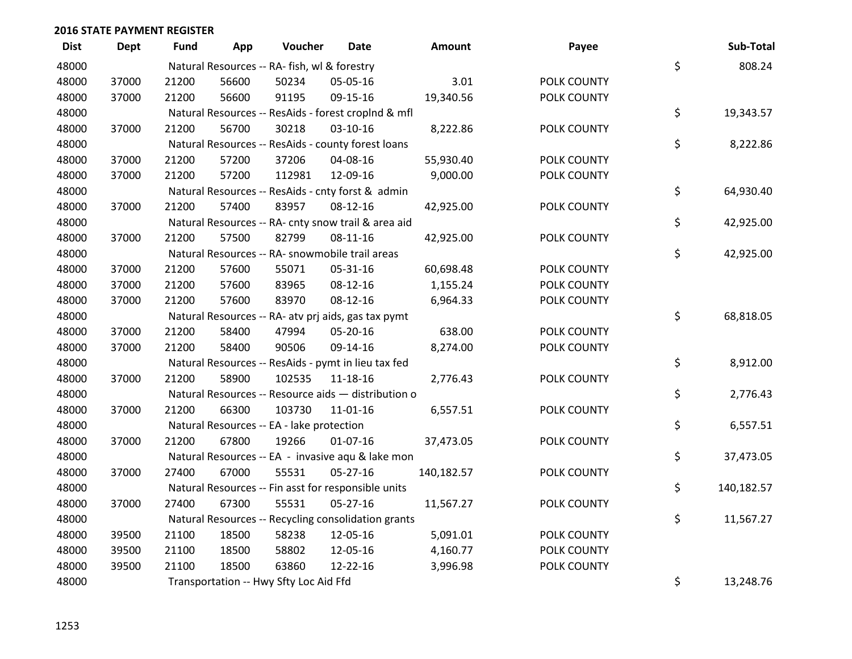| <b>Dist</b> | <b>Dept</b> | <b>Fund</b> | App   | Voucher                                             | Date           | Amount     | Payee       | Sub-Total        |
|-------------|-------------|-------------|-------|-----------------------------------------------------|----------------|------------|-------------|------------------|
| 48000       |             |             |       | Natural Resources -- RA- fish, wl & forestry        |                |            |             | \$<br>808.24     |
| 48000       | 37000       | 21200       | 56600 | 50234                                               | 05-05-16       | 3.01       | POLK COUNTY |                  |
| 48000       | 37000       | 21200       | 56600 | 91195                                               | 09-15-16       | 19,340.56  | POLK COUNTY |                  |
| 48000       |             |             |       | Natural Resources -- ResAids - forest croplnd & mfl |                |            |             | \$<br>19,343.57  |
| 48000       | 37000       | 21200       | 56700 | 30218                                               | $03 - 10 - 16$ | 8,222.86   | POLK COUNTY |                  |
| 48000       |             |             |       | Natural Resources -- ResAids - county forest loans  |                |            |             | \$<br>8,222.86   |
| 48000       | 37000       | 21200       | 57200 | 37206                                               | 04-08-16       | 55,930.40  | POLK COUNTY |                  |
| 48000       | 37000       | 21200       | 57200 | 112981                                              | 12-09-16       | 9,000.00   | POLK COUNTY |                  |
| 48000       |             |             |       | Natural Resources -- ResAids - cnty forst & admin   |                |            |             | \$<br>64,930.40  |
| 48000       | 37000       | 21200       | 57400 | 83957                                               | 08-12-16       | 42,925.00  | POLK COUNTY |                  |
| 48000       |             |             |       | Natural Resources -- RA- cnty snow trail & area aid |                |            |             | \$<br>42,925.00  |
| 48000       | 37000       | 21200       | 57500 | 82799                                               | 08-11-16       | 42,925.00  | POLK COUNTY |                  |
| 48000       |             |             |       | Natural Resources -- RA- snowmobile trail areas     |                |            |             | \$<br>42,925.00  |
| 48000       | 37000       | 21200       | 57600 | 55071                                               | 05-31-16       | 60,698.48  | POLK COUNTY |                  |
| 48000       | 37000       | 21200       | 57600 | 83965                                               | 08-12-16       | 1,155.24   | POLK COUNTY |                  |
| 48000       | 37000       | 21200       | 57600 | 83970                                               | 08-12-16       | 6,964.33   | POLK COUNTY |                  |
| 48000       |             |             |       | Natural Resources -- RA- atv prj aids, gas tax pymt |                |            |             | \$<br>68,818.05  |
| 48000       | 37000       | 21200       | 58400 | 47994                                               | 05-20-16       | 638.00     | POLK COUNTY |                  |
| 48000       | 37000       | 21200       | 58400 | 90506                                               | 09-14-16       | 8,274.00   | POLK COUNTY |                  |
| 48000       |             |             |       | Natural Resources -- ResAids - pymt in lieu tax fed |                |            |             | \$<br>8,912.00   |
| 48000       | 37000       | 21200       | 58900 | 102535                                              | 11-18-16       | 2,776.43   | POLK COUNTY |                  |
| 48000       |             |             |       | Natural Resources -- Resource aids - distribution o |                |            |             | \$<br>2,776.43   |
| 48000       | 37000       | 21200       | 66300 | 103730                                              | $11 - 01 - 16$ | 6,557.51   | POLK COUNTY |                  |
| 48000       |             |             |       | Natural Resources -- EA - lake protection           |                |            |             | \$<br>6,557.51   |
| 48000       | 37000       | 21200       | 67800 | 19266                                               | $01-07-16$     | 37,473.05  | POLK COUNTY |                  |
| 48000       |             |             |       | Natural Resources -- EA - invasive aqu & lake mon   |                |            |             | \$<br>37,473.05  |
| 48000       | 37000       | 27400       | 67000 | 55531                                               | $05 - 27 - 16$ | 140,182.57 | POLK COUNTY |                  |
| 48000       |             |             |       | Natural Resources -- Fin asst for responsible units |                |            |             | \$<br>140,182.57 |
| 48000       | 37000       | 27400       | 67300 | 55531                                               | $05 - 27 - 16$ | 11,567.27  | POLK COUNTY |                  |
| 48000       |             |             |       | Natural Resources -- Recycling consolidation grants |                |            |             | \$<br>11,567.27  |
| 48000       | 39500       | 21100       | 18500 | 58238                                               | 12-05-16       | 5,091.01   | POLK COUNTY |                  |
| 48000       | 39500       | 21100       | 18500 | 58802                                               | 12-05-16       | 4,160.77   | POLK COUNTY |                  |
| 48000       | 39500       | 21100       | 18500 | 63860                                               | 12-22-16       | 3,996.98   | POLK COUNTY |                  |
| 48000       |             |             |       | Transportation -- Hwy Sfty Loc Aid Ffd              |                |            |             | \$<br>13,248.76  |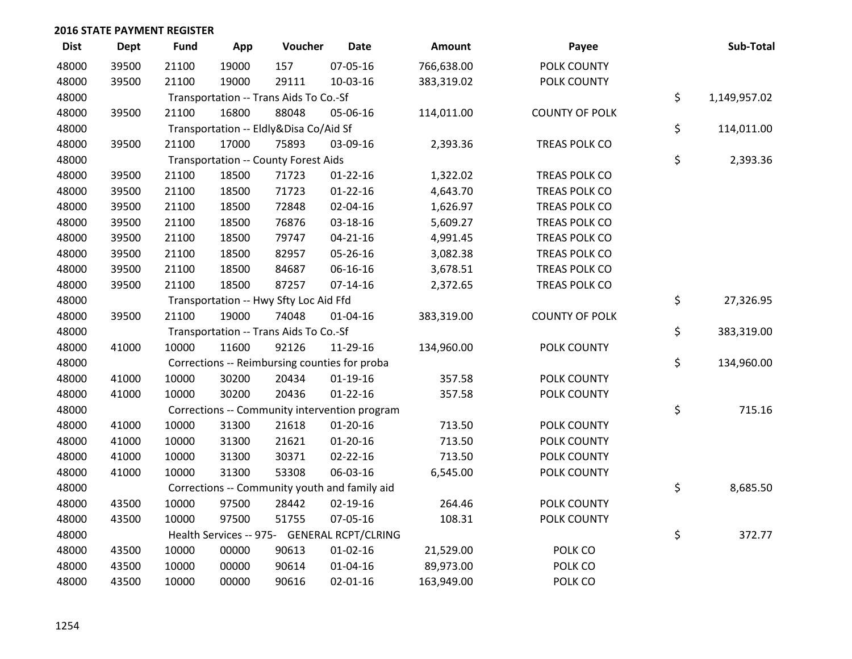| <b>Dist</b> | <b>Dept</b> | <b>Fund</b> | App   | Voucher                                | <b>Date</b>                                   | Amount     | Payee                 | Sub-Total          |
|-------------|-------------|-------------|-------|----------------------------------------|-----------------------------------------------|------------|-----------------------|--------------------|
| 48000       | 39500       | 21100       | 19000 | 157                                    | 07-05-16                                      | 766,638.00 | POLK COUNTY           |                    |
| 48000       | 39500       | 21100       | 19000 | 29111                                  | 10-03-16                                      | 383,319.02 | POLK COUNTY           |                    |
| 48000       |             |             |       | Transportation -- Trans Aids To Co.-Sf |                                               |            |                       | \$<br>1,149,957.02 |
| 48000       | 39500       | 21100       | 16800 | 88048                                  | 05-06-16                                      | 114,011.00 | <b>COUNTY OF POLK</b> |                    |
| 48000       |             |             |       | Transportation -- Eldly&Disa Co/Aid Sf |                                               |            |                       | \$<br>114,011.00   |
| 48000       | 39500       | 21100       | 17000 | 75893                                  | 03-09-16                                      | 2,393.36   | TREAS POLK CO         |                    |
| 48000       |             |             |       | Transportation -- County Forest Aids   |                                               |            |                       | \$<br>2,393.36     |
| 48000       | 39500       | 21100       | 18500 | 71723                                  | $01 - 22 - 16$                                | 1,322.02   | TREAS POLK CO         |                    |
| 48000       | 39500       | 21100       | 18500 | 71723                                  | $01 - 22 - 16$                                | 4,643.70   | TREAS POLK CO         |                    |
| 48000       | 39500       | 21100       | 18500 | 72848                                  | 02-04-16                                      | 1,626.97   | TREAS POLK CO         |                    |
| 48000       | 39500       | 21100       | 18500 | 76876                                  | 03-18-16                                      | 5,609.27   | TREAS POLK CO         |                    |
| 48000       | 39500       | 21100       | 18500 | 79747                                  | $04 - 21 - 16$                                | 4,991.45   | TREAS POLK CO         |                    |
| 48000       | 39500       | 21100       | 18500 | 82957                                  | 05-26-16                                      | 3,082.38   | TREAS POLK CO         |                    |
| 48000       | 39500       | 21100       | 18500 | 84687                                  | 06-16-16                                      | 3,678.51   | TREAS POLK CO         |                    |
| 48000       | 39500       | 21100       | 18500 | 87257                                  | $07-14-16$                                    | 2,372.65   | TREAS POLK CO         |                    |
| 48000       |             |             |       | Transportation -- Hwy Sfty Loc Aid Ffd |                                               |            |                       | \$<br>27,326.95    |
| 48000       | 39500       | 21100       | 19000 | 74048                                  | 01-04-16                                      | 383,319.00 | <b>COUNTY OF POLK</b> |                    |
| 48000       |             |             |       | Transportation -- Trans Aids To Co.-Sf |                                               |            |                       | \$<br>383,319.00   |
| 48000       | 41000       | 10000       | 11600 | 92126                                  | 11-29-16                                      | 134,960.00 | POLK COUNTY           |                    |
| 48000       |             |             |       |                                        | Corrections -- Reimbursing counties for proba |            |                       | \$<br>134,960.00   |
| 48000       | 41000       | 10000       | 30200 | 20434                                  | $01-19-16$                                    | 357.58     | POLK COUNTY           |                    |
| 48000       | 41000       | 10000       | 30200 | 20436                                  | $01 - 22 - 16$                                | 357.58     | POLK COUNTY           |                    |
| 48000       |             |             |       |                                        | Corrections -- Community intervention program |            |                       | \$<br>715.16       |
| 48000       | 41000       | 10000       | 31300 | 21618                                  | $01 - 20 - 16$                                | 713.50     | POLK COUNTY           |                    |
| 48000       | 41000       | 10000       | 31300 | 21621                                  | $01-20-16$                                    | 713.50     | POLK COUNTY           |                    |
| 48000       | 41000       | 10000       | 31300 | 30371                                  | $02 - 22 - 16$                                | 713.50     | POLK COUNTY           |                    |
| 48000       | 41000       | 10000       | 31300 | 53308                                  | 06-03-16                                      | 6,545.00   | POLK COUNTY           |                    |
| 48000       |             |             |       |                                        | Corrections -- Community youth and family aid |            |                       | \$<br>8,685.50     |
| 48000       | 43500       | 10000       | 97500 | 28442                                  | 02-19-16                                      | 264.46     | POLK COUNTY           |                    |
| 48000       | 43500       | 10000       | 97500 | 51755                                  | 07-05-16                                      | 108.31     | POLK COUNTY           |                    |
| 48000       |             |             |       |                                        | Health Services -- 975- GENERAL RCPT/CLRING   |            |                       | \$<br>372.77       |
| 48000       | 43500       | 10000       | 00000 | 90613                                  | $01 - 02 - 16$                                | 21,529.00  | POLK CO               |                    |
| 48000       | 43500       | 10000       | 00000 | 90614                                  | $01 - 04 - 16$                                | 89,973.00  | POLK CO               |                    |
| 48000       | 43500       | 10000       | 00000 | 90616                                  | $02 - 01 - 16$                                | 163,949.00 | POLK CO               |                    |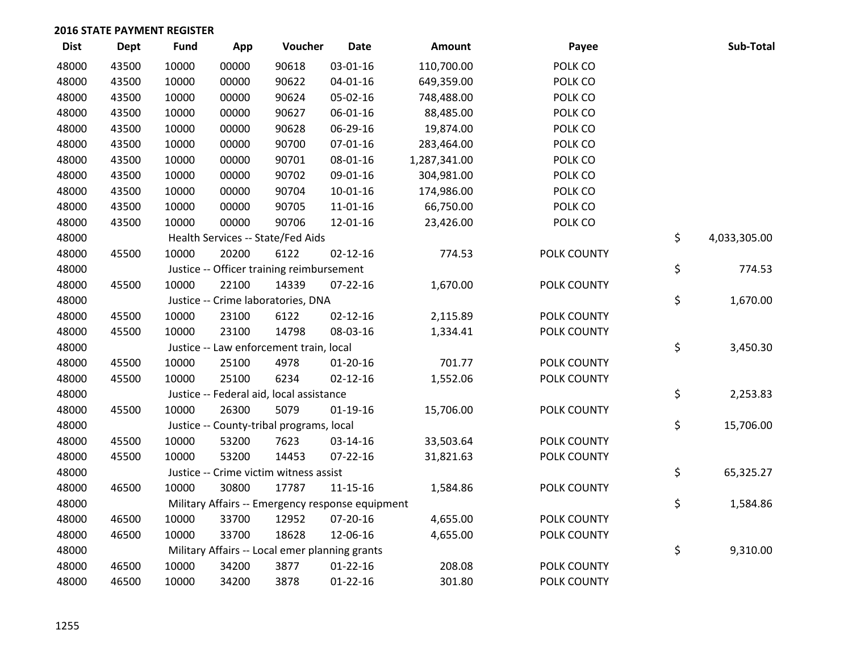| <b>Dist</b> | <b>Dept</b> | <b>Fund</b> | App   | Voucher                                          | <b>Date</b>    | <b>Amount</b> | Payee       | Sub-Total          |
|-------------|-------------|-------------|-------|--------------------------------------------------|----------------|---------------|-------------|--------------------|
| 48000       | 43500       | 10000       | 00000 | 90618                                            | 03-01-16       | 110,700.00    | POLK CO     |                    |
| 48000       | 43500       | 10000       | 00000 | 90622                                            | $04 - 01 - 16$ | 649,359.00    | POLK CO     |                    |
| 48000       | 43500       | 10000       | 00000 | 90624                                            | 05-02-16       | 748,488.00    | POLK CO     |                    |
| 48000       | 43500       | 10000       | 00000 | 90627                                            | 06-01-16       | 88,485.00     | POLK CO     |                    |
| 48000       | 43500       | 10000       | 00000 | 90628                                            | 06-29-16       | 19,874.00     | POLK CO     |                    |
| 48000       | 43500       | 10000       | 00000 | 90700                                            | $07 - 01 - 16$ | 283,464.00    | POLK CO     |                    |
| 48000       | 43500       | 10000       | 00000 | 90701                                            | 08-01-16       | 1,287,341.00  | POLK CO     |                    |
| 48000       | 43500       | 10000       | 00000 | 90702                                            | 09-01-16       | 304,981.00    | POLK CO     |                    |
| 48000       | 43500       | 10000       | 00000 | 90704                                            | $10-01-16$     | 174,986.00    | POLK CO     |                    |
| 48000       | 43500       | 10000       | 00000 | 90705                                            | 11-01-16       | 66,750.00     | POLK CO     |                    |
| 48000       | 43500       | 10000       | 00000 | 90706                                            | 12-01-16       | 23,426.00     | POLK CO     |                    |
| 48000       |             |             |       | Health Services -- State/Fed Aids                |                |               |             | \$<br>4,033,305.00 |
| 48000       | 45500       | 10000       | 20200 | 6122                                             | $02 - 12 - 16$ | 774.53        | POLK COUNTY |                    |
| 48000       |             |             |       | Justice -- Officer training reimbursement        |                |               |             | \$<br>774.53       |
| 48000       | 45500       | 10000       | 22100 | 14339                                            | $07 - 22 - 16$ | 1,670.00      | POLK COUNTY |                    |
| 48000       |             |             |       | Justice -- Crime laboratories, DNA               |                |               |             | \$<br>1,670.00     |
| 48000       | 45500       | 10000       | 23100 | 6122                                             | $02 - 12 - 16$ | 2,115.89      | POLK COUNTY |                    |
| 48000       | 45500       | 10000       | 23100 | 14798                                            | 08-03-16       | 1,334.41      | POLK COUNTY |                    |
| 48000       |             |             |       | Justice -- Law enforcement train, local          |                |               |             | \$<br>3,450.30     |
| 48000       | 45500       | 10000       | 25100 | 4978                                             | $01 - 20 - 16$ | 701.77        | POLK COUNTY |                    |
| 48000       | 45500       | 10000       | 25100 | 6234                                             | $02 - 12 - 16$ | 1,552.06      | POLK COUNTY |                    |
| 48000       |             |             |       | Justice -- Federal aid, local assistance         |                |               |             | \$<br>2,253.83     |
| 48000       | 45500       | 10000       | 26300 | 5079                                             | $01-19-16$     | 15,706.00     | POLK COUNTY |                    |
| 48000       |             |             |       | Justice -- County-tribal programs, local         |                |               |             | \$<br>15,706.00    |
| 48000       | 45500       | 10000       | 53200 | 7623                                             | 03-14-16       | 33,503.64     | POLK COUNTY |                    |
| 48000       | 45500       | 10000       | 53200 | 14453                                            | 07-22-16       | 31,821.63     | POLK COUNTY |                    |
| 48000       |             |             |       | Justice -- Crime victim witness assist           |                |               |             | \$<br>65,325.27    |
| 48000       | 46500       | 10000       | 30800 | 17787                                            | $11 - 15 - 16$ | 1,584.86      | POLK COUNTY |                    |
| 48000       |             |             |       | Military Affairs -- Emergency response equipment |                |               |             | \$<br>1,584.86     |
| 48000       | 46500       | 10000       | 33700 | 12952                                            | 07-20-16       | 4,655.00      | POLK COUNTY |                    |
| 48000       | 46500       | 10000       | 33700 | 18628                                            | 12-06-16       | 4,655.00      | POLK COUNTY |                    |
| 48000       |             |             |       | Military Affairs -- Local emer planning grants   |                |               |             | \$<br>9,310.00     |
| 48000       | 46500       | 10000       | 34200 | 3877                                             | $01 - 22 - 16$ | 208.08        | POLK COUNTY |                    |
| 48000       | 46500       | 10000       | 34200 | 3878                                             | $01 - 22 - 16$ | 301.80        | POLK COUNTY |                    |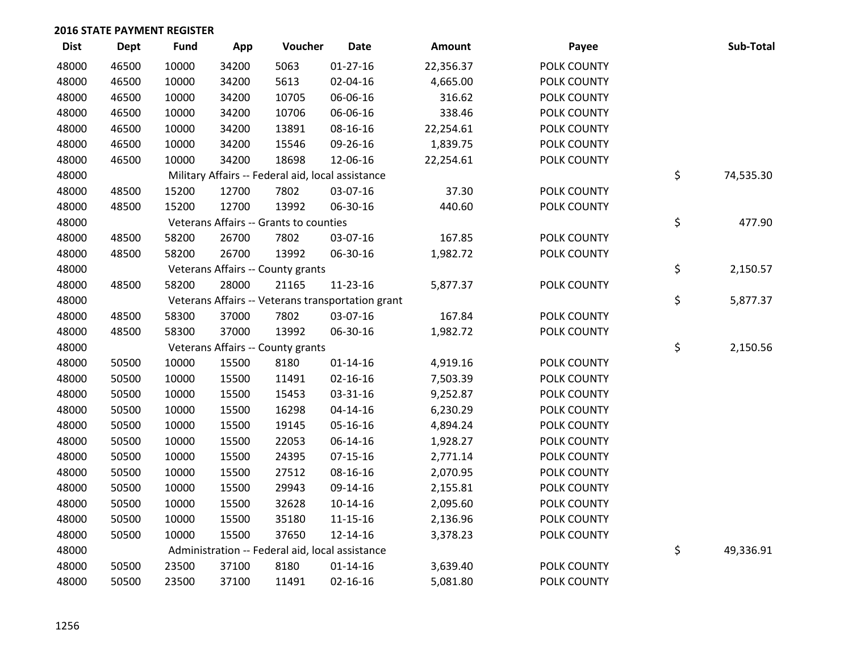| <b>Dist</b> | <b>Dept</b> | <b>Fund</b> | App   | Voucher                                           | <b>Date</b>    | Amount    | Payee       | Sub-Total       |
|-------------|-------------|-------------|-------|---------------------------------------------------|----------------|-----------|-------------|-----------------|
| 48000       | 46500       | 10000       | 34200 | 5063                                              | $01-27-16$     | 22,356.37 | POLK COUNTY |                 |
| 48000       | 46500       | 10000       | 34200 | 5613                                              | 02-04-16       | 4,665.00  | POLK COUNTY |                 |
| 48000       | 46500       | 10000       | 34200 | 10705                                             | 06-06-16       | 316.62    | POLK COUNTY |                 |
| 48000       | 46500       | 10000       | 34200 | 10706                                             | 06-06-16       | 338.46    | POLK COUNTY |                 |
| 48000       | 46500       | 10000       | 34200 | 13891                                             | 08-16-16       | 22,254.61 | POLK COUNTY |                 |
| 48000       | 46500       | 10000       | 34200 | 15546                                             | 09-26-16       | 1,839.75  | POLK COUNTY |                 |
| 48000       | 46500       | 10000       | 34200 | 18698                                             | 12-06-16       | 22,254.61 | POLK COUNTY |                 |
| 48000       |             |             |       | Military Affairs -- Federal aid, local assistance |                |           |             | \$<br>74,535.30 |
| 48000       | 48500       | 15200       | 12700 | 7802                                              | 03-07-16       | 37.30     | POLK COUNTY |                 |
| 48000       | 48500       | 15200       | 12700 | 13992                                             | 06-30-16       | 440.60    | POLK COUNTY |                 |
| 48000       |             |             |       | Veterans Affairs -- Grants to counties            |                |           |             | \$<br>477.90    |
| 48000       | 48500       | 58200       | 26700 | 7802                                              | 03-07-16       | 167.85    | POLK COUNTY |                 |
| 48000       | 48500       | 58200       | 26700 | 13992                                             | 06-30-16       | 1,982.72  | POLK COUNTY |                 |
| 48000       |             |             |       | Veterans Affairs -- County grants                 |                |           |             | \$<br>2,150.57  |
| 48000       | 48500       | 58200       | 28000 | 21165                                             | 11-23-16       | 5,877.37  | POLK COUNTY |                 |
| 48000       |             |             |       | Veterans Affairs -- Veterans transportation grant |                |           |             | \$<br>5,877.37  |
| 48000       | 48500       | 58300       | 37000 | 7802                                              | 03-07-16       | 167.84    | POLK COUNTY |                 |
| 48000       | 48500       | 58300       | 37000 | 13992                                             | 06-30-16       | 1,982.72  | POLK COUNTY |                 |
| 48000       |             |             |       | Veterans Affairs -- County grants                 |                |           |             | \$<br>2,150.56  |
| 48000       | 50500       | 10000       | 15500 | 8180                                              | $01 - 14 - 16$ | 4,919.16  | POLK COUNTY |                 |
| 48000       | 50500       | 10000       | 15500 | 11491                                             | $02 - 16 - 16$ | 7,503.39  | POLK COUNTY |                 |
| 48000       | 50500       | 10000       | 15500 | 15453                                             | 03-31-16       | 9,252.87  | POLK COUNTY |                 |
| 48000       | 50500       | 10000       | 15500 | 16298                                             | $04 - 14 - 16$ | 6,230.29  | POLK COUNTY |                 |
| 48000       | 50500       | 10000       | 15500 | 19145                                             | 05-16-16       | 4,894.24  | POLK COUNTY |                 |
| 48000       | 50500       | 10000       | 15500 | 22053                                             | 06-14-16       | 1,928.27  | POLK COUNTY |                 |
| 48000       | 50500       | 10000       | 15500 | 24395                                             | $07-15-16$     | 2,771.14  | POLK COUNTY |                 |
| 48000       | 50500       | 10000       | 15500 | 27512                                             | 08-16-16       | 2,070.95  | POLK COUNTY |                 |
| 48000       | 50500       | 10000       | 15500 | 29943                                             | 09-14-16       | 2,155.81  | POLK COUNTY |                 |
| 48000       | 50500       | 10000       | 15500 | 32628                                             | $10-14-16$     | 2,095.60  | POLK COUNTY |                 |
| 48000       | 50500       | 10000       | 15500 | 35180                                             | $11 - 15 - 16$ | 2,136.96  | POLK COUNTY |                 |
| 48000       | 50500       | 10000       | 15500 | 37650                                             | 12-14-16       | 3,378.23  | POLK COUNTY |                 |
| 48000       |             |             |       | Administration -- Federal aid, local assistance   |                |           |             | \$<br>49,336.91 |
| 48000       | 50500       | 23500       | 37100 | 8180                                              | $01 - 14 - 16$ | 3,639.40  | POLK COUNTY |                 |
| 48000       | 50500       | 23500       | 37100 | 11491                                             | $02 - 16 - 16$ | 5,081.80  | POLK COUNTY |                 |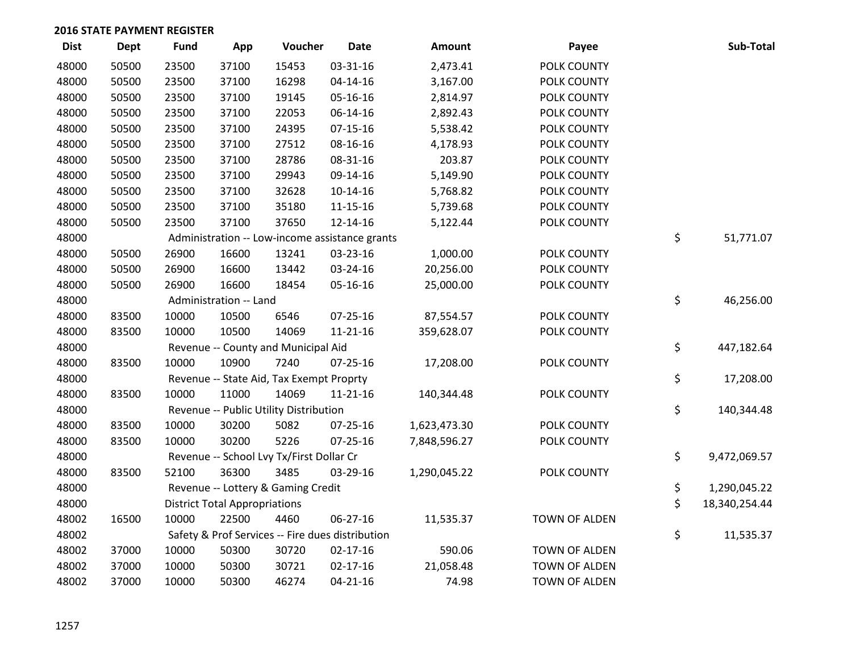| <b>Dist</b> | <b>Dept</b> | Fund  | App                                  | Voucher                                          | <b>Date</b>    | Amount       | Payee         | Sub-Total           |
|-------------|-------------|-------|--------------------------------------|--------------------------------------------------|----------------|--------------|---------------|---------------------|
| 48000       | 50500       | 23500 | 37100                                | 15453                                            | 03-31-16       | 2,473.41     | POLK COUNTY   |                     |
| 48000       | 50500       | 23500 | 37100                                | 16298                                            | $04 - 14 - 16$ | 3,167.00     | POLK COUNTY   |                     |
| 48000       | 50500       | 23500 | 37100                                | 19145                                            | 05-16-16       | 2,814.97     | POLK COUNTY   |                     |
| 48000       | 50500       | 23500 | 37100                                | 22053                                            | 06-14-16       | 2,892.43     | POLK COUNTY   |                     |
| 48000       | 50500       | 23500 | 37100                                | 24395                                            | $07 - 15 - 16$ | 5,538.42     | POLK COUNTY   |                     |
| 48000       | 50500       | 23500 | 37100                                | 27512                                            | 08-16-16       | 4,178.93     | POLK COUNTY   |                     |
| 48000       | 50500       | 23500 | 37100                                | 28786                                            | 08-31-16       | 203.87       | POLK COUNTY   |                     |
| 48000       | 50500       | 23500 | 37100                                | 29943                                            | 09-14-16       | 5,149.90     | POLK COUNTY   |                     |
| 48000       | 50500       | 23500 | 37100                                | 32628                                            | $10-14-16$     | 5,768.82     | POLK COUNTY   |                     |
| 48000       | 50500       | 23500 | 37100                                | 35180                                            | 11-15-16       | 5,739.68     | POLK COUNTY   |                     |
| 48000       | 50500       | 23500 | 37100                                | 37650                                            | 12-14-16       | 5,122.44     | POLK COUNTY   |                     |
| 48000       |             |       |                                      | Administration -- Low-income assistance grants   |                |              |               | \$<br>51,771.07     |
| 48000       | 50500       | 26900 | 16600                                | 13241                                            | 03-23-16       | 1,000.00     | POLK COUNTY   |                     |
| 48000       | 50500       | 26900 | 16600                                | 13442                                            | 03-24-16       | 20,256.00    | POLK COUNTY   |                     |
| 48000       | 50500       | 26900 | 16600                                | 18454                                            | 05-16-16       | 25,000.00    | POLK COUNTY   |                     |
| 48000       |             |       | Administration -- Land               |                                                  |                |              |               | \$<br>46,256.00     |
| 48000       | 83500       | 10000 | 10500                                | 6546                                             | 07-25-16       | 87,554.57    | POLK COUNTY   |                     |
| 48000       | 83500       | 10000 | 10500                                | 14069                                            | $11 - 21 - 16$ | 359,628.07   | POLK COUNTY   |                     |
| 48000       |             |       |                                      | Revenue -- County and Municipal Aid              |                |              |               | \$<br>447,182.64    |
| 48000       | 83500       | 10000 | 10900                                | 7240                                             | 07-25-16       | 17,208.00    | POLK COUNTY   |                     |
| 48000       |             |       |                                      | Revenue -- State Aid, Tax Exempt Proprty         |                |              |               | \$<br>17,208.00     |
| 48000       | 83500       | 10000 | 11000                                | 14069                                            | $11 - 21 - 16$ | 140,344.48   | POLK COUNTY   |                     |
| 48000       |             |       |                                      | Revenue -- Public Utility Distribution           |                |              |               | \$<br>140,344.48    |
| 48000       | 83500       | 10000 | 30200                                | 5082                                             | $07 - 25 - 16$ | 1,623,473.30 | POLK COUNTY   |                     |
| 48000       | 83500       | 10000 | 30200                                | 5226                                             | $07 - 25 - 16$ | 7,848,596.27 | POLK COUNTY   |                     |
| 48000       |             |       |                                      | Revenue -- School Lvy Tx/First Dollar Cr         |                |              |               | \$<br>9,472,069.57  |
| 48000       | 83500       | 52100 | 36300                                | 3485                                             | 03-29-16       | 1,290,045.22 | POLK COUNTY   |                     |
| 48000       |             |       |                                      | Revenue -- Lottery & Gaming Credit               |                |              |               | \$<br>1,290,045.22  |
| 48000       |             |       | <b>District Total Appropriations</b> |                                                  |                |              |               | \$<br>18,340,254.44 |
| 48002       | 16500       | 10000 | 22500                                | 4460                                             | 06-27-16       | 11,535.37    | TOWN OF ALDEN |                     |
| 48002       |             |       |                                      | Safety & Prof Services -- Fire dues distribution |                |              |               | \$<br>11,535.37     |
| 48002       | 37000       | 10000 | 50300                                | 30720                                            | $02 - 17 - 16$ | 590.06       | TOWN OF ALDEN |                     |
| 48002       | 37000       | 10000 | 50300                                | 30721                                            | $02 - 17 - 16$ | 21,058.48    | TOWN OF ALDEN |                     |
| 48002       | 37000       | 10000 | 50300                                | 46274                                            | $04 - 21 - 16$ | 74.98        | TOWN OF ALDEN |                     |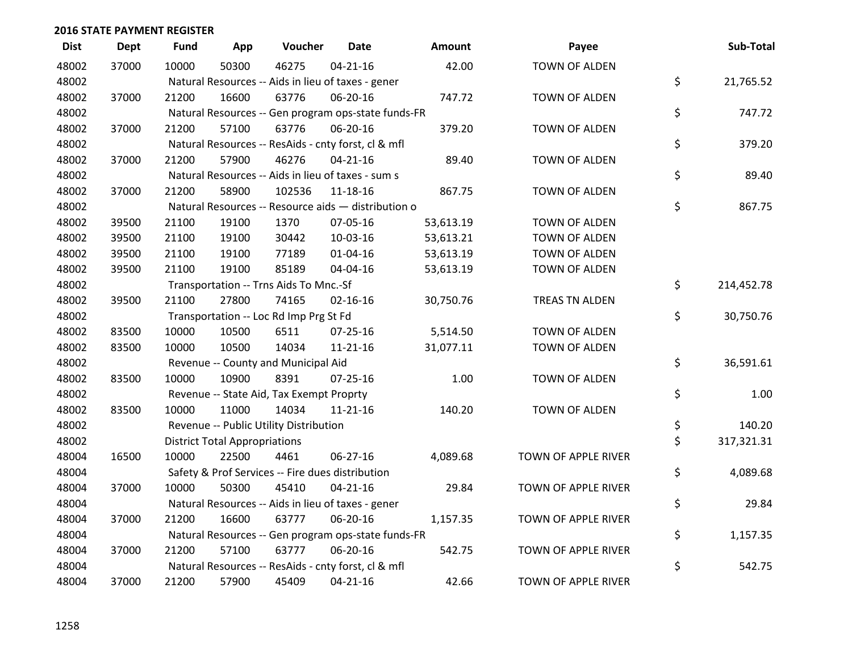| <b>Dist</b> | <b>Dept</b> | <b>Fund</b> | App                                  | Voucher                                             | <b>Date</b>    | Amount    | Payee                | Sub-Total        |
|-------------|-------------|-------------|--------------------------------------|-----------------------------------------------------|----------------|-----------|----------------------|------------------|
| 48002       | 37000       | 10000       | 50300                                | 46275                                               | $04 - 21 - 16$ | 42.00     | <b>TOWN OF ALDEN</b> |                  |
| 48002       |             |             |                                      | Natural Resources -- Aids in lieu of taxes - gener  |                |           |                      | \$<br>21,765.52  |
| 48002       | 37000       | 21200       | 16600                                | 63776                                               | 06-20-16       | 747.72    | <b>TOWN OF ALDEN</b> |                  |
| 48002       |             |             |                                      | Natural Resources -- Gen program ops-state funds-FR |                |           |                      | \$<br>747.72     |
| 48002       | 37000       | 21200       | 57100                                | 63776                                               | 06-20-16       | 379.20    | TOWN OF ALDEN        |                  |
| 48002       |             |             |                                      | Natural Resources -- ResAids - cnty forst, cl & mfl |                |           |                      | \$<br>379.20     |
| 48002       | 37000       | 21200       | 57900                                | 46276                                               | $04 - 21 - 16$ | 89.40     | <b>TOWN OF ALDEN</b> |                  |
| 48002       |             |             |                                      | Natural Resources -- Aids in lieu of taxes - sum s  |                |           |                      | \$<br>89.40      |
| 48002       | 37000       | 21200       | 58900                                | 102536                                              | 11-18-16       | 867.75    | TOWN OF ALDEN        |                  |
| 48002       |             |             |                                      | Natural Resources -- Resource aids - distribution o |                |           |                      | \$<br>867.75     |
| 48002       | 39500       | 21100       | 19100                                | 1370                                                | 07-05-16       | 53,613.19 | TOWN OF ALDEN        |                  |
| 48002       | 39500       | 21100       | 19100                                | 30442                                               | 10-03-16       | 53,613.21 | TOWN OF ALDEN        |                  |
| 48002       | 39500       | 21100       | 19100                                | 77189                                               | $01 - 04 - 16$ | 53,613.19 | TOWN OF ALDEN        |                  |
| 48002       | 39500       | 21100       | 19100                                | 85189                                               | 04-04-16       | 53,613.19 | TOWN OF ALDEN        |                  |
| 48002       |             |             |                                      | Transportation -- Trns Aids To Mnc.-Sf              |                |           |                      | \$<br>214,452.78 |
| 48002       | 39500       | 21100       | 27800                                | 74165                                               | $02 - 16 - 16$ | 30,750.76 | TREAS TN ALDEN       |                  |
| 48002       |             |             |                                      | Transportation -- Loc Rd Imp Prg St Fd              |                |           |                      | \$<br>30,750.76  |
| 48002       | 83500       | 10000       | 10500                                | 6511                                                | $07 - 25 - 16$ | 5,514.50  | TOWN OF ALDEN        |                  |
| 48002       | 83500       | 10000       | 10500                                | 14034                                               | 11-21-16       | 31,077.11 | TOWN OF ALDEN        |                  |
| 48002       |             |             |                                      | Revenue -- County and Municipal Aid                 |                |           |                      | \$<br>36,591.61  |
| 48002       | 83500       | 10000       | 10900                                | 8391                                                | $07 - 25 - 16$ | 1.00      | <b>TOWN OF ALDEN</b> |                  |
| 48002       |             |             |                                      | Revenue -- State Aid, Tax Exempt Proprty            |                |           |                      | \$<br>1.00       |
| 48002       | 83500       | 10000       | 11000                                | 14034                                               | 11-21-16       | 140.20    | TOWN OF ALDEN        |                  |
| 48002       |             |             |                                      | Revenue -- Public Utility Distribution              |                |           |                      | \$<br>140.20     |
| 48002       |             |             | <b>District Total Appropriations</b> |                                                     |                |           |                      | \$<br>317,321.31 |
| 48004       | 16500       | 10000       | 22500                                | 4461                                                | 06-27-16       | 4,089.68  | TOWN OF APPLE RIVER  |                  |
| 48004       |             |             |                                      | Safety & Prof Services -- Fire dues distribution    |                |           |                      | \$<br>4,089.68   |
| 48004       | 37000       | 10000       | 50300                                | 45410                                               | $04 - 21 - 16$ | 29.84     | TOWN OF APPLE RIVER  |                  |
| 48004       |             |             |                                      | Natural Resources -- Aids in lieu of taxes - gener  |                |           |                      | \$<br>29.84      |
| 48004       | 37000       | 21200       | 16600                                | 63777                                               | 06-20-16       | 1,157.35  | TOWN OF APPLE RIVER  |                  |
| 48004       |             |             |                                      | Natural Resources -- Gen program ops-state funds-FR |                |           |                      | \$<br>1,157.35   |
| 48004       | 37000       | 21200       | 57100                                | 63777                                               | 06-20-16       | 542.75    | TOWN OF APPLE RIVER  |                  |
| 48004       |             |             |                                      | Natural Resources -- ResAids - cnty forst, cl & mfl |                |           |                      | \$<br>542.75     |
| 48004       | 37000       | 21200       | 57900                                | 45409                                               | $04 - 21 - 16$ | 42.66     | TOWN OF APPLE RIVER  |                  |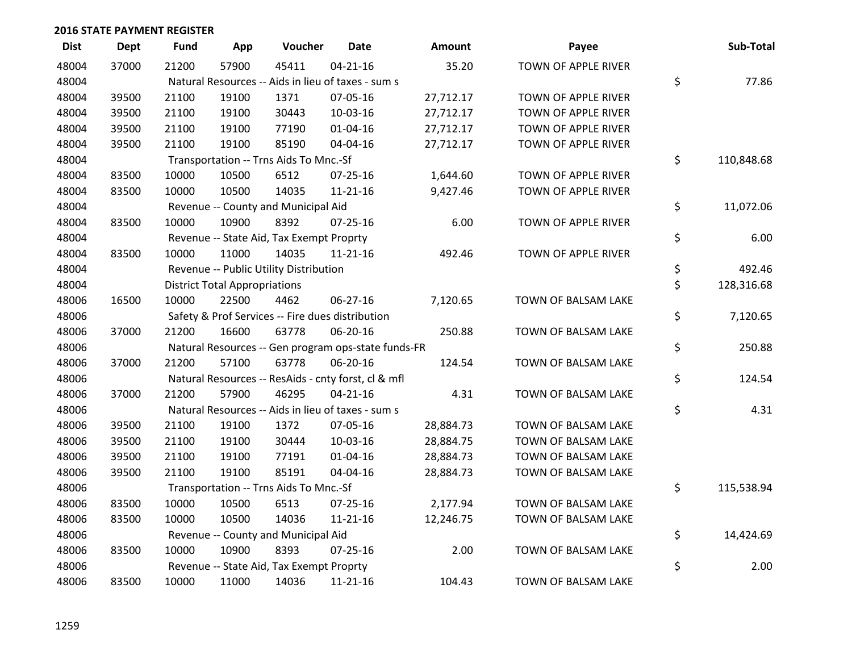| <b>Dist</b> | <b>Dept</b> | <b>Fund</b> | App                                  | Voucher                                             | <b>Date</b>    | Amount    | Payee               | Sub-Total        |
|-------------|-------------|-------------|--------------------------------------|-----------------------------------------------------|----------------|-----------|---------------------|------------------|
| 48004       | 37000       | 21200       | 57900                                | 45411                                               | $04 - 21 - 16$ | 35.20     | TOWN OF APPLE RIVER |                  |
| 48004       |             |             |                                      | Natural Resources -- Aids in lieu of taxes - sum s  |                |           |                     | \$<br>77.86      |
| 48004       | 39500       | 21100       | 19100                                | 1371                                                | 07-05-16       | 27,712.17 | TOWN OF APPLE RIVER |                  |
| 48004       | 39500       | 21100       | 19100                                | 30443                                               | 10-03-16       | 27,712.17 | TOWN OF APPLE RIVER |                  |
| 48004       | 39500       | 21100       | 19100                                | 77190                                               | $01 - 04 - 16$ | 27,712.17 | TOWN OF APPLE RIVER |                  |
| 48004       | 39500       | 21100       | 19100                                | 85190                                               | 04-04-16       | 27,712.17 | TOWN OF APPLE RIVER |                  |
| 48004       |             |             |                                      | Transportation -- Trns Aids To Mnc.-Sf              |                |           |                     | \$<br>110,848.68 |
| 48004       | 83500       | 10000       | 10500                                | 6512                                                | 07-25-16       | 1,644.60  | TOWN OF APPLE RIVER |                  |
| 48004       | 83500       | 10000       | 10500                                | 14035                                               | $11 - 21 - 16$ | 9,427.46  | TOWN OF APPLE RIVER |                  |
| 48004       |             |             |                                      | Revenue -- County and Municipal Aid                 |                |           |                     | \$<br>11,072.06  |
| 48004       | 83500       | 10000       | 10900                                | 8392                                                | 07-25-16       | 6.00      | TOWN OF APPLE RIVER |                  |
| 48004       |             |             |                                      | Revenue -- State Aid, Tax Exempt Proprty            |                |           |                     | \$<br>6.00       |
| 48004       | 83500       | 10000       | 11000                                | 14035                                               | $11 - 21 - 16$ | 492.46    | TOWN OF APPLE RIVER |                  |
| 48004       |             |             |                                      | Revenue -- Public Utility Distribution              |                |           |                     | \$<br>492.46     |
| 48004       |             |             | <b>District Total Appropriations</b> |                                                     |                |           |                     | \$<br>128,316.68 |
| 48006       | 16500       | 10000       | 22500                                | 4462                                                | $06 - 27 - 16$ | 7,120.65  | TOWN OF BALSAM LAKE |                  |
| 48006       |             |             |                                      | Safety & Prof Services -- Fire dues distribution    |                |           |                     | \$<br>7,120.65   |
| 48006       | 37000       | 21200       | 16600                                | 63778                                               | 06-20-16       | 250.88    | TOWN OF BALSAM LAKE |                  |
| 48006       |             |             |                                      | Natural Resources -- Gen program ops-state funds-FR |                |           |                     | \$<br>250.88     |
| 48006       | 37000       | 21200       | 57100                                | 63778                                               | 06-20-16       | 124.54    | TOWN OF BALSAM LAKE |                  |
| 48006       |             |             |                                      | Natural Resources -- ResAids - cnty forst, cl & mfl |                |           |                     | \$<br>124.54     |
| 48006       | 37000       | 21200       | 57900                                | 46295                                               | $04 - 21 - 16$ | 4.31      | TOWN OF BALSAM LAKE |                  |
| 48006       |             |             |                                      | Natural Resources -- Aids in lieu of taxes - sum s  |                |           |                     | \$<br>4.31       |
| 48006       | 39500       | 21100       | 19100                                | 1372                                                | 07-05-16       | 28,884.73 | TOWN OF BALSAM LAKE |                  |
| 48006       | 39500       | 21100       | 19100                                | 30444                                               | 10-03-16       | 28,884.75 | TOWN OF BALSAM LAKE |                  |
| 48006       | 39500       | 21100       | 19100                                | 77191                                               | $01 - 04 - 16$ | 28,884.73 | TOWN OF BALSAM LAKE |                  |
| 48006       | 39500       | 21100       | 19100                                | 85191                                               | 04-04-16       | 28,884.73 | TOWN OF BALSAM LAKE |                  |
| 48006       |             |             |                                      | Transportation -- Trns Aids To Mnc.-Sf              |                |           |                     | \$<br>115,538.94 |
| 48006       | 83500       | 10000       | 10500                                | 6513                                                | $07 - 25 - 16$ | 2,177.94  | TOWN OF BALSAM LAKE |                  |
| 48006       | 83500       | 10000       | 10500                                | 14036                                               | $11 - 21 - 16$ | 12,246.75 | TOWN OF BALSAM LAKE |                  |
| 48006       |             |             |                                      | Revenue -- County and Municipal Aid                 |                |           |                     | \$<br>14,424.69  |
| 48006       | 83500       | 10000       | 10900                                | 8393                                                | $07 - 25 - 16$ | 2.00      | TOWN OF BALSAM LAKE |                  |
| 48006       |             |             |                                      | Revenue -- State Aid, Tax Exempt Proprty            |                |           |                     | \$<br>2.00       |
| 48006       | 83500       | 10000       | 11000                                | 14036                                               | 11-21-16       | 104.43    | TOWN OF BALSAM LAKE |                  |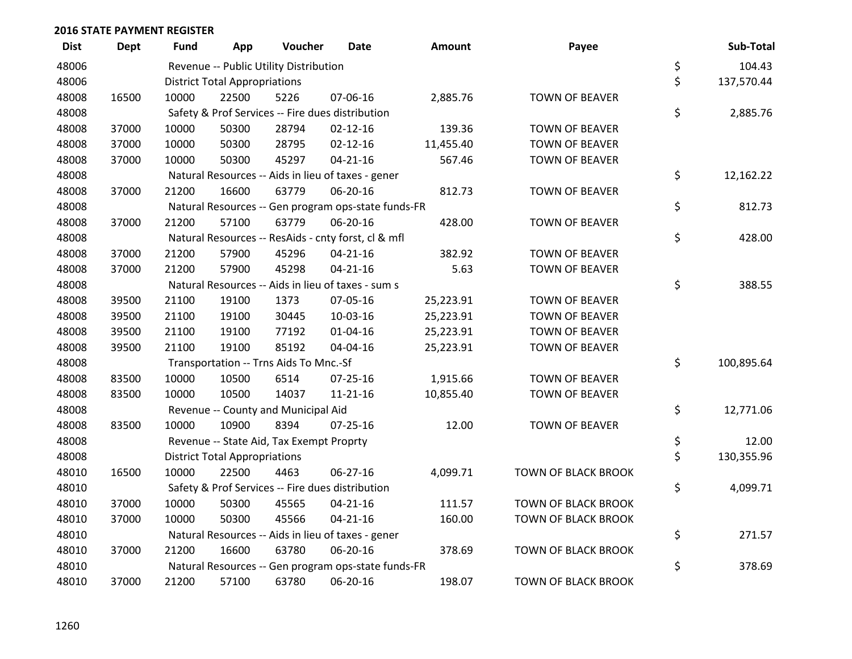| <b>Dist</b> | <b>Dept</b> | Fund  | App                                  | Voucher                                  | Date                                                | <b>Amount</b> | Payee                      | Sub-Total        |
|-------------|-------------|-------|--------------------------------------|------------------------------------------|-----------------------------------------------------|---------------|----------------------------|------------------|
| 48006       |             |       |                                      | Revenue -- Public Utility Distribution   |                                                     |               |                            | \$<br>104.43     |
| 48006       |             |       | <b>District Total Appropriations</b> |                                          |                                                     |               |                            | \$<br>137,570.44 |
| 48008       | 16500       | 10000 | 22500                                | 5226                                     | 07-06-16                                            | 2,885.76      | <b>TOWN OF BEAVER</b>      |                  |
| 48008       |             |       |                                      |                                          | Safety & Prof Services -- Fire dues distribution    |               |                            | \$<br>2,885.76   |
| 48008       | 37000       | 10000 | 50300                                | 28794                                    | $02 - 12 - 16$                                      | 139.36        | <b>TOWN OF BEAVER</b>      |                  |
| 48008       | 37000       | 10000 | 50300                                | 28795                                    | $02 - 12 - 16$                                      | 11,455.40     | <b>TOWN OF BEAVER</b>      |                  |
| 48008       | 37000       | 10000 | 50300                                | 45297                                    | $04 - 21 - 16$                                      | 567.46        | <b>TOWN OF BEAVER</b>      |                  |
| 48008       |             |       |                                      |                                          | Natural Resources -- Aids in lieu of taxes - gener  |               |                            | \$<br>12,162.22  |
| 48008       | 37000       | 21200 | 16600                                | 63779                                    | 06-20-16                                            | 812.73        | <b>TOWN OF BEAVER</b>      |                  |
| 48008       |             |       |                                      |                                          | Natural Resources -- Gen program ops-state funds-FR |               |                            | \$<br>812.73     |
| 48008       | 37000       | 21200 | 57100                                | 63779                                    | 06-20-16                                            | 428.00        | <b>TOWN OF BEAVER</b>      |                  |
| 48008       |             |       |                                      |                                          | Natural Resources -- ResAids - cnty forst, cl & mfl |               |                            | \$<br>428.00     |
| 48008       | 37000       | 21200 | 57900                                | 45296                                    | $04 - 21 - 16$                                      | 382.92        | <b>TOWN OF BEAVER</b>      |                  |
| 48008       | 37000       | 21200 | 57900                                | 45298                                    | $04 - 21 - 16$                                      | 5.63          | <b>TOWN OF BEAVER</b>      |                  |
| 48008       |             |       |                                      |                                          | Natural Resources -- Aids in lieu of taxes - sum s  |               |                            | \$<br>388.55     |
| 48008       | 39500       | 21100 | 19100                                | 1373                                     | 07-05-16                                            | 25,223.91     | <b>TOWN OF BEAVER</b>      |                  |
| 48008       | 39500       | 21100 | 19100                                | 30445                                    | 10-03-16                                            | 25,223.91     | <b>TOWN OF BEAVER</b>      |                  |
| 48008       | 39500       | 21100 | 19100                                | 77192                                    | $01 - 04 - 16$                                      | 25,223.91     | <b>TOWN OF BEAVER</b>      |                  |
| 48008       | 39500       | 21100 | 19100                                | 85192                                    | 04-04-16                                            | 25,223.91     | <b>TOWN OF BEAVER</b>      |                  |
| 48008       |             |       |                                      | Transportation -- Trns Aids To Mnc.-Sf   |                                                     |               |                            | \$<br>100,895.64 |
| 48008       | 83500       | 10000 | 10500                                | 6514                                     | $07 - 25 - 16$                                      | 1,915.66      | <b>TOWN OF BEAVER</b>      |                  |
| 48008       | 83500       | 10000 | 10500                                | 14037                                    | $11 - 21 - 16$                                      | 10,855.40     | <b>TOWN OF BEAVER</b>      |                  |
| 48008       |             |       |                                      | Revenue -- County and Municipal Aid      |                                                     |               |                            | \$<br>12,771.06  |
| 48008       | 83500       | 10000 | 10900                                | 8394                                     | $07 - 25 - 16$                                      | 12.00         | <b>TOWN OF BEAVER</b>      |                  |
| 48008       |             |       |                                      | Revenue -- State Aid, Tax Exempt Proprty |                                                     |               |                            | \$<br>12.00      |
| 48008       |             |       | <b>District Total Appropriations</b> |                                          |                                                     |               |                            | \$<br>130,355.96 |
| 48010       | 16500       | 10000 | 22500                                | 4463                                     | 06-27-16                                            | 4,099.71      | TOWN OF BLACK BROOK        |                  |
| 48010       |             |       |                                      |                                          | Safety & Prof Services -- Fire dues distribution    |               |                            | \$<br>4,099.71   |
| 48010       | 37000       | 10000 | 50300                                | 45565                                    | $04 - 21 - 16$                                      | 111.57        | <b>TOWN OF BLACK BROOK</b> |                  |
| 48010       | 37000       | 10000 | 50300                                | 45566                                    | $04 - 21 - 16$                                      | 160.00        | TOWN OF BLACK BROOK        |                  |
| 48010       |             |       |                                      |                                          | Natural Resources -- Aids in lieu of taxes - gener  |               |                            | \$<br>271.57     |
| 48010       | 37000       | 21200 | 16600                                | 63780                                    | 06-20-16                                            | 378.69        | <b>TOWN OF BLACK BROOK</b> |                  |
| 48010       |             |       |                                      |                                          | Natural Resources -- Gen program ops-state funds-FR |               |                            | \$<br>378.69     |
| 48010       | 37000       | 21200 | 57100                                | 63780                                    | 06-20-16                                            | 198.07        | <b>TOWN OF BLACK BROOK</b> |                  |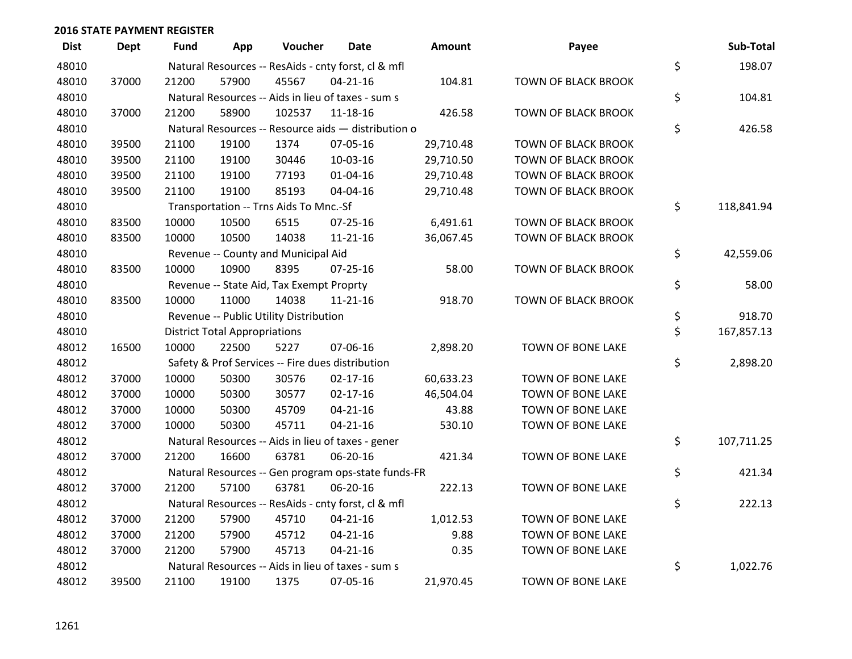| <b>Dist</b> | <b>Dept</b> | <b>Fund</b> | App                                  | Voucher                                          | Date                                                | Amount    | Payee                      | Sub-Total        |
|-------------|-------------|-------------|--------------------------------------|--------------------------------------------------|-----------------------------------------------------|-----------|----------------------------|------------------|
| 48010       |             |             |                                      |                                                  | Natural Resources -- ResAids - cnty forst, cl & mfl |           |                            | \$<br>198.07     |
| 48010       | 37000       | 21200       | 57900                                | 45567                                            | $04 - 21 - 16$                                      | 104.81    | <b>TOWN OF BLACK BROOK</b> |                  |
| 48010       |             |             |                                      |                                                  | Natural Resources -- Aids in lieu of taxes - sum s  |           |                            | \$<br>104.81     |
| 48010       | 37000       | 21200       | 58900                                | 102537                                           | $11 - 18 - 16$                                      | 426.58    | <b>TOWN OF BLACK BROOK</b> |                  |
| 48010       |             |             |                                      |                                                  | Natural Resources -- Resource aids - distribution o |           |                            | \$<br>426.58     |
| 48010       | 39500       | 21100       | 19100                                | 1374                                             | 07-05-16                                            | 29,710.48 | TOWN OF BLACK BROOK        |                  |
| 48010       | 39500       | 21100       | 19100                                | 30446                                            | 10-03-16                                            | 29,710.50 | TOWN OF BLACK BROOK        |                  |
| 48010       | 39500       | 21100       | 19100                                | 77193                                            | $01 - 04 - 16$                                      | 29,710.48 | <b>TOWN OF BLACK BROOK</b> |                  |
| 48010       | 39500       | 21100       | 19100                                | 85193                                            | 04-04-16                                            | 29,710.48 | TOWN OF BLACK BROOK        |                  |
| 48010       |             |             |                                      | Transportation -- Trns Aids To Mnc.-Sf           |                                                     |           |                            | \$<br>118,841.94 |
| 48010       | 83500       | 10000       | 10500                                | 6515                                             | 07-25-16                                            | 6,491.61  | TOWN OF BLACK BROOK        |                  |
| 48010       | 83500       | 10000       | 10500                                | 14038                                            | $11 - 21 - 16$                                      | 36,067.45 | TOWN OF BLACK BROOK        |                  |
| 48010       |             |             |                                      | Revenue -- County and Municipal Aid              |                                                     |           |                            | \$<br>42,559.06  |
| 48010       | 83500       | 10000       | 10900                                | 8395                                             | $07 - 25 - 16$                                      | 58.00     | <b>TOWN OF BLACK BROOK</b> |                  |
| 48010       |             |             |                                      | Revenue -- State Aid, Tax Exempt Proprty         |                                                     |           |                            | \$<br>58.00      |
| 48010       | 83500       | 10000       | 11000                                | 14038                                            | $11 - 21 - 16$                                      | 918.70    | <b>TOWN OF BLACK BROOK</b> |                  |
| 48010       |             |             |                                      | Revenue -- Public Utility Distribution           |                                                     |           |                            | \$<br>918.70     |
| 48010       |             |             | <b>District Total Appropriations</b> |                                                  |                                                     |           |                            | \$<br>167,857.13 |
| 48012       | 16500       | 10000       | 22500                                | 5227                                             | 07-06-16                                            | 2,898.20  | TOWN OF BONE LAKE          |                  |
| 48012       |             |             |                                      | Safety & Prof Services -- Fire dues distribution |                                                     |           |                            | \$<br>2,898.20   |
| 48012       | 37000       | 10000       | 50300                                | 30576                                            | $02 - 17 - 16$                                      | 60,633.23 | TOWN OF BONE LAKE          |                  |
| 48012       | 37000       | 10000       | 50300                                | 30577                                            | $02 - 17 - 16$                                      | 46,504.04 | TOWN OF BONE LAKE          |                  |
| 48012       | 37000       | 10000       | 50300                                | 45709                                            | $04 - 21 - 16$                                      | 43.88     | TOWN OF BONE LAKE          |                  |
| 48012       | 37000       | 10000       | 50300                                | 45711                                            | $04 - 21 - 16$                                      | 530.10    | TOWN OF BONE LAKE          |                  |
| 48012       |             |             |                                      |                                                  | Natural Resources -- Aids in lieu of taxes - gener  |           |                            | \$<br>107,711.25 |
| 48012       | 37000       | 21200       | 16600                                | 63781                                            | 06-20-16                                            | 421.34    | TOWN OF BONE LAKE          |                  |
| 48012       |             |             |                                      |                                                  | Natural Resources -- Gen program ops-state funds-FR |           |                            | \$<br>421.34     |
| 48012       | 37000       | 21200       | 57100                                | 63781                                            | 06-20-16                                            | 222.13    | TOWN OF BONE LAKE          |                  |
| 48012       |             |             |                                      |                                                  | Natural Resources -- ResAids - cnty forst, cl & mfl |           |                            | \$<br>222.13     |
| 48012       | 37000       | 21200       | 57900                                | 45710                                            | $04 - 21 - 16$                                      | 1,012.53  | TOWN OF BONE LAKE          |                  |
| 48012       | 37000       | 21200       | 57900                                | 45712                                            | $04 - 21 - 16$                                      | 9.88      | TOWN OF BONE LAKE          |                  |
| 48012       | 37000       | 21200       | 57900                                | 45713                                            | $04 - 21 - 16$                                      | 0.35      | TOWN OF BONE LAKE          |                  |
| 48012       |             |             |                                      |                                                  | Natural Resources -- Aids in lieu of taxes - sum s  |           |                            | \$<br>1,022.76   |
| 48012       | 39500       | 21100       | 19100                                | 1375                                             | 07-05-16                                            | 21,970.45 | TOWN OF BONE LAKE          |                  |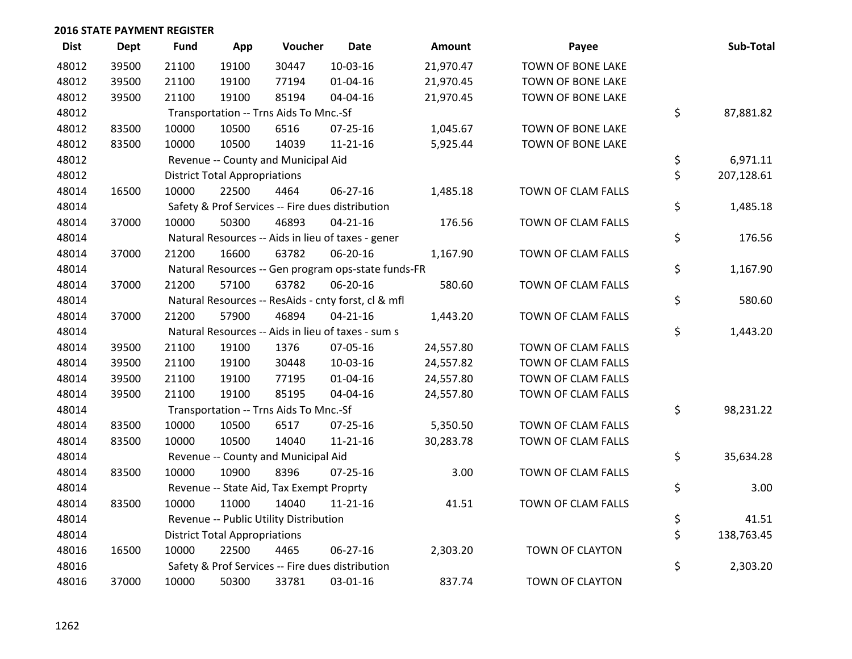| <b>Dist</b> | <b>Dept</b> | <b>Fund</b> | App                                  | Voucher                                  | <b>Date</b>                                         | <b>Amount</b> | Payee                  | Sub-Total        |
|-------------|-------------|-------------|--------------------------------------|------------------------------------------|-----------------------------------------------------|---------------|------------------------|------------------|
| 48012       | 39500       | 21100       | 19100                                | 30447                                    | $10-03-16$                                          | 21,970.47     | TOWN OF BONE LAKE      |                  |
| 48012       | 39500       | 21100       | 19100                                | 77194                                    | $01 - 04 - 16$                                      | 21,970.45     | TOWN OF BONE LAKE      |                  |
| 48012       | 39500       | 21100       | 19100                                | 85194                                    | 04-04-16                                            | 21,970.45     | TOWN OF BONE LAKE      |                  |
| 48012       |             |             |                                      | Transportation -- Trns Aids To Mnc.-Sf   |                                                     |               |                        | \$<br>87,881.82  |
| 48012       | 83500       | 10000       | 10500                                | 6516                                     | 07-25-16                                            | 1,045.67      | TOWN OF BONE LAKE      |                  |
| 48012       | 83500       | 10000       | 10500                                | 14039                                    | $11 - 21 - 16$                                      | 5,925.44      | TOWN OF BONE LAKE      |                  |
| 48012       |             |             |                                      | Revenue -- County and Municipal Aid      |                                                     |               |                        | \$<br>6,971.11   |
| 48012       |             |             | <b>District Total Appropriations</b> |                                          |                                                     |               |                        | \$<br>207,128.61 |
| 48014       | 16500       | 10000       | 22500                                | 4464                                     | 06-27-16                                            | 1,485.18      | TOWN OF CLAM FALLS     |                  |
| 48014       |             |             |                                      |                                          | Safety & Prof Services -- Fire dues distribution    |               |                        | \$<br>1,485.18   |
| 48014       | 37000       | 10000       | 50300                                | 46893                                    | $04 - 21 - 16$                                      | 176.56        | TOWN OF CLAM FALLS     |                  |
| 48014       |             |             |                                      |                                          | Natural Resources -- Aids in lieu of taxes - gener  |               |                        | \$<br>176.56     |
| 48014       | 37000       | 21200       | 16600                                | 63782                                    | 06-20-16                                            | 1,167.90      | TOWN OF CLAM FALLS     |                  |
| 48014       |             |             |                                      |                                          | Natural Resources -- Gen program ops-state funds-FR |               |                        | \$<br>1,167.90   |
| 48014       | 37000       | 21200       | 57100                                | 63782                                    | 06-20-16                                            | 580.60        | TOWN OF CLAM FALLS     |                  |
| 48014       |             |             |                                      |                                          | Natural Resources -- ResAids - cnty forst, cl & mfl |               |                        | \$<br>580.60     |
| 48014       | 37000       | 21200       | 57900                                | 46894                                    | $04 - 21 - 16$                                      | 1,443.20      | TOWN OF CLAM FALLS     |                  |
| 48014       |             |             |                                      |                                          | Natural Resources -- Aids in lieu of taxes - sum s  |               |                        | \$<br>1,443.20   |
| 48014       | 39500       | 21100       | 19100                                | 1376                                     | 07-05-16                                            | 24,557.80     | TOWN OF CLAM FALLS     |                  |
| 48014       | 39500       | 21100       | 19100                                | 30448                                    | 10-03-16                                            | 24,557.82     | TOWN OF CLAM FALLS     |                  |
| 48014       | 39500       | 21100       | 19100                                | 77195                                    | $01 - 04 - 16$                                      | 24,557.80     | TOWN OF CLAM FALLS     |                  |
| 48014       | 39500       | 21100       | 19100                                | 85195                                    | 04-04-16                                            | 24,557.80     | TOWN OF CLAM FALLS     |                  |
| 48014       |             |             |                                      | Transportation -- Trns Aids To Mnc.-Sf   |                                                     |               |                        | \$<br>98,231.22  |
| 48014       | 83500       | 10000       | 10500                                | 6517                                     | 07-25-16                                            | 5,350.50      | TOWN OF CLAM FALLS     |                  |
| 48014       | 83500       | 10000       | 10500                                | 14040                                    | $11 - 21 - 16$                                      | 30,283.78     | TOWN OF CLAM FALLS     |                  |
| 48014       |             |             |                                      | Revenue -- County and Municipal Aid      |                                                     |               |                        | \$<br>35,634.28  |
| 48014       | 83500       | 10000       | 10900                                | 8396                                     | $07 - 25 - 16$                                      | 3.00          | TOWN OF CLAM FALLS     |                  |
| 48014       |             |             |                                      | Revenue -- State Aid, Tax Exempt Proprty |                                                     |               |                        | \$<br>3.00       |
| 48014       | 83500       | 10000       | 11000                                | 14040                                    | $11 - 21 - 16$                                      | 41.51         | TOWN OF CLAM FALLS     |                  |
| 48014       |             |             |                                      | Revenue -- Public Utility Distribution   |                                                     |               |                        | \$<br>41.51      |
| 48014       |             |             | <b>District Total Appropriations</b> |                                          |                                                     |               |                        | \$<br>138,763.45 |
| 48016       | 16500       | 10000       | 22500                                | 4465                                     | 06-27-16                                            | 2,303.20      | <b>TOWN OF CLAYTON</b> |                  |
| 48016       |             |             |                                      |                                          | Safety & Prof Services -- Fire dues distribution    |               |                        | \$<br>2,303.20   |
| 48016       | 37000       | 10000       | 50300                                | 33781                                    | 03-01-16                                            | 837.74        | TOWN OF CLAYTON        |                  |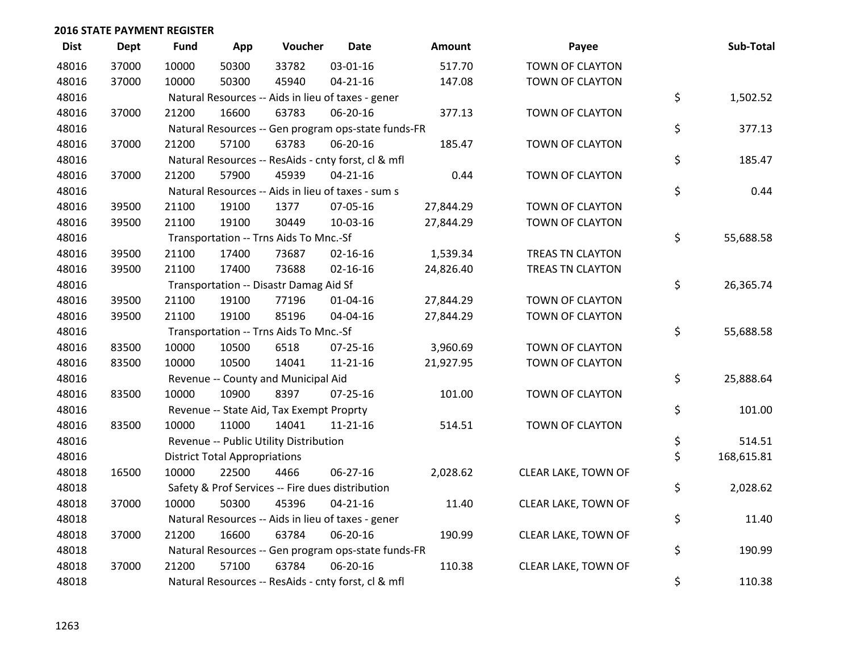| <b>Dist</b> | Dept  | <b>Fund</b> | App                                  | Voucher                                             | <b>Date</b>    | Amount    | Payee               | Sub-Total        |
|-------------|-------|-------------|--------------------------------------|-----------------------------------------------------|----------------|-----------|---------------------|------------------|
| 48016       | 37000 | 10000       | 50300                                | 33782                                               | 03-01-16       | 517.70    | TOWN OF CLAYTON     |                  |
| 48016       | 37000 | 10000       | 50300                                | 45940                                               | $04 - 21 - 16$ | 147.08    | TOWN OF CLAYTON     |                  |
| 48016       |       |             |                                      | Natural Resources -- Aids in lieu of taxes - gener  |                |           |                     | \$<br>1,502.52   |
| 48016       | 37000 | 21200       | 16600                                | 63783                                               | 06-20-16       | 377.13    | TOWN OF CLAYTON     |                  |
| 48016       |       |             |                                      | Natural Resources -- Gen program ops-state funds-FR |                |           |                     | \$<br>377.13     |
| 48016       | 37000 | 21200       | 57100                                | 63783                                               | 06-20-16       | 185.47    | TOWN OF CLAYTON     |                  |
| 48016       |       |             |                                      | Natural Resources -- ResAids - cnty forst, cl & mfl |                |           |                     | \$<br>185.47     |
| 48016       | 37000 | 21200       | 57900                                | 45939                                               | $04 - 21 - 16$ | 0.44      | TOWN OF CLAYTON     |                  |
| 48016       |       |             |                                      | Natural Resources -- Aids in lieu of taxes - sum s  |                |           |                     | \$<br>0.44       |
| 48016       | 39500 | 21100       | 19100                                | 1377                                                | 07-05-16       | 27,844.29 | TOWN OF CLAYTON     |                  |
| 48016       | 39500 | 21100       | 19100                                | 30449                                               | 10-03-16       | 27,844.29 | TOWN OF CLAYTON     |                  |
| 48016       |       |             |                                      | Transportation -- Trns Aids To Mnc.-Sf              |                |           |                     | \$<br>55,688.58  |
| 48016       | 39500 | 21100       | 17400                                | 73687                                               | $02 - 16 - 16$ | 1,539.34  | TREAS TN CLAYTON    |                  |
| 48016       | 39500 | 21100       | 17400                                | 73688                                               | $02 - 16 - 16$ | 24,826.40 | TREAS TN CLAYTON    |                  |
| 48016       |       |             |                                      | Transportation -- Disastr Damag Aid Sf              |                |           |                     | \$<br>26,365.74  |
| 48016       | 39500 | 21100       | 19100                                | 77196                                               | 01-04-16       | 27,844.29 | TOWN OF CLAYTON     |                  |
| 48016       | 39500 | 21100       | 19100                                | 85196                                               | 04-04-16       | 27,844.29 | TOWN OF CLAYTON     |                  |
| 48016       |       |             |                                      | Transportation -- Trns Aids To Mnc.-Sf              |                |           |                     | \$<br>55,688.58  |
| 48016       | 83500 | 10000       | 10500                                | 6518                                                | $07 - 25 - 16$ | 3,960.69  | TOWN OF CLAYTON     |                  |
| 48016       | 83500 | 10000       | 10500                                | 14041                                               | $11 - 21 - 16$ | 21,927.95 | TOWN OF CLAYTON     |                  |
| 48016       |       |             |                                      | Revenue -- County and Municipal Aid                 |                |           |                     | \$<br>25,888.64  |
| 48016       | 83500 | 10000       | 10900                                | 8397                                                | $07 - 25 - 16$ | 101.00    | TOWN OF CLAYTON     |                  |
| 48016       |       |             |                                      | Revenue -- State Aid, Tax Exempt Proprty            |                |           |                     | \$<br>101.00     |
| 48016       | 83500 | 10000       | 11000                                | 14041                                               | $11 - 21 - 16$ | 514.51    | TOWN OF CLAYTON     |                  |
| 48016       |       |             |                                      | Revenue -- Public Utility Distribution              |                |           |                     | \$<br>514.51     |
| 48016       |       |             | <b>District Total Appropriations</b> |                                                     |                |           |                     | \$<br>168,615.81 |
| 48018       | 16500 | 10000       | 22500                                | 4466                                                | 06-27-16       | 2,028.62  | CLEAR LAKE, TOWN OF |                  |
| 48018       |       |             |                                      | Safety & Prof Services -- Fire dues distribution    |                |           |                     | \$<br>2,028.62   |
| 48018       | 37000 | 10000       | 50300                                | 45396                                               | $04 - 21 - 16$ | 11.40     | CLEAR LAKE, TOWN OF |                  |
| 48018       |       |             |                                      | Natural Resources -- Aids in lieu of taxes - gener  |                |           |                     | \$<br>11.40      |
| 48018       | 37000 | 21200       | 16600                                | 63784                                               | 06-20-16       | 190.99    | CLEAR LAKE, TOWN OF |                  |
| 48018       |       |             |                                      | Natural Resources -- Gen program ops-state funds-FR |                |           |                     | \$<br>190.99     |
| 48018       | 37000 | 21200       | 57100                                | 63784                                               | 06-20-16       | 110.38    | CLEAR LAKE, TOWN OF |                  |
| 48018       |       |             |                                      | Natural Resources -- ResAids - cnty forst, cl & mfl |                |           |                     | \$<br>110.38     |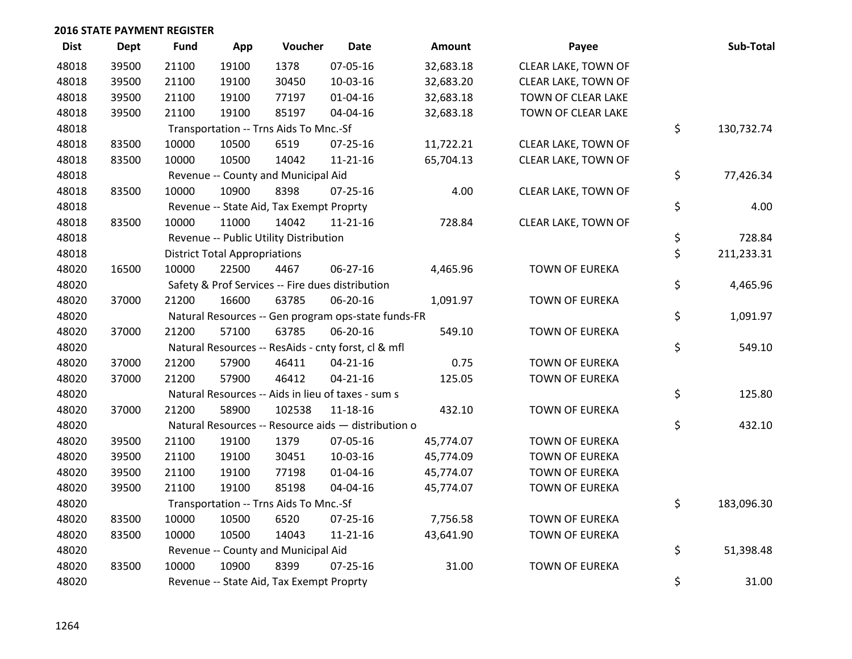| <b>Dist</b> | <b>Dept</b> | <b>Fund</b> | App                                  | Voucher                                             | <b>Date</b>    | Amount    | Payee                 | Sub-Total        |
|-------------|-------------|-------------|--------------------------------------|-----------------------------------------------------|----------------|-----------|-----------------------|------------------|
| 48018       | 39500       | 21100       | 19100                                | 1378                                                | 07-05-16       | 32,683.18 | CLEAR LAKE, TOWN OF   |                  |
| 48018       | 39500       | 21100       | 19100                                | 30450                                               | 10-03-16       | 32,683.20 | CLEAR LAKE, TOWN OF   |                  |
| 48018       | 39500       | 21100       | 19100                                | 77197                                               | $01 - 04 - 16$ | 32,683.18 | TOWN OF CLEAR LAKE    |                  |
| 48018       | 39500       | 21100       | 19100                                | 85197                                               | 04-04-16       | 32,683.18 | TOWN OF CLEAR LAKE    |                  |
| 48018       |             |             |                                      | Transportation -- Trns Aids To Mnc.-Sf              |                |           |                       | \$<br>130,732.74 |
| 48018       | 83500       | 10000       | 10500                                | 6519                                                | $07 - 25 - 16$ | 11,722.21 | CLEAR LAKE, TOWN OF   |                  |
| 48018       | 83500       | 10000       | 10500                                | 14042                                               | $11 - 21 - 16$ | 65,704.13 | CLEAR LAKE, TOWN OF   |                  |
| 48018       |             |             |                                      | Revenue -- County and Municipal Aid                 |                |           |                       | \$<br>77,426.34  |
| 48018       | 83500       | 10000       | 10900                                | 8398                                                | $07 - 25 - 16$ | 4.00      | CLEAR LAKE, TOWN OF   |                  |
| 48018       |             |             |                                      | Revenue -- State Aid, Tax Exempt Proprty            |                |           |                       | \$<br>4.00       |
| 48018       | 83500       | 10000       | 11000                                | 14042                                               | $11 - 21 - 16$ | 728.84    | CLEAR LAKE, TOWN OF   |                  |
| 48018       |             |             |                                      | Revenue -- Public Utility Distribution              |                |           |                       | \$<br>728.84     |
| 48018       |             |             | <b>District Total Appropriations</b> |                                                     |                |           |                       | \$<br>211,233.31 |
| 48020       | 16500       | 10000       | 22500                                | 4467                                                | 06-27-16       | 4,465.96  | <b>TOWN OF EUREKA</b> |                  |
| 48020       |             |             |                                      | Safety & Prof Services -- Fire dues distribution    |                |           |                       | \$<br>4,465.96   |
| 48020       | 37000       | 21200       | 16600                                | 63785                                               | 06-20-16       | 1,091.97  | <b>TOWN OF EUREKA</b> |                  |
| 48020       |             |             |                                      | Natural Resources -- Gen program ops-state funds-FR |                |           |                       | \$<br>1,091.97   |
| 48020       | 37000       | 21200       | 57100                                | 63785                                               | 06-20-16       | 549.10    | <b>TOWN OF EUREKA</b> |                  |
| 48020       |             |             |                                      | Natural Resources -- ResAids - cnty forst, cl & mfl |                |           |                       | \$<br>549.10     |
| 48020       | 37000       | 21200       | 57900                                | 46411                                               | $04 - 21 - 16$ | 0.75      | <b>TOWN OF EUREKA</b> |                  |
| 48020       | 37000       | 21200       | 57900                                | 46412                                               | $04 - 21 - 16$ | 125.05    | <b>TOWN OF EUREKA</b> |                  |
| 48020       |             |             |                                      | Natural Resources -- Aids in lieu of taxes - sum s  |                |           |                       | \$<br>125.80     |
| 48020       | 37000       | 21200       | 58900                                | 102538                                              | $11 - 18 - 16$ | 432.10    | <b>TOWN OF EUREKA</b> |                  |
| 48020       |             |             |                                      | Natural Resources -- Resource aids - distribution o |                |           |                       | \$<br>432.10     |
| 48020       | 39500       | 21100       | 19100                                | 1379                                                | 07-05-16       | 45,774.07 | <b>TOWN OF EUREKA</b> |                  |
| 48020       | 39500       | 21100       | 19100                                | 30451                                               | 10-03-16       | 45,774.09 | <b>TOWN OF EUREKA</b> |                  |
| 48020       | 39500       | 21100       | 19100                                | 77198                                               | 01-04-16       | 45,774.07 | TOWN OF EUREKA        |                  |
| 48020       | 39500       | 21100       | 19100                                | 85198                                               | 04-04-16       | 45,774.07 | <b>TOWN OF EUREKA</b> |                  |
| 48020       |             |             |                                      | Transportation -- Trns Aids To Mnc.-Sf              |                |           |                       | \$<br>183,096.30 |
| 48020       | 83500       | 10000       | 10500                                | 6520                                                | 07-25-16       | 7,756.58  | <b>TOWN OF EUREKA</b> |                  |
| 48020       | 83500       | 10000       | 10500                                | 14043                                               | $11 - 21 - 16$ | 43,641.90 | <b>TOWN OF EUREKA</b> |                  |
| 48020       |             |             |                                      | Revenue -- County and Municipal Aid                 |                |           |                       | \$<br>51,398.48  |
| 48020       | 83500       | 10000       | 10900                                | 8399                                                | $07 - 25 - 16$ | 31.00     | <b>TOWN OF EUREKA</b> |                  |
| 48020       |             |             |                                      | Revenue -- State Aid, Tax Exempt Proprty            |                |           |                       | \$<br>31.00      |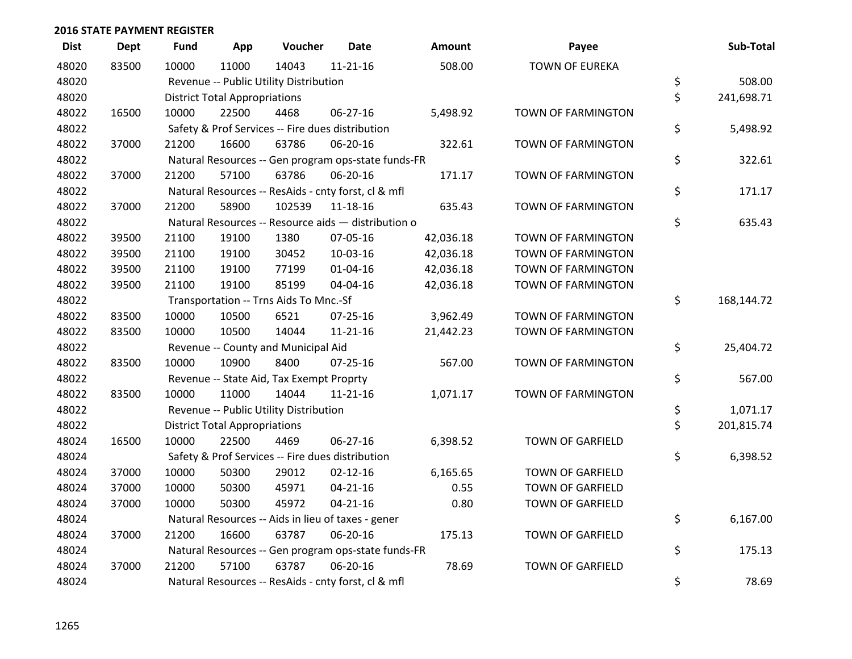| <b>Dist</b> | Dept  | <b>Fund</b> | App                                  | Voucher                                  | <b>Date</b>                                         | <b>Amount</b> | Payee                     | Sub-Total        |
|-------------|-------|-------------|--------------------------------------|------------------------------------------|-----------------------------------------------------|---------------|---------------------------|------------------|
| 48020       | 83500 | 10000       | 11000                                | 14043                                    | $11 - 21 - 16$                                      | 508.00        | <b>TOWN OF EUREKA</b>     |                  |
| 48020       |       |             |                                      | Revenue -- Public Utility Distribution   |                                                     |               |                           | \$<br>508.00     |
| 48020       |       |             | <b>District Total Appropriations</b> |                                          |                                                     |               |                           | \$<br>241,698.71 |
| 48022       | 16500 | 10000       | 22500                                | 4468                                     | $06 - 27 - 16$                                      | 5,498.92      | TOWN OF FARMINGTON        |                  |
| 48022       |       |             |                                      |                                          | Safety & Prof Services -- Fire dues distribution    |               |                           | \$<br>5,498.92   |
| 48022       | 37000 | 21200       | 16600                                | 63786                                    | 06-20-16                                            | 322.61        | TOWN OF FARMINGTON        |                  |
| 48022       |       |             |                                      |                                          | Natural Resources -- Gen program ops-state funds-FR |               |                           | \$<br>322.61     |
| 48022       | 37000 | 21200       | 57100                                | 63786                                    | 06-20-16                                            | 171.17        | TOWN OF FARMINGTON        |                  |
| 48022       |       |             |                                      |                                          | Natural Resources -- ResAids - cnty forst, cl & mfl |               |                           | \$<br>171.17     |
| 48022       | 37000 | 21200       | 58900                                | 102539                                   | 11-18-16                                            | 635.43        | TOWN OF FARMINGTON        |                  |
| 48022       |       |             |                                      |                                          | Natural Resources -- Resource aids - distribution o |               |                           | \$<br>635.43     |
| 48022       | 39500 | 21100       | 19100                                | 1380                                     | 07-05-16                                            | 42,036.18     | TOWN OF FARMINGTON        |                  |
| 48022       | 39500 | 21100       | 19100                                | 30452                                    | 10-03-16                                            | 42,036.18     | <b>TOWN OF FARMINGTON</b> |                  |
| 48022       | 39500 | 21100       | 19100                                | 77199                                    | $01 - 04 - 16$                                      | 42,036.18     | TOWN OF FARMINGTON        |                  |
| 48022       | 39500 | 21100       | 19100                                | 85199                                    | 04-04-16                                            | 42,036.18     | TOWN OF FARMINGTON        |                  |
| 48022       |       |             |                                      | Transportation -- Trns Aids To Mnc.-Sf   |                                                     |               |                           | \$<br>168,144.72 |
| 48022       | 83500 | 10000       | 10500                                | 6521                                     | 07-25-16                                            | 3,962.49      | <b>TOWN OF FARMINGTON</b> |                  |
| 48022       | 83500 | 10000       | 10500                                | 14044                                    | $11 - 21 - 16$                                      | 21,442.23     | TOWN OF FARMINGTON        |                  |
| 48022       |       |             |                                      | Revenue -- County and Municipal Aid      |                                                     |               |                           | \$<br>25,404.72  |
| 48022       | 83500 | 10000       | 10900                                | 8400                                     | $07 - 25 - 16$                                      | 567.00        | TOWN OF FARMINGTON        |                  |
| 48022       |       |             |                                      | Revenue -- State Aid, Tax Exempt Proprty |                                                     |               |                           | \$<br>567.00     |
| 48022       | 83500 | 10000       | 11000                                | 14044                                    | $11 - 21 - 16$                                      | 1,071.17      | TOWN OF FARMINGTON        |                  |
| 48022       |       |             |                                      | Revenue -- Public Utility Distribution   |                                                     |               |                           | \$<br>1,071.17   |
| 48022       |       |             | <b>District Total Appropriations</b> |                                          |                                                     |               |                           | \$<br>201,815.74 |
| 48024       | 16500 | 10000       | 22500                                | 4469                                     | $06 - 27 - 16$                                      | 6,398.52      | <b>TOWN OF GARFIELD</b>   |                  |
| 48024       |       |             |                                      |                                          | Safety & Prof Services -- Fire dues distribution    |               |                           | \$<br>6,398.52   |
| 48024       | 37000 | 10000       | 50300                                | 29012                                    | $02 - 12 - 16$                                      | 6,165.65      | TOWN OF GARFIELD          |                  |
| 48024       | 37000 | 10000       | 50300                                | 45971                                    | $04 - 21 - 16$                                      | 0.55          | <b>TOWN OF GARFIELD</b>   |                  |
| 48024       | 37000 | 10000       | 50300                                | 45972                                    | $04 - 21 - 16$                                      | 0.80          | <b>TOWN OF GARFIELD</b>   |                  |
| 48024       |       |             |                                      |                                          | Natural Resources -- Aids in lieu of taxes - gener  |               |                           | \$<br>6,167.00   |
| 48024       | 37000 | 21200       | 16600                                | 63787                                    | 06-20-16                                            | 175.13        | TOWN OF GARFIELD          |                  |
| 48024       |       |             |                                      |                                          | Natural Resources -- Gen program ops-state funds-FR |               |                           | \$<br>175.13     |
| 48024       | 37000 | 21200       | 57100                                | 63787                                    | 06-20-16                                            | 78.69         | <b>TOWN OF GARFIELD</b>   |                  |
| 48024       |       |             |                                      |                                          | Natural Resources -- ResAids - cnty forst, cl & mfl |               |                           | \$<br>78.69      |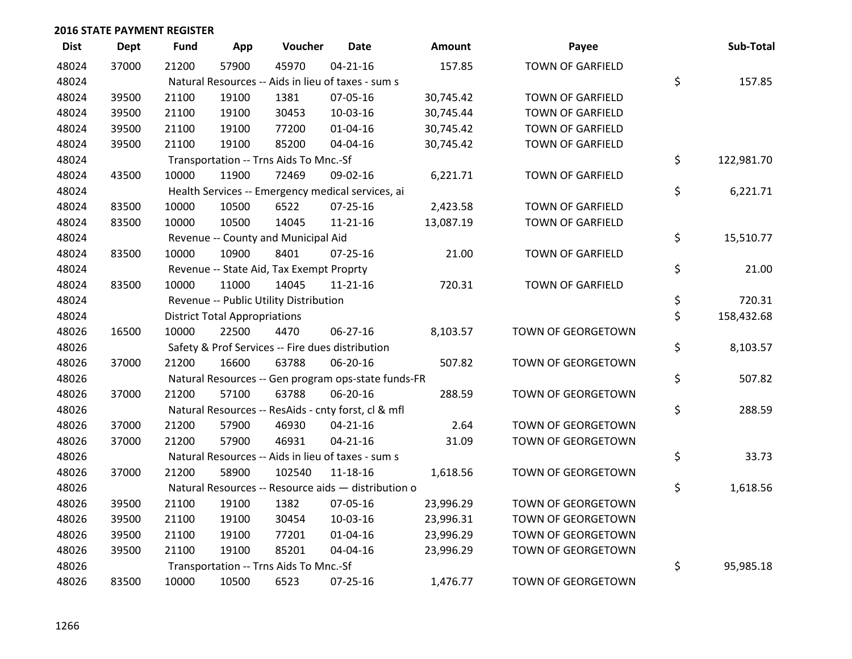| <b>Dist</b> | <b>Dept</b> | <b>Fund</b> | App                                  | Voucher                                             | <b>Date</b>    | Amount    | Payee                   | Sub-Total        |
|-------------|-------------|-------------|--------------------------------------|-----------------------------------------------------|----------------|-----------|-------------------------|------------------|
| 48024       | 37000       | 21200       | 57900                                | 45970                                               | $04 - 21 - 16$ | 157.85    | <b>TOWN OF GARFIELD</b> |                  |
| 48024       |             |             |                                      | Natural Resources -- Aids in lieu of taxes - sum s  |                |           |                         | \$<br>157.85     |
| 48024       | 39500       | 21100       | 19100                                | 1381                                                | 07-05-16       | 30,745.42 | <b>TOWN OF GARFIELD</b> |                  |
| 48024       | 39500       | 21100       | 19100                                | 30453                                               | 10-03-16       | 30,745.44 | <b>TOWN OF GARFIELD</b> |                  |
| 48024       | 39500       | 21100       | 19100                                | 77200                                               | $01 - 04 - 16$ | 30,745.42 | <b>TOWN OF GARFIELD</b> |                  |
| 48024       | 39500       | 21100       | 19100                                | 85200                                               | 04-04-16       | 30,745.42 | TOWN OF GARFIELD        |                  |
| 48024       |             |             |                                      | Transportation -- Trns Aids To Mnc.-Sf              |                |           |                         | \$<br>122,981.70 |
| 48024       | 43500       | 10000       | 11900                                | 72469                                               | 09-02-16       | 6,221.71  | <b>TOWN OF GARFIELD</b> |                  |
| 48024       |             |             |                                      | Health Services -- Emergency medical services, ai   |                |           |                         | \$<br>6,221.71   |
| 48024       | 83500       | 10000       | 10500                                | 6522                                                | $07 - 25 - 16$ | 2,423.58  | TOWN OF GARFIELD        |                  |
| 48024       | 83500       | 10000       | 10500                                | 14045                                               | 11-21-16       | 13,087.19 | TOWN OF GARFIELD        |                  |
| 48024       |             |             |                                      | Revenue -- County and Municipal Aid                 |                |           |                         | \$<br>15,510.77  |
| 48024       | 83500       | 10000       | 10900                                | 8401                                                | $07 - 25 - 16$ | 21.00     | TOWN OF GARFIELD        |                  |
| 48024       |             |             |                                      | Revenue -- State Aid, Tax Exempt Proprty            |                |           |                         | \$<br>21.00      |
| 48024       | 83500       | 10000       | 11000                                | 14045                                               | $11 - 21 - 16$ | 720.31    | <b>TOWN OF GARFIELD</b> |                  |
| 48024       |             |             |                                      | Revenue -- Public Utility Distribution              |                |           |                         | \$<br>720.31     |
| 48024       |             |             | <b>District Total Appropriations</b> |                                                     |                |           |                         | \$<br>158,432.68 |
| 48026       | 16500       | 10000       | 22500                                | 4470                                                | 06-27-16       | 8,103.57  | TOWN OF GEORGETOWN      |                  |
| 48026       |             |             |                                      | Safety & Prof Services -- Fire dues distribution    |                |           |                         | \$<br>8,103.57   |
| 48026       | 37000       | 21200       | 16600                                | 63788                                               | 06-20-16       | 507.82    | TOWN OF GEORGETOWN      |                  |
| 48026       |             |             |                                      | Natural Resources -- Gen program ops-state funds-FR |                |           |                         | \$<br>507.82     |
| 48026       | 37000       | 21200       | 57100                                | 63788                                               | 06-20-16       | 288.59    | TOWN OF GEORGETOWN      |                  |
| 48026       |             |             |                                      | Natural Resources -- ResAids - cnty forst, cl & mfl |                |           |                         | \$<br>288.59     |
| 48026       | 37000       | 21200       | 57900                                | 46930                                               | $04 - 21 - 16$ | 2.64      | TOWN OF GEORGETOWN      |                  |
| 48026       | 37000       | 21200       | 57900                                | 46931                                               | $04 - 21 - 16$ | 31.09     | TOWN OF GEORGETOWN      |                  |
| 48026       |             |             |                                      | Natural Resources -- Aids in lieu of taxes - sum s  |                |           |                         | \$<br>33.73      |
| 48026       | 37000       | 21200       | 58900                                | 102540                                              | 11-18-16       | 1,618.56  | TOWN OF GEORGETOWN      |                  |
| 48026       |             |             |                                      | Natural Resources -- Resource aids - distribution o |                |           |                         | \$<br>1,618.56   |
| 48026       | 39500       | 21100       | 19100                                | 1382                                                | 07-05-16       | 23,996.29 | TOWN OF GEORGETOWN      |                  |
| 48026       | 39500       | 21100       | 19100                                | 30454                                               | 10-03-16       | 23,996.31 | TOWN OF GEORGETOWN      |                  |
| 48026       | 39500       | 21100       | 19100                                | 77201                                               | 01-04-16       | 23,996.29 | TOWN OF GEORGETOWN      |                  |
| 48026       | 39500       | 21100       | 19100                                | 85201                                               | 04-04-16       | 23,996.29 | TOWN OF GEORGETOWN      |                  |
| 48026       |             |             |                                      | Transportation -- Trns Aids To Mnc.-Sf              |                |           |                         | \$<br>95,985.18  |
| 48026       | 83500       | 10000       | 10500                                | 6523                                                | $07 - 25 - 16$ | 1,476.77  | TOWN OF GEORGETOWN      |                  |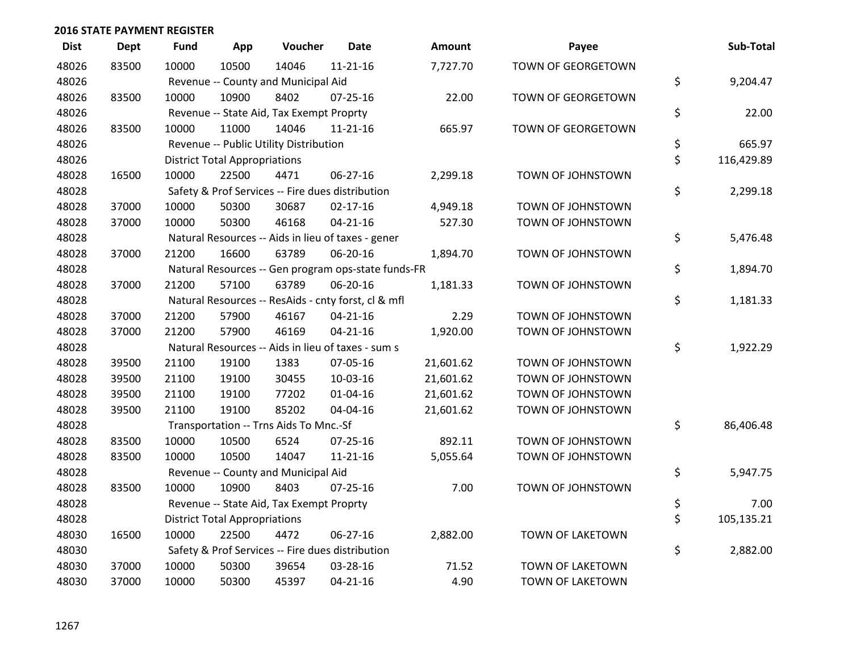| <b>Dist</b> | <b>Dept</b> | <b>Fund</b> | App                                  | Voucher                                  | <b>Date</b>                                         | Amount    | Payee              | Sub-Total        |
|-------------|-------------|-------------|--------------------------------------|------------------------------------------|-----------------------------------------------------|-----------|--------------------|------------------|
| 48026       | 83500       | 10000       | 10500                                | 14046                                    | $11 - 21 - 16$                                      | 7,727.70  | TOWN OF GEORGETOWN |                  |
| 48026       |             |             |                                      | Revenue -- County and Municipal Aid      |                                                     |           |                    | \$<br>9,204.47   |
| 48026       | 83500       | 10000       | 10900                                | 8402                                     | $07 - 25 - 16$                                      | 22.00     | TOWN OF GEORGETOWN |                  |
| 48026       |             |             |                                      | Revenue -- State Aid, Tax Exempt Proprty |                                                     |           |                    | \$<br>22.00      |
| 48026       | 83500       | 10000       | 11000                                | 14046                                    | $11 - 21 - 16$                                      | 665.97    | TOWN OF GEORGETOWN |                  |
| 48026       |             |             |                                      | Revenue -- Public Utility Distribution   |                                                     |           |                    | \$<br>665.97     |
| 48026       |             |             | <b>District Total Appropriations</b> |                                          |                                                     |           |                    | \$<br>116,429.89 |
| 48028       | 16500       | 10000       | 22500                                | 4471                                     | 06-27-16                                            | 2,299.18  | TOWN OF JOHNSTOWN  |                  |
| 48028       |             |             |                                      |                                          | Safety & Prof Services -- Fire dues distribution    |           |                    | \$<br>2,299.18   |
| 48028       | 37000       | 10000       | 50300                                | 30687                                    | $02 - 17 - 16$                                      | 4,949.18  | TOWN OF JOHNSTOWN  |                  |
| 48028       | 37000       | 10000       | 50300                                | 46168                                    | $04 - 21 - 16$                                      | 527.30    | TOWN OF JOHNSTOWN  |                  |
| 48028       |             |             |                                      |                                          | Natural Resources -- Aids in lieu of taxes - gener  |           |                    | \$<br>5,476.48   |
| 48028       | 37000       | 21200       | 16600                                | 63789                                    | 06-20-16                                            | 1,894.70  | TOWN OF JOHNSTOWN  |                  |
| 48028       |             |             |                                      |                                          | Natural Resources -- Gen program ops-state funds-FR |           |                    | \$<br>1,894.70   |
| 48028       | 37000       | 21200       | 57100                                | 63789                                    | 06-20-16                                            | 1,181.33  | TOWN OF JOHNSTOWN  |                  |
| 48028       |             |             |                                      |                                          | Natural Resources -- ResAids - cnty forst, cl & mfl |           |                    | \$<br>1,181.33   |
| 48028       | 37000       | 21200       | 57900                                | 46167                                    | $04 - 21 - 16$                                      | 2.29      | TOWN OF JOHNSTOWN  |                  |
| 48028       | 37000       | 21200       | 57900                                | 46169                                    | $04 - 21 - 16$                                      | 1,920.00  | TOWN OF JOHNSTOWN  |                  |
| 48028       |             |             |                                      |                                          | Natural Resources -- Aids in lieu of taxes - sum s  |           |                    | \$<br>1,922.29   |
| 48028       | 39500       | 21100       | 19100                                | 1383                                     | 07-05-16                                            | 21,601.62 | TOWN OF JOHNSTOWN  |                  |
| 48028       | 39500       | 21100       | 19100                                | 30455                                    | 10-03-16                                            | 21,601.62 | TOWN OF JOHNSTOWN  |                  |
| 48028       | 39500       | 21100       | 19100                                | 77202                                    | $01 - 04 - 16$                                      | 21,601.62 | TOWN OF JOHNSTOWN  |                  |
| 48028       | 39500       | 21100       | 19100                                | 85202                                    | 04-04-16                                            | 21,601.62 | TOWN OF JOHNSTOWN  |                  |
| 48028       |             |             |                                      | Transportation -- Trns Aids To Mnc.-Sf   |                                                     |           |                    | \$<br>86,406.48  |
| 48028       | 83500       | 10000       | 10500                                | 6524                                     | 07-25-16                                            | 892.11    | TOWN OF JOHNSTOWN  |                  |
| 48028       | 83500       | 10000       | 10500                                | 14047                                    | $11 - 21 - 16$                                      | 5,055.64  | TOWN OF JOHNSTOWN  |                  |
| 48028       |             |             |                                      | Revenue -- County and Municipal Aid      |                                                     |           |                    | \$<br>5,947.75   |
| 48028       | 83500       | 10000       | 10900                                | 8403                                     | $07 - 25 - 16$                                      | 7.00      | TOWN OF JOHNSTOWN  |                  |
| 48028       |             |             |                                      | Revenue -- State Aid, Tax Exempt Proprty |                                                     |           |                    | \$<br>7.00       |
| 48028       |             |             | <b>District Total Appropriations</b> |                                          |                                                     |           |                    | \$<br>105,135.21 |
| 48030       | 16500       | 10000       | 22500                                | 4472                                     | $06 - 27 - 16$                                      | 2,882.00  | TOWN OF LAKETOWN   |                  |
| 48030       |             |             |                                      |                                          | Safety & Prof Services -- Fire dues distribution    |           |                    | \$<br>2,882.00   |
| 48030       | 37000       | 10000       | 50300                                | 39654                                    | 03-28-16                                            | 71.52     | TOWN OF LAKETOWN   |                  |
| 48030       | 37000       | 10000       | 50300                                | 45397                                    | $04 - 21 - 16$                                      | 4.90      | TOWN OF LAKETOWN   |                  |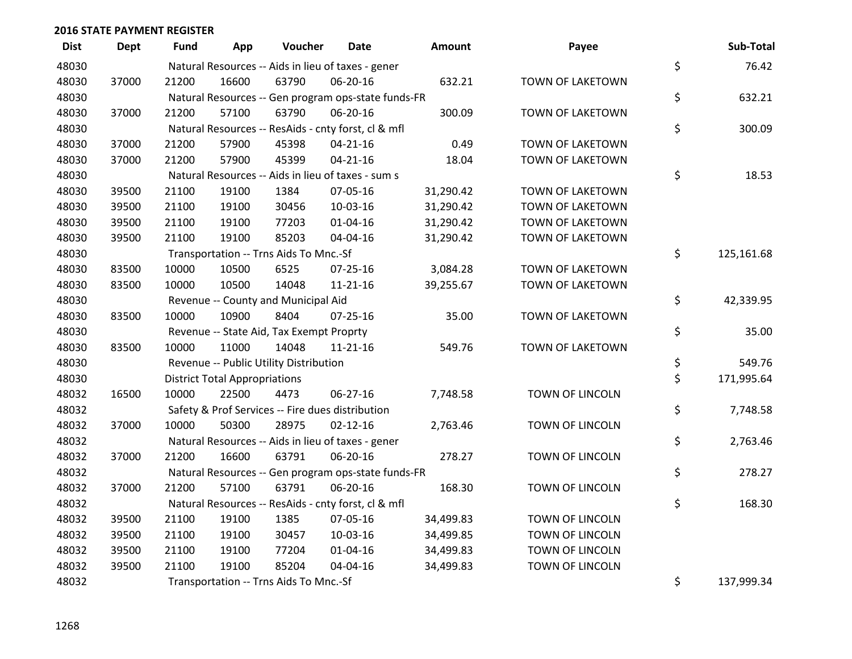| <b>Dist</b> | <b>Dept</b> | <b>Fund</b> | App                                  | Voucher                                             | <b>Date</b>    | Amount    | Payee                  | Sub-Total        |
|-------------|-------------|-------------|--------------------------------------|-----------------------------------------------------|----------------|-----------|------------------------|------------------|
| 48030       |             |             |                                      | Natural Resources -- Aids in lieu of taxes - gener  |                |           |                        | \$<br>76.42      |
| 48030       | 37000       | 21200       | 16600                                | 63790                                               | 06-20-16       | 632.21    | TOWN OF LAKETOWN       |                  |
| 48030       |             |             |                                      | Natural Resources -- Gen program ops-state funds-FR |                |           |                        | \$<br>632.21     |
| 48030       | 37000       | 21200       | 57100                                | 63790                                               | 06-20-16       | 300.09    | TOWN OF LAKETOWN       |                  |
| 48030       |             |             |                                      | Natural Resources -- ResAids - cnty forst, cl & mfl |                |           |                        | \$<br>300.09     |
| 48030       | 37000       | 21200       | 57900                                | 45398                                               | $04 - 21 - 16$ | 0.49      | TOWN OF LAKETOWN       |                  |
| 48030       | 37000       | 21200       | 57900                                | 45399                                               | $04 - 21 - 16$ | 18.04     | TOWN OF LAKETOWN       |                  |
| 48030       |             |             |                                      | Natural Resources -- Aids in lieu of taxes - sum s  |                |           |                        | \$<br>18.53      |
| 48030       | 39500       | 21100       | 19100                                | 1384                                                | 07-05-16       | 31,290.42 | TOWN OF LAKETOWN       |                  |
| 48030       | 39500       | 21100       | 19100                                | 30456                                               | 10-03-16       | 31,290.42 | TOWN OF LAKETOWN       |                  |
| 48030       | 39500       | 21100       | 19100                                | 77203                                               | 01-04-16       | 31,290.42 | TOWN OF LAKETOWN       |                  |
| 48030       | 39500       | 21100       | 19100                                | 85203                                               | 04-04-16       | 31,290.42 | TOWN OF LAKETOWN       |                  |
| 48030       |             |             |                                      | Transportation -- Trns Aids To Mnc.-Sf              |                |           |                        | \$<br>125,161.68 |
| 48030       | 83500       | 10000       | 10500                                | 6525                                                | 07-25-16       | 3,084.28  | TOWN OF LAKETOWN       |                  |
| 48030       | 83500       | 10000       | 10500                                | 14048                                               | $11 - 21 - 16$ | 39,255.67 | TOWN OF LAKETOWN       |                  |
| 48030       |             |             |                                      | Revenue -- County and Municipal Aid                 |                |           |                        | \$<br>42,339.95  |
| 48030       | 83500       | 10000       | 10900                                | 8404                                                | $07 - 25 - 16$ | 35.00     | TOWN OF LAKETOWN       |                  |
| 48030       |             |             |                                      | Revenue -- State Aid, Tax Exempt Proprty            |                |           |                        | \$<br>35.00      |
| 48030       | 83500       | 10000       | 11000                                | 14048                                               | $11 - 21 - 16$ | 549.76    | TOWN OF LAKETOWN       |                  |
| 48030       |             |             |                                      | Revenue -- Public Utility Distribution              |                |           |                        | \$<br>549.76     |
| 48030       |             |             | <b>District Total Appropriations</b> |                                                     |                |           |                        | \$<br>171,995.64 |
| 48032       | 16500       | 10000       | 22500                                | 4473                                                | 06-27-16       | 7,748.58  | TOWN OF LINCOLN        |                  |
| 48032       |             |             |                                      | Safety & Prof Services -- Fire dues distribution    |                |           |                        | \$<br>7,748.58   |
| 48032       | 37000       | 10000       | 50300                                | 28975                                               | $02 - 12 - 16$ | 2,763.46  | TOWN OF LINCOLN        |                  |
| 48032       |             |             |                                      | Natural Resources -- Aids in lieu of taxes - gener  |                |           |                        | \$<br>2,763.46   |
| 48032       | 37000       | 21200       | 16600                                | 63791                                               | 06-20-16       | 278.27    | <b>TOWN OF LINCOLN</b> |                  |
| 48032       |             |             |                                      | Natural Resources -- Gen program ops-state funds-FR |                |           |                        | \$<br>278.27     |
| 48032       | 37000       | 21200       | 57100                                | 63791                                               | 06-20-16       | 168.30    | TOWN OF LINCOLN        |                  |
| 48032       |             |             |                                      | Natural Resources -- ResAids - cnty forst, cl & mfl |                |           |                        | \$<br>168.30     |
| 48032       | 39500       | 21100       | 19100                                | 1385                                                | 07-05-16       | 34,499.83 | TOWN OF LINCOLN        |                  |
| 48032       | 39500       | 21100       | 19100                                | 30457                                               | 10-03-16       | 34,499.85 | <b>TOWN OF LINCOLN</b> |                  |
| 48032       | 39500       | 21100       | 19100                                | 77204                                               | $01 - 04 - 16$ | 34,499.83 | TOWN OF LINCOLN        |                  |
| 48032       | 39500       | 21100       | 19100                                | 85204                                               | 04-04-16       | 34,499.83 | TOWN OF LINCOLN        |                  |
| 48032       |             |             |                                      | Transportation -- Trns Aids To Mnc.-Sf              |                |           |                        | \$<br>137,999.34 |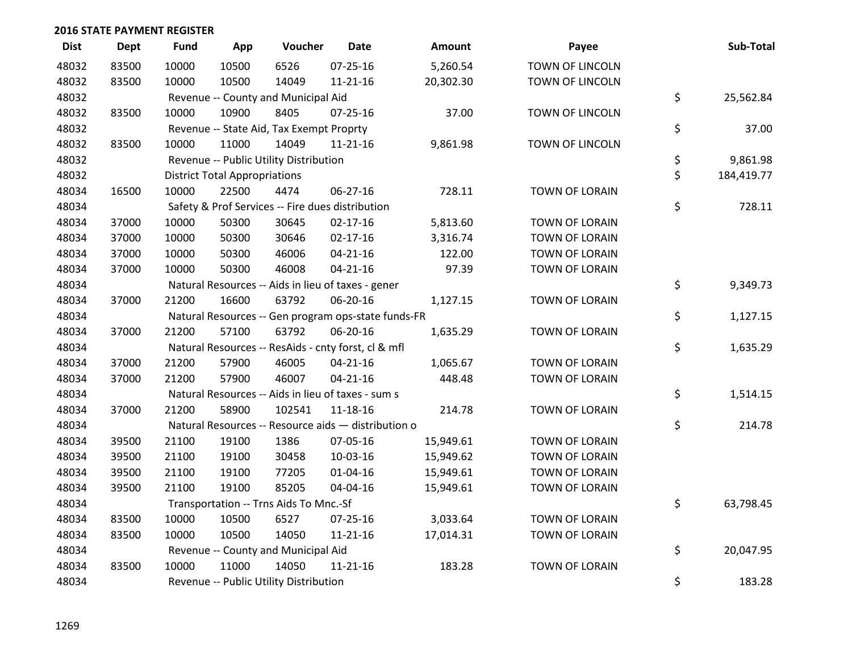| <b>Dist</b> | <b>Dept</b> | <b>Fund</b> | App                                  | Voucher                                  | <b>Date</b>                                         | Amount    | Payee                  | Sub-Total        |
|-------------|-------------|-------------|--------------------------------------|------------------------------------------|-----------------------------------------------------|-----------|------------------------|------------------|
| 48032       | 83500       | 10000       | 10500                                | 6526                                     | 07-25-16                                            | 5,260.54  | <b>TOWN OF LINCOLN</b> |                  |
| 48032       | 83500       | 10000       | 10500                                | 14049                                    | $11 - 21 - 16$                                      | 20,302.30 | TOWN OF LINCOLN        |                  |
| 48032       |             |             |                                      | Revenue -- County and Municipal Aid      |                                                     |           |                        | \$<br>25,562.84  |
| 48032       | 83500       | 10000       | 10900                                | 8405                                     | 07-25-16                                            | 37.00     | TOWN OF LINCOLN        |                  |
| 48032       |             |             |                                      | Revenue -- State Aid, Tax Exempt Proprty |                                                     |           |                        | \$<br>37.00      |
| 48032       | 83500       | 10000       | 11000                                | 14049                                    | $11 - 21 - 16$                                      | 9,861.98  | TOWN OF LINCOLN        |                  |
| 48032       |             |             |                                      | Revenue -- Public Utility Distribution   |                                                     |           |                        | \$<br>9,861.98   |
| 48032       |             |             | <b>District Total Appropriations</b> |                                          |                                                     |           |                        | \$<br>184,419.77 |
| 48034       | 16500       | 10000       | 22500                                | 4474                                     | 06-27-16                                            | 728.11    | <b>TOWN OF LORAIN</b>  |                  |
| 48034       |             |             |                                      |                                          | Safety & Prof Services -- Fire dues distribution    |           |                        | \$<br>728.11     |
| 48034       | 37000       | 10000       | 50300                                | 30645                                    | $02 - 17 - 16$                                      | 5,813.60  | <b>TOWN OF LORAIN</b>  |                  |
| 48034       | 37000       | 10000       | 50300                                | 30646                                    | $02 - 17 - 16$                                      | 3,316.74  | TOWN OF LORAIN         |                  |
| 48034       | 37000       | 10000       | 50300                                | 46006                                    | $04 - 21 - 16$                                      | 122.00    | TOWN OF LORAIN         |                  |
| 48034       | 37000       | 10000       | 50300                                | 46008                                    | $04 - 21 - 16$                                      | 97.39     | TOWN OF LORAIN         |                  |
| 48034       |             |             |                                      |                                          | Natural Resources -- Aids in lieu of taxes - gener  |           |                        | \$<br>9,349.73   |
| 48034       | 37000       | 21200       | 16600                                | 63792                                    | 06-20-16                                            | 1,127.15  | TOWN OF LORAIN         |                  |
| 48034       |             |             |                                      |                                          | Natural Resources -- Gen program ops-state funds-FR |           |                        | \$<br>1,127.15   |
| 48034       | 37000       | 21200       | 57100                                | 63792                                    | 06-20-16                                            | 1,635.29  | <b>TOWN OF LORAIN</b>  |                  |
| 48034       |             |             |                                      |                                          | Natural Resources -- ResAids - cnty forst, cl & mfl |           |                        | \$<br>1,635.29   |
| 48034       | 37000       | 21200       | 57900                                | 46005                                    | $04 - 21 - 16$                                      | 1,065.67  | TOWN OF LORAIN         |                  |
| 48034       | 37000       | 21200       | 57900                                | 46007                                    | $04 - 21 - 16$                                      | 448.48    | TOWN OF LORAIN         |                  |
| 48034       |             |             |                                      |                                          | Natural Resources -- Aids in lieu of taxes - sum s  |           |                        | \$<br>1,514.15   |
| 48034       | 37000       | 21200       | 58900                                | 102541                                   | 11-18-16                                            | 214.78    | TOWN OF LORAIN         |                  |
| 48034       |             |             |                                      |                                          | Natural Resources -- Resource aids - distribution o |           |                        | \$<br>214.78     |
| 48034       | 39500       | 21100       | 19100                                | 1386                                     | 07-05-16                                            | 15,949.61 | TOWN OF LORAIN         |                  |
| 48034       | 39500       | 21100       | 19100                                | 30458                                    | 10-03-16                                            | 15,949.62 | TOWN OF LORAIN         |                  |
| 48034       | 39500       | 21100       | 19100                                | 77205                                    | $01 - 04 - 16$                                      | 15,949.61 | TOWN OF LORAIN         |                  |
| 48034       | 39500       | 21100       | 19100                                | 85205                                    | 04-04-16                                            | 15,949.61 | TOWN OF LORAIN         |                  |
| 48034       |             |             |                                      | Transportation -- Trns Aids To Mnc.-Sf   |                                                     |           |                        | \$<br>63,798.45  |
| 48034       | 83500       | 10000       | 10500                                | 6527                                     | 07-25-16                                            | 3,033.64  | TOWN OF LORAIN         |                  |
| 48034       | 83500       | 10000       | 10500                                | 14050                                    | 11-21-16                                            | 17,014.31 | TOWN OF LORAIN         |                  |
| 48034       |             |             |                                      | Revenue -- County and Municipal Aid      |                                                     |           |                        | \$<br>20,047.95  |
| 48034       | 83500       | 10000       | 11000                                | 14050                                    | $11 - 21 - 16$                                      | 183.28    | TOWN OF LORAIN         |                  |
| 48034       |             |             |                                      | Revenue -- Public Utility Distribution   |                                                     |           |                        | \$<br>183.28     |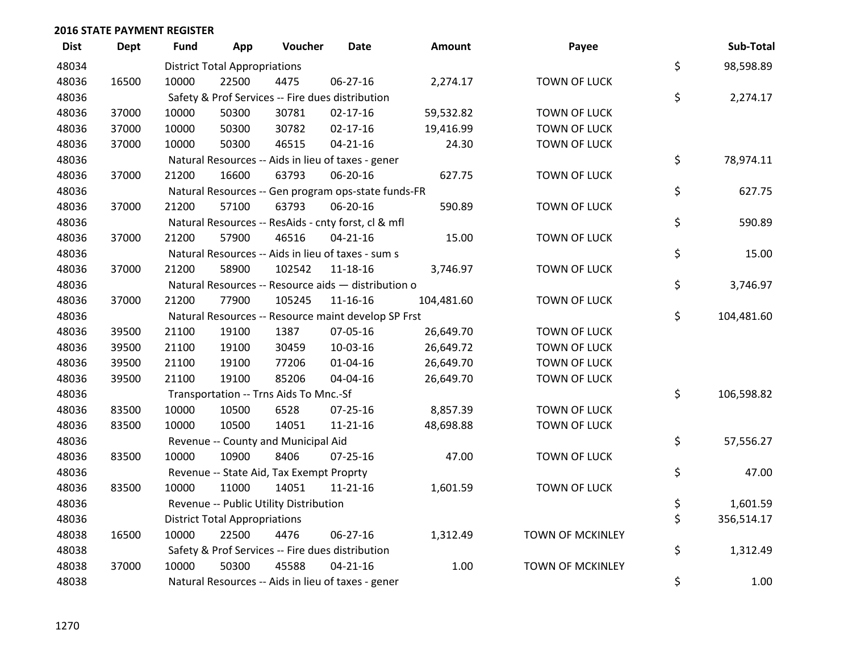| <b>Dist</b> | <b>Dept</b> | <b>Fund</b> | App                                  | Voucher                                  | <b>Date</b>                                         | Amount     | Payee                   | Sub-Total        |
|-------------|-------------|-------------|--------------------------------------|------------------------------------------|-----------------------------------------------------|------------|-------------------------|------------------|
| 48034       |             |             | <b>District Total Appropriations</b> |                                          |                                                     |            |                         | \$<br>98,598.89  |
| 48036       | 16500       | 10000       | 22500                                | 4475                                     | 06-27-16                                            | 2,274.17   | <b>TOWN OF LUCK</b>     |                  |
| 48036       |             |             |                                      |                                          | Safety & Prof Services -- Fire dues distribution    |            |                         | \$<br>2,274.17   |
| 48036       | 37000       | 10000       | 50300                                | 30781                                    | $02 - 17 - 16$                                      | 59,532.82  | <b>TOWN OF LUCK</b>     |                  |
| 48036       | 37000       | 10000       | 50300                                | 30782                                    | $02 - 17 - 16$                                      | 19,416.99  | <b>TOWN OF LUCK</b>     |                  |
| 48036       | 37000       | 10000       | 50300                                | 46515                                    | $04 - 21 - 16$                                      | 24.30      | <b>TOWN OF LUCK</b>     |                  |
| 48036       |             |             |                                      |                                          | Natural Resources -- Aids in lieu of taxes - gener  |            |                         | \$<br>78,974.11  |
| 48036       | 37000       | 21200       | 16600                                | 63793                                    | 06-20-16                                            | 627.75     | <b>TOWN OF LUCK</b>     |                  |
| 48036       |             |             |                                      |                                          | Natural Resources -- Gen program ops-state funds-FR |            |                         | \$<br>627.75     |
| 48036       | 37000       | 21200       | 57100                                | 63793                                    | 06-20-16                                            | 590.89     | <b>TOWN OF LUCK</b>     |                  |
| 48036       |             |             |                                      |                                          | Natural Resources -- ResAids - cnty forst, cl & mfl |            |                         | \$<br>590.89     |
| 48036       | 37000       | 21200       | 57900                                | 46516                                    | $04 - 21 - 16$                                      | 15.00      | <b>TOWN OF LUCK</b>     |                  |
| 48036       |             |             |                                      |                                          | Natural Resources -- Aids in lieu of taxes - sum s  |            |                         | \$<br>15.00      |
| 48036       | 37000       | 21200       | 58900                                | 102542                                   | 11-18-16                                            | 3,746.97   | <b>TOWN OF LUCK</b>     |                  |
| 48036       |             |             |                                      |                                          | Natural Resources -- Resource aids - distribution o |            |                         | \$<br>3,746.97   |
| 48036       | 37000       | 21200       | 77900                                | 105245                                   | $11 - 16 - 16$                                      | 104,481.60 | <b>TOWN OF LUCK</b>     |                  |
| 48036       |             |             |                                      |                                          | Natural Resources -- Resource maint develop SP Frst |            |                         | \$<br>104,481.60 |
| 48036       | 39500       | 21100       | 19100                                | 1387                                     | 07-05-16                                            | 26,649.70  | <b>TOWN OF LUCK</b>     |                  |
| 48036       | 39500       | 21100       | 19100                                | 30459                                    | 10-03-16                                            | 26,649.72  | <b>TOWN OF LUCK</b>     |                  |
| 48036       | 39500       | 21100       | 19100                                | 77206                                    | $01 - 04 - 16$                                      | 26,649.70  | <b>TOWN OF LUCK</b>     |                  |
| 48036       | 39500       | 21100       | 19100                                | 85206                                    | 04-04-16                                            | 26,649.70  | <b>TOWN OF LUCK</b>     |                  |
| 48036       |             |             |                                      | Transportation -- Trns Aids To Mnc.-Sf   |                                                     |            |                         | \$<br>106,598.82 |
| 48036       | 83500       | 10000       | 10500                                | 6528                                     | $07 - 25 - 16$                                      | 8,857.39   | <b>TOWN OF LUCK</b>     |                  |
| 48036       | 83500       | 10000       | 10500                                | 14051                                    | $11 - 21 - 16$                                      | 48,698.88  | <b>TOWN OF LUCK</b>     |                  |
| 48036       |             |             |                                      | Revenue -- County and Municipal Aid      |                                                     |            |                         | \$<br>57,556.27  |
| 48036       | 83500       | 10000       | 10900                                | 8406                                     | $07 - 25 - 16$                                      | 47.00      | <b>TOWN OF LUCK</b>     |                  |
| 48036       |             |             |                                      | Revenue -- State Aid, Tax Exempt Proprty |                                                     |            |                         | \$<br>47.00      |
| 48036       | 83500       | 10000       | 11000                                | 14051                                    | $11 - 21 - 16$                                      | 1,601.59   | <b>TOWN OF LUCK</b>     |                  |
| 48036       |             |             |                                      | Revenue -- Public Utility Distribution   |                                                     |            |                         | \$<br>1,601.59   |
| 48036       |             |             | <b>District Total Appropriations</b> |                                          |                                                     |            |                         | \$<br>356,514.17 |
| 48038       | 16500       | 10000       | 22500                                | 4476                                     | 06-27-16                                            | 1,312.49   | TOWN OF MCKINLEY        |                  |
| 48038       |             |             |                                      |                                          | Safety & Prof Services -- Fire dues distribution    |            |                         | \$<br>1,312.49   |
| 48038       | 37000       | 10000       | 50300                                | 45588                                    | $04 - 21 - 16$                                      | 1.00       | <b>TOWN OF MCKINLEY</b> |                  |
| 48038       |             |             |                                      |                                          | Natural Resources -- Aids in lieu of taxes - gener  |            |                         | \$<br>1.00       |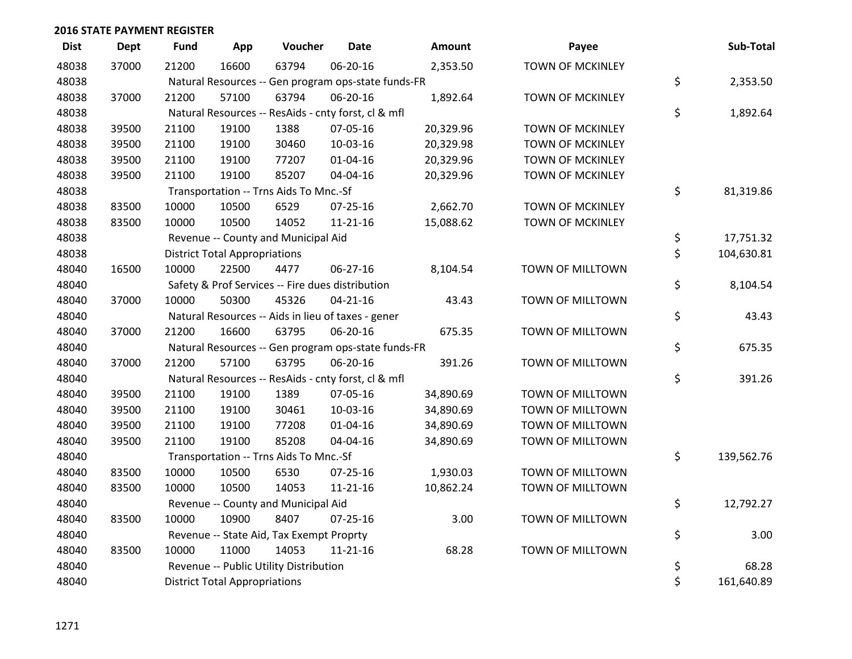| <b>Dist</b> | <b>Dept</b> | <b>Fund</b> | App                                  | Voucher                                             | <b>Date</b>    | <b>Amount</b> | Payee                   | Sub-Total        |
|-------------|-------------|-------------|--------------------------------------|-----------------------------------------------------|----------------|---------------|-------------------------|------------------|
| 48038       | 37000       | 21200       | 16600                                | 63794                                               | 06-20-16       | 2,353.50      | <b>TOWN OF MCKINLEY</b> |                  |
| 48038       |             |             |                                      | Natural Resources -- Gen program ops-state funds-FR |                |               |                         | \$<br>2,353.50   |
| 48038       | 37000       | 21200       | 57100                                | 63794                                               | 06-20-16       | 1,892.64      | <b>TOWN OF MCKINLEY</b> |                  |
| 48038       |             |             |                                      | Natural Resources -- ResAids - cnty forst, cl & mfl |                |               |                         | \$<br>1,892.64   |
| 48038       | 39500       | 21100       | 19100                                | 1388                                                | 07-05-16       | 20,329.96     | <b>TOWN OF MCKINLEY</b> |                  |
| 48038       | 39500       | 21100       | 19100                                | 30460                                               | 10-03-16       | 20,329.98     | TOWN OF MCKINLEY        |                  |
| 48038       | 39500       | 21100       | 19100                                | 77207                                               | $01 - 04 - 16$ | 20,329.96     | TOWN OF MCKINLEY        |                  |
| 48038       | 39500       | 21100       | 19100                                | 85207                                               | 04-04-16       | 20,329.96     | TOWN OF MCKINLEY        |                  |
| 48038       |             |             |                                      | Transportation -- Trns Aids To Mnc.-Sf              |                |               |                         | \$<br>81,319.86  |
| 48038       | 83500       | 10000       | 10500                                | 6529                                                | $07 - 25 - 16$ | 2,662.70      | <b>TOWN OF MCKINLEY</b> |                  |
| 48038       | 83500       | 10000       | 10500                                | 14052                                               | $11 - 21 - 16$ | 15,088.62     | <b>TOWN OF MCKINLEY</b> |                  |
| 48038       |             |             |                                      | Revenue -- County and Municipal Aid                 |                |               |                         | \$<br>17,751.32  |
| 48038       |             |             | <b>District Total Appropriations</b> |                                                     |                |               |                         | \$<br>104,630.81 |
| 48040       | 16500       | 10000       | 22500                                | 4477                                                | 06-27-16       | 8,104.54      | TOWN OF MILLTOWN        |                  |
| 48040       |             |             |                                      | Safety & Prof Services -- Fire dues distribution    |                |               |                         | \$<br>8,104.54   |
| 48040       | 37000       | 10000       | 50300                                | 45326                                               | $04 - 21 - 16$ | 43.43         | TOWN OF MILLTOWN        |                  |
| 48040       |             |             |                                      | Natural Resources -- Aids in lieu of taxes - gener  |                |               |                         | \$<br>43.43      |
| 48040       | 37000       | 21200       | 16600                                | 63795                                               | 06-20-16       | 675.35        | TOWN OF MILLTOWN        |                  |
| 48040       |             |             |                                      | Natural Resources -- Gen program ops-state funds-FR |                |               |                         | \$<br>675.35     |
| 48040       | 37000       | 21200       | 57100                                | 63795                                               | 06-20-16       | 391.26        | TOWN OF MILLTOWN        |                  |
| 48040       |             |             |                                      | Natural Resources -- ResAids - cnty forst, cl & mfl |                |               |                         | \$<br>391.26     |
| 48040       | 39500       | 21100       | 19100                                | 1389                                                | 07-05-16       | 34,890.69     | TOWN OF MILLTOWN        |                  |
| 48040       | 39500       | 21100       | 19100                                | 30461                                               | 10-03-16       | 34,890.69     | TOWN OF MILLTOWN        |                  |
| 48040       | 39500       | 21100       | 19100                                | 77208                                               | $01 - 04 - 16$ | 34,890.69     | TOWN OF MILLTOWN        |                  |
| 48040       | 39500       | 21100       | 19100                                | 85208                                               | 04-04-16       | 34,890.69     | TOWN OF MILLTOWN        |                  |
| 48040       |             |             |                                      | Transportation -- Trns Aids To Mnc.-Sf              |                |               |                         | \$<br>139,562.76 |
| 48040       | 83500       | 10000       | 10500                                | 6530                                                | $07 - 25 - 16$ | 1,930.03      | TOWN OF MILLTOWN        |                  |
| 48040       | 83500       | 10000       | 10500                                | 14053                                               | $11 - 21 - 16$ | 10,862.24     | TOWN OF MILLTOWN        |                  |
| 48040       |             |             |                                      | Revenue -- County and Municipal Aid                 |                |               |                         | \$<br>12,792.27  |
| 48040       | 83500       | 10000       | 10900                                | 8407                                                | $07 - 25 - 16$ | 3.00          | TOWN OF MILLTOWN        |                  |
| 48040       |             |             |                                      | Revenue -- State Aid, Tax Exempt Proprty            |                |               |                         | \$<br>3.00       |
| 48040       | 83500       | 10000       | 11000                                | 14053                                               | $11 - 21 - 16$ | 68.28         | TOWN OF MILLTOWN        |                  |
| 48040       |             |             |                                      | Revenue -- Public Utility Distribution              |                |               |                         | \$<br>68.28      |
| 48040       |             |             | <b>District Total Appropriations</b> |                                                     |                |               |                         | \$<br>161,640.89 |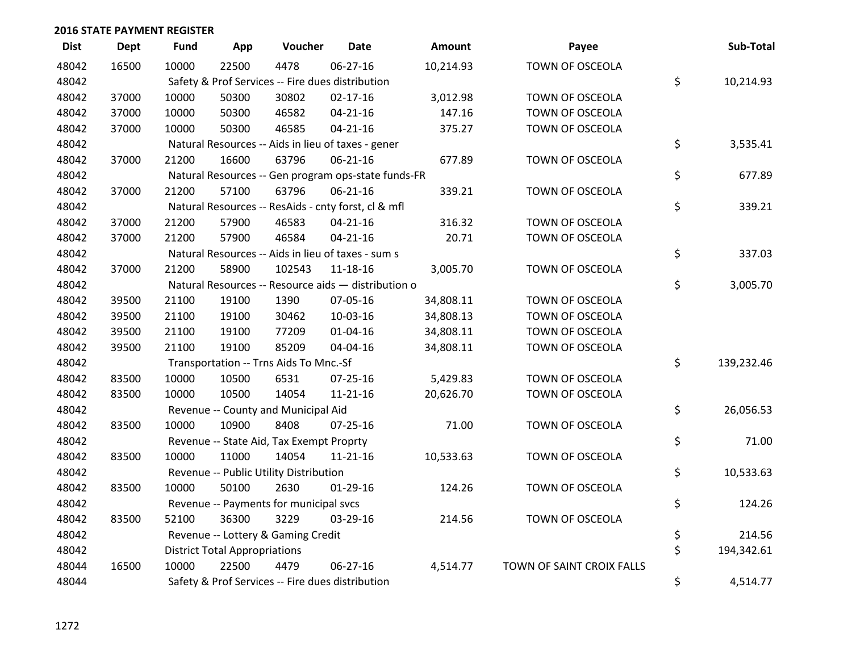| <b>Dist</b> | <b>Dept</b> | <b>Fund</b> | App                                  | Voucher                                             | <b>Date</b>    | <b>Amount</b> | Payee                     | Sub-Total        |
|-------------|-------------|-------------|--------------------------------------|-----------------------------------------------------|----------------|---------------|---------------------------|------------------|
| 48042       | 16500       | 10000       | 22500                                | 4478                                                | 06-27-16       | 10,214.93     | TOWN OF OSCEOLA           |                  |
| 48042       |             |             |                                      | Safety & Prof Services -- Fire dues distribution    |                |               |                           | \$<br>10,214.93  |
| 48042       | 37000       | 10000       | 50300                                | 30802                                               | $02 - 17 - 16$ | 3,012.98      | TOWN OF OSCEOLA           |                  |
| 48042       | 37000       | 10000       | 50300                                | 46582                                               | $04 - 21 - 16$ | 147.16        | TOWN OF OSCEOLA           |                  |
| 48042       | 37000       | 10000       | 50300                                | 46585                                               | $04 - 21 - 16$ | 375.27        | TOWN OF OSCEOLA           |                  |
| 48042       |             |             |                                      | Natural Resources -- Aids in lieu of taxes - gener  |                |               |                           | \$<br>3,535.41   |
| 48042       | 37000       | 21200       | 16600                                | 63796                                               | $06 - 21 - 16$ | 677.89        | TOWN OF OSCEOLA           |                  |
| 48042       |             |             |                                      | Natural Resources -- Gen program ops-state funds-FR |                |               |                           | \$<br>677.89     |
| 48042       | 37000       | 21200       | 57100                                | 63796                                               | 06-21-16       | 339.21        | TOWN OF OSCEOLA           |                  |
| 48042       |             |             |                                      | Natural Resources -- ResAids - cnty forst, cl & mfl |                |               |                           | \$<br>339.21     |
| 48042       | 37000       | 21200       | 57900                                | 46583                                               | $04 - 21 - 16$ | 316.32        | TOWN OF OSCEOLA           |                  |
| 48042       | 37000       | 21200       | 57900                                | 46584                                               | $04 - 21 - 16$ | 20.71         | TOWN OF OSCEOLA           |                  |
| 48042       |             |             |                                      | Natural Resources -- Aids in lieu of taxes - sum s  |                |               |                           | \$<br>337.03     |
| 48042       | 37000       | 21200       | 58900                                | 102543                                              | $11 - 18 - 16$ | 3,005.70      | TOWN OF OSCEOLA           |                  |
| 48042       |             |             |                                      | Natural Resources -- Resource aids - distribution o |                |               |                           | \$<br>3,005.70   |
| 48042       | 39500       | 21100       | 19100                                | 1390                                                | 07-05-16       | 34,808.11     | TOWN OF OSCEOLA           |                  |
| 48042       | 39500       | 21100       | 19100                                | 30462                                               | 10-03-16       | 34,808.13     | TOWN OF OSCEOLA           |                  |
| 48042       | 39500       | 21100       | 19100                                | 77209                                               | $01 - 04 - 16$ | 34,808.11     | TOWN OF OSCEOLA           |                  |
| 48042       | 39500       | 21100       | 19100                                | 85209                                               | 04-04-16       | 34,808.11     | TOWN OF OSCEOLA           |                  |
| 48042       |             |             |                                      | Transportation -- Trns Aids To Mnc.-Sf              |                |               |                           | \$<br>139,232.46 |
| 48042       | 83500       | 10000       | 10500                                | 6531                                                | $07 - 25 - 16$ | 5,429.83      | TOWN OF OSCEOLA           |                  |
| 48042       | 83500       | 10000       | 10500                                | 14054                                               | $11 - 21 - 16$ | 20,626.70     | TOWN OF OSCEOLA           |                  |
| 48042       |             |             |                                      | Revenue -- County and Municipal Aid                 |                |               |                           | \$<br>26,056.53  |
| 48042       | 83500       | 10000       | 10900                                | 8408                                                | $07 - 25 - 16$ | 71.00         | TOWN OF OSCEOLA           |                  |
| 48042       |             |             |                                      | Revenue -- State Aid, Tax Exempt Proprty            |                |               |                           | \$<br>71.00      |
| 48042       | 83500       | 10000       | 11000                                | 14054                                               | $11 - 21 - 16$ | 10,533.63     | TOWN OF OSCEOLA           |                  |
| 48042       |             |             |                                      | Revenue -- Public Utility Distribution              |                |               |                           | \$<br>10,533.63  |
| 48042       | 83500       | 10000       | 50100                                | 2630                                                | $01-29-16$     | 124.26        | TOWN OF OSCEOLA           |                  |
| 48042       |             |             |                                      | Revenue -- Payments for municipal svcs              |                |               |                           | \$<br>124.26     |
| 48042       | 83500       | 52100       | 36300                                | 3229                                                | 03-29-16       | 214.56        | TOWN OF OSCEOLA           |                  |
| 48042       |             |             |                                      | Revenue -- Lottery & Gaming Credit                  |                |               |                           | \$<br>214.56     |
| 48042       |             |             | <b>District Total Appropriations</b> |                                                     |                |               |                           | \$<br>194,342.61 |
| 48044       | 16500       | 10000       | 22500                                | 4479                                                | 06-27-16       | 4,514.77      | TOWN OF SAINT CROIX FALLS |                  |
| 48044       |             |             |                                      | Safety & Prof Services -- Fire dues distribution    |                |               |                           | \$<br>4,514.77   |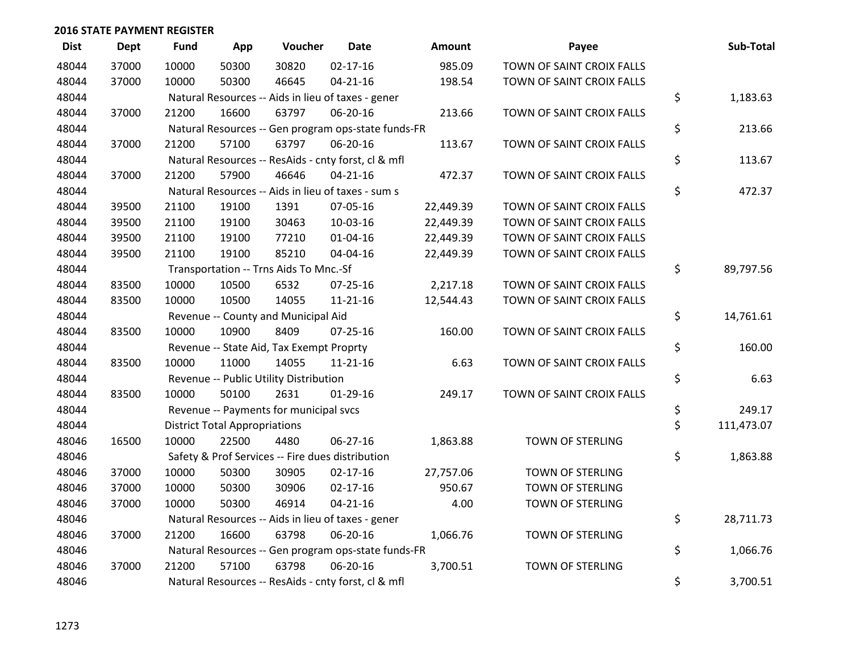| <b>Dist</b> | <b>Dept</b> | <b>Fund</b> | App                                  | Voucher                                             | <b>Date</b>    | <b>Amount</b> | Payee                     | Sub-Total        |
|-------------|-------------|-------------|--------------------------------------|-----------------------------------------------------|----------------|---------------|---------------------------|------------------|
| 48044       | 37000       | 10000       | 50300                                | 30820                                               | $02 - 17 - 16$ | 985.09        | TOWN OF SAINT CROIX FALLS |                  |
| 48044       | 37000       | 10000       | 50300                                | 46645                                               | $04 - 21 - 16$ | 198.54        | TOWN OF SAINT CROIX FALLS |                  |
| 48044       |             |             |                                      | Natural Resources -- Aids in lieu of taxes - gener  |                |               |                           | \$<br>1,183.63   |
| 48044       | 37000       | 21200       | 16600                                | 63797                                               | 06-20-16       | 213.66        | TOWN OF SAINT CROIX FALLS |                  |
| 48044       |             |             |                                      | Natural Resources -- Gen program ops-state funds-FR |                |               |                           | \$<br>213.66     |
| 48044       | 37000       | 21200       | 57100                                | 63797                                               | 06-20-16       | 113.67        | TOWN OF SAINT CROIX FALLS |                  |
| 48044       |             |             |                                      | Natural Resources -- ResAids - cnty forst, cl & mfl |                |               |                           | \$<br>113.67     |
| 48044       | 37000       | 21200       | 57900                                | 46646                                               | $04 - 21 - 16$ | 472.37        | TOWN OF SAINT CROIX FALLS |                  |
| 48044       |             |             |                                      | Natural Resources -- Aids in lieu of taxes - sum s  |                |               |                           | \$<br>472.37     |
| 48044       | 39500       | 21100       | 19100                                | 1391                                                | 07-05-16       | 22,449.39     | TOWN OF SAINT CROIX FALLS |                  |
| 48044       | 39500       | 21100       | 19100                                | 30463                                               | 10-03-16       | 22,449.39     | TOWN OF SAINT CROIX FALLS |                  |
| 48044       | 39500       | 21100       | 19100                                | 77210                                               | $01 - 04 - 16$ | 22,449.39     | TOWN OF SAINT CROIX FALLS |                  |
| 48044       | 39500       | 21100       | 19100                                | 85210                                               | 04-04-16       | 22,449.39     | TOWN OF SAINT CROIX FALLS |                  |
| 48044       |             |             |                                      | Transportation -- Trns Aids To Mnc.-Sf              |                |               |                           | \$<br>89,797.56  |
| 48044       | 83500       | 10000       | 10500                                | 6532                                                | 07-25-16       | 2,217.18      | TOWN OF SAINT CROIX FALLS |                  |
| 48044       | 83500       | 10000       | 10500                                | 14055                                               | $11 - 21 - 16$ | 12,544.43     | TOWN OF SAINT CROIX FALLS |                  |
| 48044       |             |             |                                      | Revenue -- County and Municipal Aid                 |                |               |                           | \$<br>14,761.61  |
| 48044       | 83500       | 10000       | 10900                                | 8409                                                | $07 - 25 - 16$ | 160.00        | TOWN OF SAINT CROIX FALLS |                  |
| 48044       |             |             |                                      | Revenue -- State Aid, Tax Exempt Proprty            |                |               |                           | \$<br>160.00     |
| 48044       | 83500       | 10000       | 11000                                | 14055                                               | $11 - 21 - 16$ | 6.63          | TOWN OF SAINT CROIX FALLS |                  |
| 48044       |             |             |                                      | Revenue -- Public Utility Distribution              |                |               |                           | \$<br>6.63       |
| 48044       | 83500       | 10000       | 50100                                | 2631                                                | $01-29-16$     | 249.17        | TOWN OF SAINT CROIX FALLS |                  |
| 48044       |             |             |                                      | Revenue -- Payments for municipal svcs              |                |               |                           | \$<br>249.17     |
| 48044       |             |             | <b>District Total Appropriations</b> |                                                     |                |               |                           | \$<br>111,473.07 |
| 48046       | 16500       | 10000       | 22500                                | 4480                                                | 06-27-16       | 1,863.88      | TOWN OF STERLING          |                  |
| 48046       |             |             |                                      | Safety & Prof Services -- Fire dues distribution    |                |               |                           | \$<br>1,863.88   |
| 48046       | 37000       | 10000       | 50300                                | 30905                                               | $02 - 17 - 16$ | 27,757.06     | TOWN OF STERLING          |                  |
| 48046       | 37000       | 10000       | 50300                                | 30906                                               | $02 - 17 - 16$ | 950.67        | <b>TOWN OF STERLING</b>   |                  |
| 48046       | 37000       | 10000       | 50300                                | 46914                                               | $04 - 21 - 16$ | 4.00          | <b>TOWN OF STERLING</b>   |                  |
| 48046       |             |             |                                      | Natural Resources -- Aids in lieu of taxes - gener  |                |               |                           | \$<br>28,711.73  |
| 48046       | 37000       | 21200       | 16600                                | 63798                                               | 06-20-16       | 1,066.76      | TOWN OF STERLING          |                  |
| 48046       |             |             |                                      | Natural Resources -- Gen program ops-state funds-FR |                |               |                           | \$<br>1,066.76   |
| 48046       | 37000       | 21200       | 57100                                | 63798                                               | 06-20-16       | 3,700.51      | <b>TOWN OF STERLING</b>   |                  |
| 48046       |             |             |                                      | Natural Resources -- ResAids - cnty forst, cl & mfl |                |               |                           | \$<br>3,700.51   |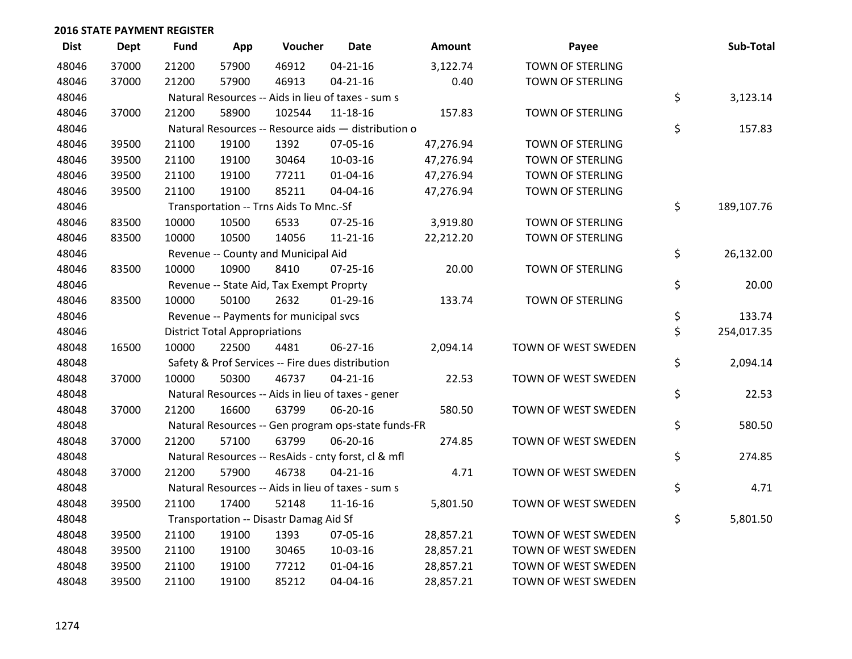| <b>Dist</b> | <b>Dept</b> | <b>Fund</b> | App                                  | Voucher                                             | <b>Date</b>    | Amount    | Payee                   | Sub-Total        |
|-------------|-------------|-------------|--------------------------------------|-----------------------------------------------------|----------------|-----------|-------------------------|------------------|
| 48046       | 37000       | 21200       | 57900                                | 46912                                               | $04 - 21 - 16$ | 3,122.74  | TOWN OF STERLING        |                  |
| 48046       | 37000       | 21200       | 57900                                | 46913                                               | $04 - 21 - 16$ | 0.40      | <b>TOWN OF STERLING</b> |                  |
| 48046       |             |             |                                      | Natural Resources -- Aids in lieu of taxes - sum s  |                |           |                         | \$<br>3,123.14   |
| 48046       | 37000       | 21200       | 58900                                | 102544                                              | 11-18-16       | 157.83    | <b>TOWN OF STERLING</b> |                  |
| 48046       |             |             |                                      | Natural Resources -- Resource aids - distribution o |                |           |                         | \$<br>157.83     |
| 48046       | 39500       | 21100       | 19100                                | 1392                                                | 07-05-16       | 47,276.94 | TOWN OF STERLING        |                  |
| 48046       | 39500       | 21100       | 19100                                | 30464                                               | 10-03-16       | 47,276.94 | <b>TOWN OF STERLING</b> |                  |
| 48046       | 39500       | 21100       | 19100                                | 77211                                               | $01 - 04 - 16$ | 47,276.94 | <b>TOWN OF STERLING</b> |                  |
| 48046       | 39500       | 21100       | 19100                                | 85211                                               | 04-04-16       | 47,276.94 | TOWN OF STERLING        |                  |
| 48046       |             |             |                                      | Transportation -- Trns Aids To Mnc.-Sf              |                |           |                         | \$<br>189,107.76 |
| 48046       | 83500       | 10000       | 10500                                | 6533                                                | 07-25-16       | 3,919.80  | TOWN OF STERLING        |                  |
| 48046       | 83500       | 10000       | 10500                                | 14056                                               | $11 - 21 - 16$ | 22,212.20 | TOWN OF STERLING        |                  |
| 48046       |             |             |                                      | Revenue -- County and Municipal Aid                 |                |           |                         | \$<br>26,132.00  |
| 48046       | 83500       | 10000       | 10900                                | 8410                                                | $07 - 25 - 16$ | 20.00     | TOWN OF STERLING        |                  |
| 48046       |             |             |                                      | Revenue -- State Aid, Tax Exempt Proprty            |                |           |                         | \$<br>20.00      |
| 48046       | 83500       | 10000       | 50100                                | 2632                                                | $01-29-16$     | 133.74    | TOWN OF STERLING        |                  |
| 48046       |             |             |                                      | Revenue -- Payments for municipal svcs              |                |           |                         | \$<br>133.74     |
| 48046       |             |             | <b>District Total Appropriations</b> |                                                     |                |           |                         | \$<br>254,017.35 |
| 48048       | 16500       | 10000       | 22500                                | 4481                                                | 06-27-16       | 2,094.14  | TOWN OF WEST SWEDEN     |                  |
| 48048       |             |             |                                      | Safety & Prof Services -- Fire dues distribution    |                |           |                         | \$<br>2,094.14   |
| 48048       | 37000       | 10000       | 50300                                | 46737                                               | $04 - 21 - 16$ | 22.53     | TOWN OF WEST SWEDEN     |                  |
| 48048       |             |             |                                      | Natural Resources -- Aids in lieu of taxes - gener  |                |           |                         | \$<br>22.53      |
| 48048       | 37000       | 21200       | 16600                                | 63799                                               | 06-20-16       | 580.50    | TOWN OF WEST SWEDEN     |                  |
| 48048       |             |             |                                      | Natural Resources -- Gen program ops-state funds-FR |                |           |                         | \$<br>580.50     |
| 48048       | 37000       | 21200       | 57100                                | 63799                                               | 06-20-16       | 274.85    | TOWN OF WEST SWEDEN     |                  |
| 48048       |             |             |                                      | Natural Resources -- ResAids - cnty forst, cl & mfl |                |           |                         | \$<br>274.85     |
| 48048       | 37000       | 21200       | 57900                                | 46738                                               | $04 - 21 - 16$ | 4.71      | TOWN OF WEST SWEDEN     |                  |
| 48048       |             |             |                                      | Natural Resources -- Aids in lieu of taxes - sum s  |                |           |                         | \$<br>4.71       |
| 48048       | 39500       | 21100       | 17400                                | 52148                                               | $11 - 16 - 16$ | 5,801.50  | TOWN OF WEST SWEDEN     |                  |
| 48048       |             |             |                                      | Transportation -- Disastr Damag Aid Sf              |                |           |                         | \$<br>5,801.50   |
| 48048       | 39500       | 21100       | 19100                                | 1393                                                | 07-05-16       | 28,857.21 | TOWN OF WEST SWEDEN     |                  |
| 48048       | 39500       | 21100       | 19100                                | 30465                                               | 10-03-16       | 28,857.21 | TOWN OF WEST SWEDEN     |                  |
| 48048       | 39500       | 21100       | 19100                                | 77212                                               | $01 - 04 - 16$ | 28,857.21 | TOWN OF WEST SWEDEN     |                  |
| 48048       | 39500       | 21100       | 19100                                | 85212                                               | 04-04-16       | 28,857.21 | TOWN OF WEST SWEDEN     |                  |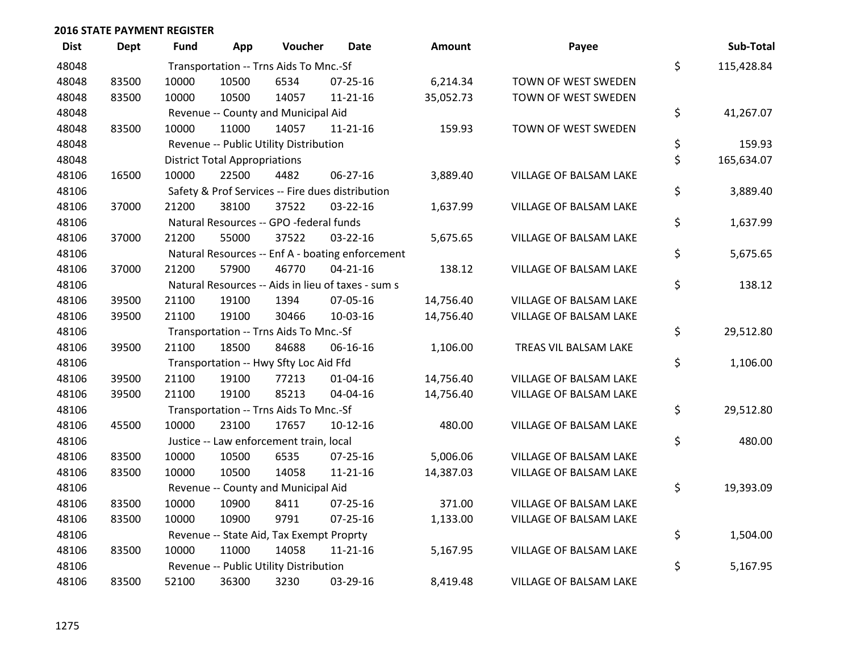| <b>Dist</b> | Dept  | Fund  | App                                  | Voucher                                  | <b>Date</b>                                        | Amount    | Payee                  | Sub-Total        |
|-------------|-------|-------|--------------------------------------|------------------------------------------|----------------------------------------------------|-----------|------------------------|------------------|
| 48048       |       |       |                                      | Transportation -- Trns Aids To Mnc.-Sf   |                                                    |           |                        | \$<br>115,428.84 |
| 48048       | 83500 | 10000 | 10500                                | 6534                                     | 07-25-16                                           | 6,214.34  | TOWN OF WEST SWEDEN    |                  |
| 48048       | 83500 | 10000 | 10500                                | 14057                                    | $11 - 21 - 16$                                     | 35,052.73 | TOWN OF WEST SWEDEN    |                  |
| 48048       |       |       |                                      | Revenue -- County and Municipal Aid      |                                                    |           |                        | \$<br>41,267.07  |
| 48048       | 83500 | 10000 | 11000                                | 14057                                    | $11 - 21 - 16$                                     | 159.93    | TOWN OF WEST SWEDEN    |                  |
| 48048       |       |       |                                      | Revenue -- Public Utility Distribution   |                                                    |           |                        | \$<br>159.93     |
| 48048       |       |       | <b>District Total Appropriations</b> |                                          |                                                    |           |                        | \$<br>165,634.07 |
| 48106       | 16500 | 10000 | 22500                                | 4482                                     | 06-27-16                                           | 3,889.40  | VILLAGE OF BALSAM LAKE |                  |
| 48106       |       |       |                                      |                                          | Safety & Prof Services -- Fire dues distribution   |           |                        | \$<br>3,889.40   |
| 48106       | 37000 | 21200 | 38100                                | 37522                                    | 03-22-16                                           | 1,637.99  | VILLAGE OF BALSAM LAKE |                  |
| 48106       |       |       |                                      | Natural Resources -- GPO -federal funds  |                                                    |           |                        | \$<br>1,637.99   |
| 48106       | 37000 | 21200 | 55000                                | 37522                                    | 03-22-16                                           | 5,675.65  | VILLAGE OF BALSAM LAKE |                  |
| 48106       |       |       |                                      |                                          | Natural Resources -- Enf A - boating enforcement   |           |                        | \$<br>5,675.65   |
| 48106       | 37000 | 21200 | 57900                                | 46770                                    | $04 - 21 - 16$                                     | 138.12    | VILLAGE OF BALSAM LAKE |                  |
| 48106       |       |       |                                      |                                          | Natural Resources -- Aids in lieu of taxes - sum s |           |                        | \$<br>138.12     |
| 48106       | 39500 | 21100 | 19100                                | 1394                                     | 07-05-16                                           | 14,756.40 | VILLAGE OF BALSAM LAKE |                  |
| 48106       | 39500 | 21100 | 19100                                | 30466                                    | 10-03-16                                           | 14,756.40 | VILLAGE OF BALSAM LAKE |                  |
| 48106       |       |       |                                      | Transportation -- Trns Aids To Mnc.-Sf   |                                                    |           |                        | \$<br>29,512.80  |
| 48106       | 39500 | 21100 | 18500                                | 84688                                    | 06-16-16                                           | 1,106.00  | TREAS VIL BALSAM LAKE  |                  |
| 48106       |       |       |                                      | Transportation -- Hwy Sfty Loc Aid Ffd   |                                                    |           |                        | \$<br>1,106.00   |
| 48106       | 39500 | 21100 | 19100                                | 77213                                    | 01-04-16                                           | 14,756.40 | VILLAGE OF BALSAM LAKE |                  |
| 48106       | 39500 | 21100 | 19100                                | 85213                                    | 04-04-16                                           | 14,756.40 | VILLAGE OF BALSAM LAKE |                  |
| 48106       |       |       |                                      | Transportation -- Trns Aids To Mnc.-Sf   |                                                    |           |                        | \$<br>29,512.80  |
| 48106       | 45500 | 10000 | 23100                                | 17657                                    | $10-12-16$                                         | 480.00    | VILLAGE OF BALSAM LAKE |                  |
| 48106       |       |       |                                      | Justice -- Law enforcement train, local  |                                                    |           |                        | \$<br>480.00     |
| 48106       | 83500 | 10000 | 10500                                | 6535                                     | $07 - 25 - 16$                                     | 5,006.06  | VILLAGE OF BALSAM LAKE |                  |
| 48106       | 83500 | 10000 | 10500                                | 14058                                    | $11 - 21 - 16$                                     | 14,387.03 | VILLAGE OF BALSAM LAKE |                  |
| 48106       |       |       |                                      | Revenue -- County and Municipal Aid      |                                                    |           |                        | \$<br>19,393.09  |
| 48106       | 83500 | 10000 | 10900                                | 8411                                     | 07-25-16                                           | 371.00    | VILLAGE OF BALSAM LAKE |                  |
| 48106       | 83500 | 10000 | 10900                                | 9791                                     | $07 - 25 - 16$                                     | 1,133.00  | VILLAGE OF BALSAM LAKE |                  |
| 48106       |       |       |                                      | Revenue -- State Aid, Tax Exempt Proprty |                                                    |           |                        | \$<br>1,504.00   |
| 48106       | 83500 | 10000 | 11000                                | 14058                                    | $11 - 21 - 16$                                     | 5,167.95  | VILLAGE OF BALSAM LAKE |                  |
| 48106       |       |       |                                      | Revenue -- Public Utility Distribution   |                                                    |           |                        | \$<br>5,167.95   |
| 48106       | 83500 | 52100 | 36300                                | 3230                                     | 03-29-16                                           | 8,419.48  | VILLAGE OF BALSAM LAKE |                  |

| <b>mount</b> | Payee                  | Sub-Total        |
|--------------|------------------------|------------------|
|              |                        | \$<br>115,428.84 |
| ,214.34      | TOWN OF WEST SWEDEN    |                  |
| ,052.73      | TOWN OF WEST SWEDEN    |                  |
|              |                        | \$<br>41,267.07  |
| 159.93       | TOWN OF WEST SWEDEN    |                  |
|              |                        | \$<br>159.93     |
|              |                        | \$<br>165,634.07 |
| ,889.40      | VILLAGE OF BALSAM LAKE |                  |
|              |                        | \$<br>3,889.40   |
| ,637.99      | VILLAGE OF BALSAM LAKE |                  |
|              |                        | \$<br>1,637.99   |
| ,675.65      | VILLAGE OF BALSAM LAKE |                  |
|              |                        | \$<br>5,675.65   |
| 138.12       | VILLAGE OF BALSAM LAKE | \$<br>138.12     |
| ,756.40      | VILLAGE OF BALSAM LAKE |                  |
| ,756.40      | VILLAGE OF BALSAM LAKE |                  |
|              |                        | \$<br>29,512.80  |
| ,106.00      | TREAS VIL BALSAM LAKE  |                  |
|              |                        | \$<br>1,106.00   |
| ,756.40      | VILLAGE OF BALSAM LAKE |                  |
| ,756.40      | VILLAGE OF BALSAM LAKE |                  |
|              |                        | \$<br>29,512.80  |
| 480.00       | VILLAGE OF BALSAM LAKE |                  |
|              |                        | \$<br>480.00     |
| ,006.06      | VILLAGE OF BALSAM LAKE |                  |
| ,387.03      | VILLAGE OF BALSAM LAKE |                  |
|              |                        | \$<br>19,393.09  |
| 371.00       | VILLAGE OF BALSAM LAKE |                  |
| ,133.00      | VILLAGE OF BALSAM LAKE |                  |
|              |                        | \$<br>1,504.00   |
| ,167.95      | VILLAGE OF BALSAM LAKE |                  |
|              |                        | \$<br>5,167.95   |
| ,419.48      | VILLAGE OF BALSAM LAKE |                  |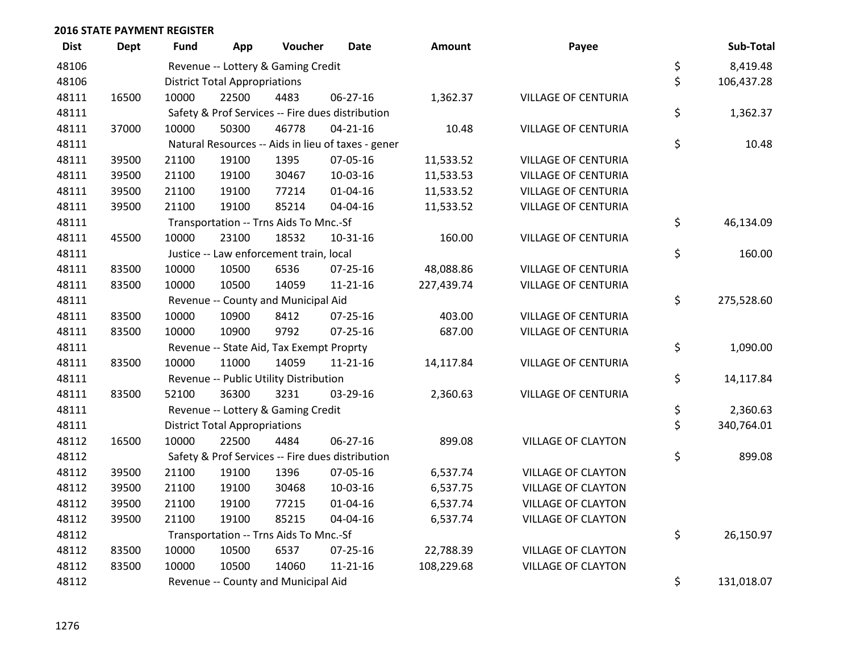| <b>Dist</b> | <b>Dept</b> | Fund  | App                                  | Voucher                                  | <b>Date</b>                                        | <b>Amount</b> | Payee                      | Sub-Total        |
|-------------|-------------|-------|--------------------------------------|------------------------------------------|----------------------------------------------------|---------------|----------------------------|------------------|
| 48106       |             |       |                                      | Revenue -- Lottery & Gaming Credit       |                                                    |               |                            | \$<br>8,419.48   |
| 48106       |             |       | <b>District Total Appropriations</b> |                                          |                                                    |               |                            | \$<br>106,437.28 |
| 48111       | 16500       | 10000 | 22500                                | 4483                                     | 06-27-16                                           | 1,362.37      | <b>VILLAGE OF CENTURIA</b> |                  |
| 48111       |             |       |                                      |                                          | Safety & Prof Services -- Fire dues distribution   |               |                            | \$<br>1,362.37   |
| 48111       | 37000       | 10000 | 50300                                | 46778                                    | $04 - 21 - 16$                                     | 10.48         | <b>VILLAGE OF CENTURIA</b> |                  |
| 48111       |             |       |                                      |                                          | Natural Resources -- Aids in lieu of taxes - gener |               |                            | \$<br>10.48      |
| 48111       | 39500       | 21100 | 19100                                | 1395                                     | 07-05-16                                           | 11,533.52     | <b>VILLAGE OF CENTURIA</b> |                  |
| 48111       | 39500       | 21100 | 19100                                | 30467                                    | 10-03-16                                           | 11,533.53     | <b>VILLAGE OF CENTURIA</b> |                  |
| 48111       | 39500       | 21100 | 19100                                | 77214                                    | 01-04-16                                           | 11,533.52     | <b>VILLAGE OF CENTURIA</b> |                  |
| 48111       | 39500       | 21100 | 19100                                | 85214                                    | 04-04-16                                           | 11,533.52     | VILLAGE OF CENTURIA        |                  |
| 48111       |             |       |                                      | Transportation -- Trns Aids To Mnc.-Sf   |                                                    |               |                            | \$<br>46,134.09  |
| 48111       | 45500       | 10000 | 23100                                | 18532                                    | 10-31-16                                           | 160.00        | <b>VILLAGE OF CENTURIA</b> |                  |
| 48111       |             |       |                                      | Justice -- Law enforcement train, local  |                                                    |               |                            | \$<br>160.00     |
| 48111       | 83500       | 10000 | 10500                                | 6536                                     | $07 - 25 - 16$                                     | 48,088.86     | <b>VILLAGE OF CENTURIA</b> |                  |
| 48111       | 83500       | 10000 | 10500                                | 14059                                    | $11 - 21 - 16$                                     | 227,439.74    | <b>VILLAGE OF CENTURIA</b> |                  |
| 48111       |             |       |                                      | Revenue -- County and Municipal Aid      |                                                    |               |                            | \$<br>275,528.60 |
| 48111       | 83500       | 10000 | 10900                                | 8412                                     | $07 - 25 - 16$                                     | 403.00        | <b>VILLAGE OF CENTURIA</b> |                  |
| 48111       | 83500       | 10000 | 10900                                | 9792                                     | $07 - 25 - 16$                                     | 687.00        | <b>VILLAGE OF CENTURIA</b> |                  |
| 48111       |             |       |                                      | Revenue -- State Aid, Tax Exempt Proprty |                                                    |               |                            | \$<br>1,090.00   |
| 48111       | 83500       | 10000 | 11000                                | 14059                                    | $11 - 21 - 16$                                     | 14,117.84     | <b>VILLAGE OF CENTURIA</b> |                  |
| 48111       |             |       |                                      | Revenue -- Public Utility Distribution   |                                                    |               |                            | \$<br>14,117.84  |
| 48111       | 83500       | 52100 | 36300                                | 3231                                     | 03-29-16                                           | 2,360.63      | <b>VILLAGE OF CENTURIA</b> |                  |
| 48111       |             |       |                                      | Revenue -- Lottery & Gaming Credit       |                                                    |               |                            | \$<br>2,360.63   |
| 48111       |             |       | <b>District Total Appropriations</b> |                                          |                                                    |               |                            | \$<br>340,764.01 |
| 48112       | 16500       | 10000 | 22500                                | 4484                                     | 06-27-16                                           | 899.08        | <b>VILLAGE OF CLAYTON</b>  |                  |
| 48112       |             |       |                                      |                                          | Safety & Prof Services -- Fire dues distribution   |               |                            | \$<br>899.08     |
| 48112       | 39500       | 21100 | 19100                                | 1396                                     | 07-05-16                                           | 6,537.74      | <b>VILLAGE OF CLAYTON</b>  |                  |
| 48112       | 39500       | 21100 | 19100                                | 30468                                    | 10-03-16                                           | 6,537.75      | <b>VILLAGE OF CLAYTON</b>  |                  |
| 48112       | 39500       | 21100 | 19100                                | 77215                                    | 01-04-16                                           | 6,537.74      | <b>VILLAGE OF CLAYTON</b>  |                  |
| 48112       | 39500       | 21100 | 19100                                | 85215                                    | 04-04-16                                           | 6,537.74      | <b>VILLAGE OF CLAYTON</b>  |                  |
| 48112       |             |       |                                      | Transportation -- Trns Aids To Mnc.-Sf   |                                                    |               |                            | \$<br>26,150.97  |
| 48112       | 83500       | 10000 | 10500                                | 6537                                     | $07 - 25 - 16$                                     | 22,788.39     | <b>VILLAGE OF CLAYTON</b>  |                  |
| 48112       | 83500       | 10000 | 10500                                | 14060                                    | 11-21-16                                           | 108,229.68    | <b>VILLAGE OF CLAYTON</b>  |                  |
| 48112       |             |       |                                      | Revenue -- County and Municipal Aid      |                                                    |               |                            | \$<br>131,018.07 |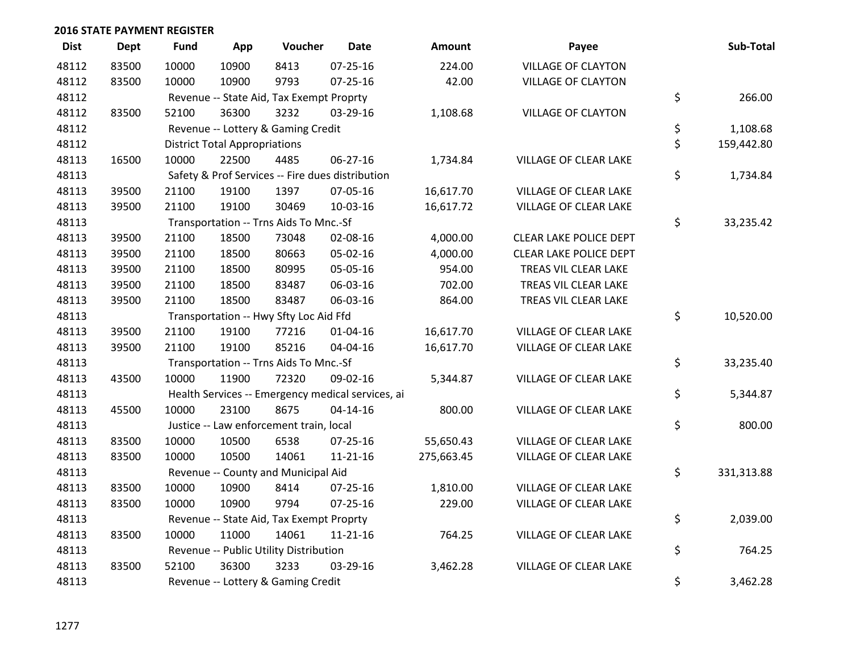| <b>Dist</b> | <b>Dept</b> | <b>Fund</b> | App                                  | Voucher                                  | <b>Date</b>                                       | Amount     | Payee                        | Sub-Total        |
|-------------|-------------|-------------|--------------------------------------|------------------------------------------|---------------------------------------------------|------------|------------------------------|------------------|
| 48112       | 83500       | 10000       | 10900                                | 8413                                     | 07-25-16                                          | 224.00     | <b>VILLAGE OF CLAYTON</b>    |                  |
| 48112       | 83500       | 10000       | 10900                                | 9793                                     | $07 - 25 - 16$                                    | 42.00      | <b>VILLAGE OF CLAYTON</b>    |                  |
| 48112       |             |             |                                      | Revenue -- State Aid, Tax Exempt Proprty |                                                   |            |                              | \$<br>266.00     |
| 48112       | 83500       | 52100       | 36300                                | 3232                                     | 03-29-16                                          | 1,108.68   | <b>VILLAGE OF CLAYTON</b>    |                  |
| 48112       |             |             |                                      | Revenue -- Lottery & Gaming Credit       |                                                   |            |                              | \$<br>1,108.68   |
| 48112       |             |             | <b>District Total Appropriations</b> |                                          |                                                   |            |                              | \$<br>159,442.80 |
| 48113       | 16500       | 10000       | 22500                                | 4485                                     | 06-27-16                                          | 1,734.84   | VILLAGE OF CLEAR LAKE        |                  |
| 48113       |             |             |                                      |                                          | Safety & Prof Services -- Fire dues distribution  |            |                              | \$<br>1,734.84   |
| 48113       | 39500       | 21100       | 19100                                | 1397                                     | 07-05-16                                          | 16,617.70  | <b>VILLAGE OF CLEAR LAKE</b> |                  |
| 48113       | 39500       | 21100       | 19100                                | 30469                                    | 10-03-16                                          | 16,617.72  | VILLAGE OF CLEAR LAKE        |                  |
| 48113       |             |             |                                      | Transportation -- Trns Aids To Mnc.-Sf   |                                                   |            |                              | \$<br>33,235.42  |
| 48113       | 39500       | 21100       | 18500                                | 73048                                    | 02-08-16                                          | 4,000.00   | CLEAR LAKE POLICE DEPT       |                  |
| 48113       | 39500       | 21100       | 18500                                | 80663                                    | 05-02-16                                          | 4,000.00   | CLEAR LAKE POLICE DEPT       |                  |
| 48113       | 39500       | 21100       | 18500                                | 80995                                    | 05-05-16                                          | 954.00     | TREAS VIL CLEAR LAKE         |                  |
| 48113       | 39500       | 21100       | 18500                                | 83487                                    | 06-03-16                                          | 702.00     | TREAS VIL CLEAR LAKE         |                  |
| 48113       | 39500       | 21100       | 18500                                | 83487                                    | 06-03-16                                          | 864.00     | TREAS VIL CLEAR LAKE         |                  |
| 48113       |             |             |                                      | Transportation -- Hwy Sfty Loc Aid Ffd   |                                                   |            |                              | \$<br>10,520.00  |
| 48113       | 39500       | 21100       | 19100                                | 77216                                    | $01 - 04 - 16$                                    | 16,617.70  | VILLAGE OF CLEAR LAKE        |                  |
| 48113       | 39500       | 21100       | 19100                                | 85216                                    | 04-04-16                                          | 16,617.70  | VILLAGE OF CLEAR LAKE        |                  |
| 48113       |             |             |                                      | Transportation -- Trns Aids To Mnc.-Sf   |                                                   |            |                              | \$<br>33,235.40  |
| 48113       | 43500       | 10000       | 11900                                | 72320                                    | 09-02-16                                          | 5,344.87   | <b>VILLAGE OF CLEAR LAKE</b> |                  |
| 48113       |             |             |                                      |                                          | Health Services -- Emergency medical services, ai |            |                              | \$<br>5,344.87   |
| 48113       | 45500       | 10000       | 23100                                | 8675                                     | 04-14-16                                          | 800.00     | VILLAGE OF CLEAR LAKE        |                  |
| 48113       |             |             |                                      | Justice -- Law enforcement train, local  |                                                   |            |                              | \$<br>800.00     |
| 48113       | 83500       | 10000       | 10500                                | 6538                                     | 07-25-16                                          | 55,650.43  | VILLAGE OF CLEAR LAKE        |                  |
| 48113       | 83500       | 10000       | 10500                                | 14061                                    | $11 - 21 - 16$                                    | 275,663.45 | VILLAGE OF CLEAR LAKE        |                  |
| 48113       |             |             |                                      | Revenue -- County and Municipal Aid      |                                                   |            |                              | \$<br>331,313.88 |
| 48113       | 83500       | 10000       | 10900                                | 8414                                     | 07-25-16                                          | 1,810.00   | VILLAGE OF CLEAR LAKE        |                  |
| 48113       | 83500       | 10000       | 10900                                | 9794                                     | $07 - 25 - 16$                                    | 229.00     | VILLAGE OF CLEAR LAKE        |                  |
| 48113       |             |             |                                      | Revenue -- State Aid, Tax Exempt Proprty |                                                   |            |                              | \$<br>2,039.00   |
| 48113       | 83500       | 10000       | 11000                                | 14061                                    | $11 - 21 - 16$                                    | 764.25     | <b>VILLAGE OF CLEAR LAKE</b> |                  |
| 48113       |             |             |                                      | Revenue -- Public Utility Distribution   |                                                   |            |                              | \$<br>764.25     |
| 48113       | 83500       | 52100       | 36300                                | 3233                                     | 03-29-16                                          | 3,462.28   | <b>VILLAGE OF CLEAR LAKE</b> |                  |
| 48113       |             |             |                                      | Revenue -- Lottery & Gaming Credit       |                                                   |            |                              | \$<br>3,462.28   |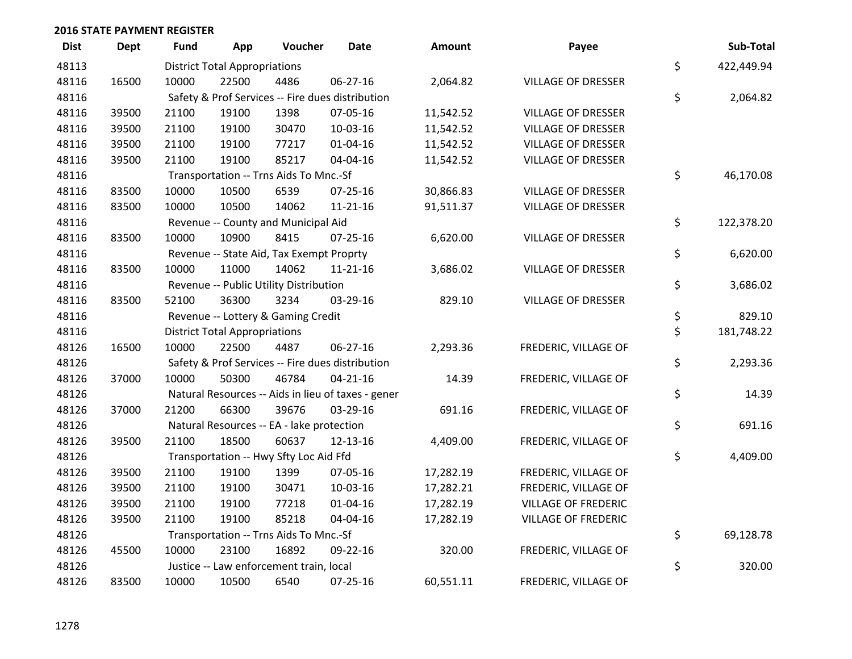| <b>Dist</b> | <b>Dept</b> | <b>Fund</b> | App                                  | Voucher                                   | <b>Date</b>                                        | <b>Amount</b> | Payee                      | Sub-Total        |
|-------------|-------------|-------------|--------------------------------------|-------------------------------------------|----------------------------------------------------|---------------|----------------------------|------------------|
| 48113       |             |             | <b>District Total Appropriations</b> |                                           |                                                    |               |                            | \$<br>422,449.94 |
| 48116       | 16500       | 10000       | 22500                                | 4486                                      | 06-27-16                                           | 2,064.82      | <b>VILLAGE OF DRESSER</b>  |                  |
| 48116       |             |             |                                      |                                           | Safety & Prof Services -- Fire dues distribution   |               |                            | \$<br>2,064.82   |
| 48116       | 39500       | 21100       | 19100                                | 1398                                      | 07-05-16                                           | 11,542.52     | <b>VILLAGE OF DRESSER</b>  |                  |
| 48116       | 39500       | 21100       | 19100                                | 30470                                     | 10-03-16                                           | 11,542.52     | <b>VILLAGE OF DRESSER</b>  |                  |
| 48116       | 39500       | 21100       | 19100                                | 77217                                     | $01 - 04 - 16$                                     | 11,542.52     | <b>VILLAGE OF DRESSER</b>  |                  |
| 48116       | 39500       | 21100       | 19100                                | 85217                                     | 04-04-16                                           | 11,542.52     | <b>VILLAGE OF DRESSER</b>  |                  |
| 48116       |             |             |                                      | Transportation -- Trns Aids To Mnc.-Sf    |                                                    |               |                            | \$<br>46,170.08  |
| 48116       | 83500       | 10000       | 10500                                | 6539                                      | 07-25-16                                           | 30,866.83     | <b>VILLAGE OF DRESSER</b>  |                  |
| 48116       | 83500       | 10000       | 10500                                | 14062                                     | $11 - 21 - 16$                                     | 91,511.37     | <b>VILLAGE OF DRESSER</b>  |                  |
| 48116       |             |             |                                      | Revenue -- County and Municipal Aid       |                                                    |               |                            | \$<br>122,378.20 |
| 48116       | 83500       | 10000       | 10900                                | 8415                                      | $07 - 25 - 16$                                     | 6,620.00      | VILLAGE OF DRESSER         |                  |
| 48116       |             |             |                                      | Revenue -- State Aid, Tax Exempt Proprty  |                                                    |               |                            | \$<br>6,620.00   |
| 48116       | 83500       | 10000       | 11000                                | 14062                                     | $11 - 21 - 16$                                     | 3,686.02      | <b>VILLAGE OF DRESSER</b>  |                  |
| 48116       |             |             |                                      | Revenue -- Public Utility Distribution    |                                                    |               |                            | \$<br>3,686.02   |
| 48116       | 83500       | 52100       | 36300                                | 3234                                      | 03-29-16                                           | 829.10        | <b>VILLAGE OF DRESSER</b>  |                  |
| 48116       |             |             |                                      | Revenue -- Lottery & Gaming Credit        |                                                    |               |                            | \$<br>829.10     |
| 48116       |             |             | <b>District Total Appropriations</b> |                                           |                                                    |               |                            | \$<br>181,748.22 |
| 48126       | 16500       | 10000       | 22500                                | 4487                                      | $06 - 27 - 16$                                     | 2,293.36      | FREDERIC, VILLAGE OF       |                  |
| 48126       |             |             |                                      |                                           | Safety & Prof Services -- Fire dues distribution   |               |                            | \$<br>2,293.36   |
| 48126       | 37000       | 10000       | 50300                                | 46784                                     | $04 - 21 - 16$                                     | 14.39         | FREDERIC, VILLAGE OF       |                  |
| 48126       |             |             |                                      |                                           | Natural Resources -- Aids in lieu of taxes - gener |               |                            | \$<br>14.39      |
| 48126       | 37000       | 21200       | 66300                                | 39676                                     | 03-29-16                                           | 691.16        | FREDERIC, VILLAGE OF       |                  |
| 48126       |             |             |                                      | Natural Resources -- EA - lake protection |                                                    |               |                            | \$<br>691.16     |
| 48126       | 39500       | 21100       | 18500                                | 60637                                     | 12-13-16                                           | 4,409.00      | FREDERIC, VILLAGE OF       |                  |
| 48126       |             |             |                                      | Transportation -- Hwy Sfty Loc Aid Ffd    |                                                    |               |                            | \$<br>4,409.00   |
| 48126       | 39500       | 21100       | 19100                                | 1399                                      | 07-05-16                                           | 17,282.19     | FREDERIC, VILLAGE OF       |                  |
| 48126       | 39500       | 21100       | 19100                                | 30471                                     | 10-03-16                                           | 17,282.21     | FREDERIC, VILLAGE OF       |                  |
| 48126       | 39500       | 21100       | 19100                                | 77218                                     | 01-04-16                                           | 17,282.19     | <b>VILLAGE OF FREDERIC</b> |                  |
| 48126       | 39500       | 21100       | 19100                                | 85218                                     | 04-04-16                                           | 17,282.19     | <b>VILLAGE OF FREDERIC</b> |                  |
| 48126       |             |             |                                      | Transportation -- Trns Aids To Mnc.-Sf    |                                                    |               |                            | \$<br>69,128.78  |
| 48126       | 45500       | 10000       | 23100                                | 16892                                     | 09-22-16                                           | 320.00        | FREDERIC, VILLAGE OF       |                  |
| 48126       |             |             |                                      | Justice -- Law enforcement train, local   |                                                    |               |                            | \$<br>320.00     |
| 48126       | 83500       | 10000       | 10500                                | 6540                                      | 07-25-16                                           | 60,551.11     | FREDERIC, VILLAGE OF       |                  |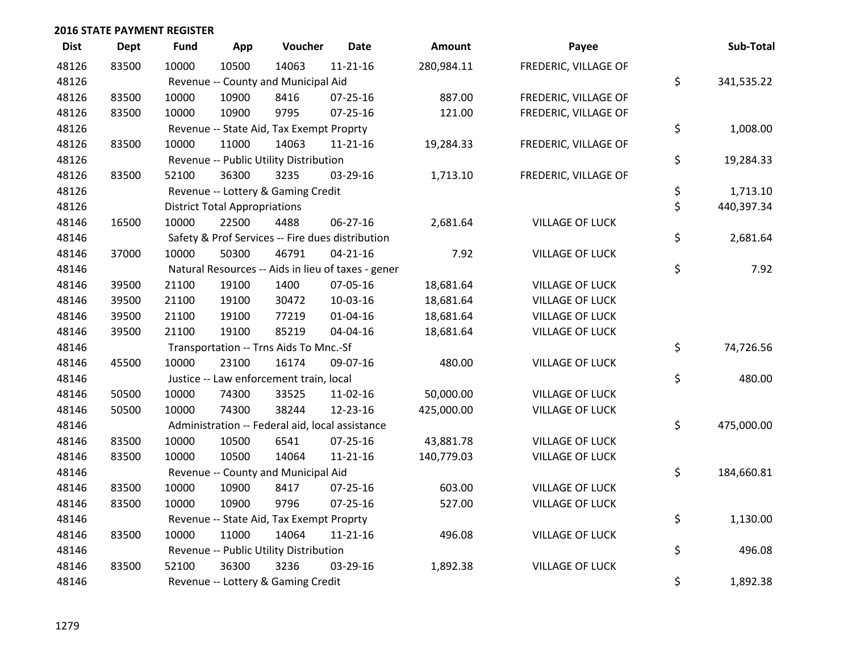| <b>Dist</b> | <b>Dept</b> | Fund  | App                                  | Voucher                                            | <b>Date</b>    | Amount     | Payee                  | Sub-Total        |
|-------------|-------------|-------|--------------------------------------|----------------------------------------------------|----------------|------------|------------------------|------------------|
| 48126       | 83500       | 10000 | 10500                                | 14063                                              | $11 - 21 - 16$ | 280,984.11 | FREDERIC, VILLAGE OF   |                  |
| 48126       |             |       |                                      | Revenue -- County and Municipal Aid                |                |            |                        | \$<br>341,535.22 |
| 48126       | 83500       | 10000 | 10900                                | 8416                                               | 07-25-16       | 887.00     | FREDERIC, VILLAGE OF   |                  |
| 48126       | 83500       | 10000 | 10900                                | 9795                                               | $07 - 25 - 16$ | 121.00     | FREDERIC, VILLAGE OF   |                  |
| 48126       |             |       |                                      | Revenue -- State Aid, Tax Exempt Proprty           |                |            |                        | \$<br>1,008.00   |
| 48126       | 83500       | 10000 | 11000                                | 14063                                              | $11 - 21 - 16$ | 19,284.33  | FREDERIC, VILLAGE OF   |                  |
| 48126       |             |       |                                      | Revenue -- Public Utility Distribution             |                |            |                        | \$<br>19,284.33  |
| 48126       | 83500       | 52100 | 36300                                | 3235                                               | 03-29-16       | 1,713.10   | FREDERIC, VILLAGE OF   |                  |
| 48126       |             |       |                                      | Revenue -- Lottery & Gaming Credit                 |                |            |                        | \$<br>1,713.10   |
| 48126       |             |       | <b>District Total Appropriations</b> |                                                    |                |            |                        | \$<br>440,397.34 |
| 48146       | 16500       | 10000 | 22500                                | 4488                                               | 06-27-16       | 2,681.64   | <b>VILLAGE OF LUCK</b> |                  |
| 48146       |             |       |                                      | Safety & Prof Services -- Fire dues distribution   |                |            |                        | \$<br>2,681.64   |
| 48146       | 37000       | 10000 | 50300                                | 46791                                              | $04 - 21 - 16$ | 7.92       | <b>VILLAGE OF LUCK</b> |                  |
| 48146       |             |       |                                      | Natural Resources -- Aids in lieu of taxes - gener |                |            |                        | \$<br>7.92       |
| 48146       | 39500       | 21100 | 19100                                | 1400                                               | 07-05-16       | 18,681.64  | <b>VILLAGE OF LUCK</b> |                  |
| 48146       | 39500       | 21100 | 19100                                | 30472                                              | 10-03-16       | 18,681.64  | <b>VILLAGE OF LUCK</b> |                  |
| 48146       | 39500       | 21100 | 19100                                | 77219                                              | $01 - 04 - 16$ | 18,681.64  | <b>VILLAGE OF LUCK</b> |                  |
| 48146       | 39500       | 21100 | 19100                                | 85219                                              | 04-04-16       | 18,681.64  | <b>VILLAGE OF LUCK</b> |                  |
| 48146       |             |       |                                      | Transportation -- Trns Aids To Mnc.-Sf             |                |            |                        | \$<br>74,726.56  |
| 48146       | 45500       | 10000 | 23100                                | 16174                                              | 09-07-16       | 480.00     | <b>VILLAGE OF LUCK</b> |                  |
| 48146       |             |       |                                      | Justice -- Law enforcement train, local            |                |            |                        | \$<br>480.00     |
| 48146       | 50500       | 10000 | 74300                                | 33525                                              | 11-02-16       | 50,000.00  | <b>VILLAGE OF LUCK</b> |                  |
| 48146       | 50500       | 10000 | 74300                                | 38244                                              | 12-23-16       | 425,000.00 | <b>VILLAGE OF LUCK</b> |                  |
| 48146       |             |       |                                      | Administration -- Federal aid, local assistance    |                |            |                        | \$<br>475,000.00 |
| 48146       | 83500       | 10000 | 10500                                | 6541                                               | $07 - 25 - 16$ | 43,881.78  | <b>VILLAGE OF LUCK</b> |                  |
| 48146       | 83500       | 10000 | 10500                                | 14064                                              | $11 - 21 - 16$ | 140,779.03 | <b>VILLAGE OF LUCK</b> |                  |
| 48146       |             |       |                                      | Revenue -- County and Municipal Aid                |                |            |                        | \$<br>184,660.81 |
| 48146       | 83500       | 10000 | 10900                                | 8417                                               | $07 - 25 - 16$ | 603.00     | <b>VILLAGE OF LUCK</b> |                  |
| 48146       | 83500       | 10000 | 10900                                | 9796                                               | $07 - 25 - 16$ | 527.00     | <b>VILLAGE OF LUCK</b> |                  |
| 48146       |             |       |                                      | Revenue -- State Aid, Tax Exempt Proprty           |                |            |                        | \$<br>1,130.00   |
| 48146       | 83500       | 10000 | 11000                                | 14064                                              | $11 - 21 - 16$ | 496.08     | <b>VILLAGE OF LUCK</b> |                  |
| 48146       |             |       |                                      | Revenue -- Public Utility Distribution             |                |            |                        | \$<br>496.08     |
| 48146       | 83500       | 52100 | 36300                                | 3236                                               | 03-29-16       | 1,892.38   | <b>VILLAGE OF LUCK</b> |                  |
| 48146       |             |       |                                      | Revenue -- Lottery & Gaming Credit                 |                |            |                        | \$<br>1,892.38   |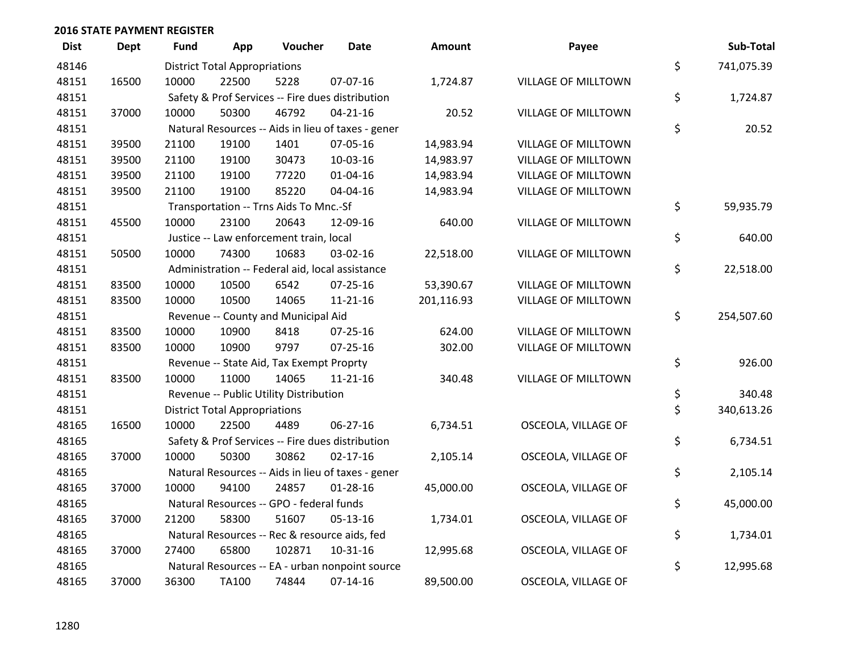| <b>Dist</b> | <b>Dept</b> | <b>Fund</b> | App                                  | Voucher                                          | <b>Date</b>                                        | <b>Amount</b> | Payee                      | Sub-Total        |
|-------------|-------------|-------------|--------------------------------------|--------------------------------------------------|----------------------------------------------------|---------------|----------------------------|------------------|
| 48146       |             |             | <b>District Total Appropriations</b> |                                                  |                                                    |               |                            | \$<br>741,075.39 |
| 48151       | 16500       | 10000       | 22500                                | 5228                                             | 07-07-16                                           | 1,724.87      | <b>VILLAGE OF MILLTOWN</b> |                  |
| 48151       |             |             |                                      | Safety & Prof Services -- Fire dues distribution |                                                    |               |                            | \$<br>1,724.87   |
| 48151       | 37000       | 10000       | 50300                                | 46792                                            | $04 - 21 - 16$                                     | 20.52         | VILLAGE OF MILLTOWN        |                  |
| 48151       |             |             |                                      |                                                  | Natural Resources -- Aids in lieu of taxes - gener |               |                            | \$<br>20.52      |
| 48151       | 39500       | 21100       | 19100                                | 1401                                             | 07-05-16                                           | 14,983.94     | <b>VILLAGE OF MILLTOWN</b> |                  |
| 48151       | 39500       | 21100       | 19100                                | 30473                                            | 10-03-16                                           | 14,983.97     | VILLAGE OF MILLTOWN        |                  |
| 48151       | 39500       | 21100       | 19100                                | 77220                                            | $01 - 04 - 16$                                     | 14,983.94     | <b>VILLAGE OF MILLTOWN</b> |                  |
| 48151       | 39500       | 21100       | 19100                                | 85220                                            | 04-04-16                                           | 14,983.94     | VILLAGE OF MILLTOWN        |                  |
| 48151       |             |             |                                      | Transportation -- Trns Aids To Mnc.-Sf           |                                                    |               |                            | \$<br>59,935.79  |
| 48151       | 45500       | 10000       | 23100                                | 20643                                            | 12-09-16                                           | 640.00        | VILLAGE OF MILLTOWN        |                  |
| 48151       |             |             |                                      | Justice -- Law enforcement train, local          |                                                    |               |                            | \$<br>640.00     |
| 48151       | 50500       | 10000       | 74300                                | 10683                                            | 03-02-16                                           | 22,518.00     | VILLAGE OF MILLTOWN        |                  |
| 48151       |             |             |                                      | Administration -- Federal aid, local assistance  |                                                    |               |                            | \$<br>22,518.00  |
| 48151       | 83500       | 10000       | 10500                                | 6542                                             | $07 - 25 - 16$                                     | 53,390.67     | <b>VILLAGE OF MILLTOWN</b> |                  |
| 48151       | 83500       | 10000       | 10500                                | 14065                                            | $11 - 21 - 16$                                     | 201,116.93    | VILLAGE OF MILLTOWN        |                  |
| 48151       |             |             |                                      | Revenue -- County and Municipal Aid              |                                                    |               |                            | \$<br>254,507.60 |
| 48151       | 83500       | 10000       | 10900                                | 8418                                             | $07 - 25 - 16$                                     | 624.00        | <b>VILLAGE OF MILLTOWN</b> |                  |
| 48151       | 83500       | 10000       | 10900                                | 9797                                             | $07 - 25 - 16$                                     | 302.00        | VILLAGE OF MILLTOWN        |                  |
| 48151       |             |             |                                      | Revenue -- State Aid, Tax Exempt Proprty         |                                                    |               |                            | \$<br>926.00     |
| 48151       | 83500       | 10000       | 11000                                | 14065                                            | 11-21-16                                           | 340.48        | VILLAGE OF MILLTOWN        |                  |
| 48151       |             |             |                                      | Revenue -- Public Utility Distribution           |                                                    |               |                            | \$<br>340.48     |
| 48151       |             |             | <b>District Total Appropriations</b> |                                                  |                                                    |               |                            | \$<br>340,613.26 |
| 48165       | 16500       | 10000       | 22500                                | 4489                                             | 06-27-16                                           | 6,734.51      | OSCEOLA, VILLAGE OF        |                  |
| 48165       |             |             |                                      | Safety & Prof Services -- Fire dues distribution |                                                    |               |                            | \$<br>6,734.51   |
| 48165       | 37000       | 10000       | 50300                                | 30862                                            | $02 - 17 - 16$                                     | 2,105.14      | OSCEOLA, VILLAGE OF        |                  |
| 48165       |             |             |                                      |                                                  | Natural Resources -- Aids in lieu of taxes - gener |               |                            | \$<br>2,105.14   |
| 48165       | 37000       | 10000       | 94100                                | 24857                                            | $01-28-16$                                         | 45,000.00     | OSCEOLA, VILLAGE OF        |                  |
| 48165       |             |             |                                      | Natural Resources -- GPO - federal funds         |                                                    |               |                            | \$<br>45,000.00  |
| 48165       | 37000       | 21200       | 58300                                | 51607                                            | $05 - 13 - 16$                                     | 1,734.01      | OSCEOLA, VILLAGE OF        |                  |
| 48165       |             |             |                                      | Natural Resources -- Rec & resource aids, fed    |                                                    |               |                            | \$<br>1,734.01   |
| 48165       | 37000       | 27400       | 65800                                | 102871                                           | 10-31-16                                           | 12,995.68     | OSCEOLA, VILLAGE OF        |                  |
| 48165       |             |             |                                      |                                                  | Natural Resources -- EA - urban nonpoint source    |               |                            | \$<br>12,995.68  |
| 48165       | 37000       | 36300       | <b>TA100</b>                         | 74844                                            | $07-14-16$                                         | 89,500.00     | OSCEOLA, VILLAGE OF        |                  |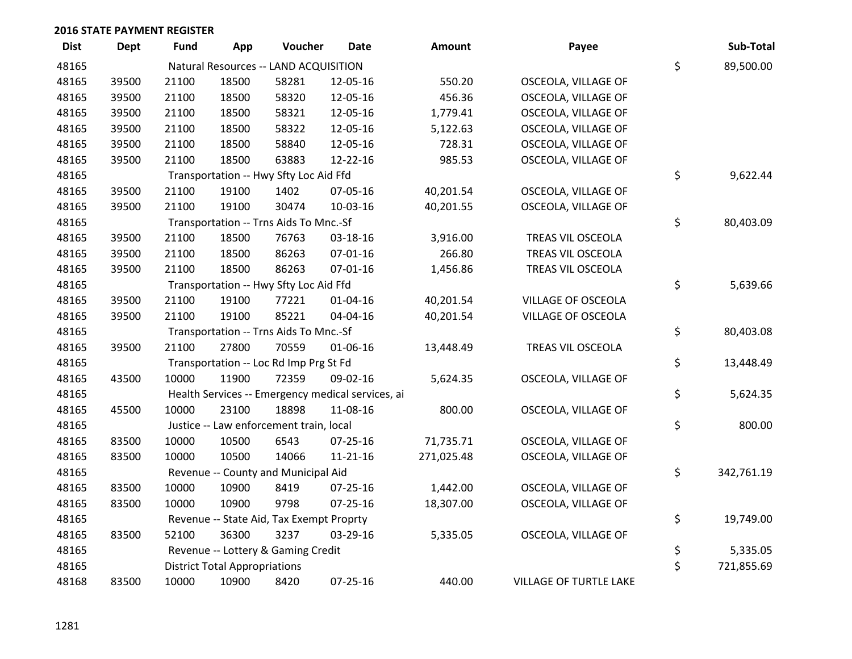| <b>Dist</b> | <b>Dept</b> | <b>Fund</b> | App                                  | Voucher                                           | Date           | <b>Amount</b> | Payee                     | Sub-Total        |
|-------------|-------------|-------------|--------------------------------------|---------------------------------------------------|----------------|---------------|---------------------------|------------------|
| 48165       |             |             |                                      | Natural Resources -- LAND ACQUISITION             |                |               |                           | \$<br>89,500.00  |
| 48165       | 39500       | 21100       | 18500                                | 58281                                             | 12-05-16       | 550.20        | OSCEOLA, VILLAGE OF       |                  |
| 48165       | 39500       | 21100       | 18500                                | 58320                                             | 12-05-16       | 456.36        | OSCEOLA, VILLAGE OF       |                  |
| 48165       | 39500       | 21100       | 18500                                | 58321                                             | 12-05-16       | 1,779.41      | OSCEOLA, VILLAGE OF       |                  |
| 48165       | 39500       | 21100       | 18500                                | 58322                                             | 12-05-16       | 5,122.63      | OSCEOLA, VILLAGE OF       |                  |
| 48165       | 39500       | 21100       | 18500                                | 58840                                             | 12-05-16       | 728.31        | OSCEOLA, VILLAGE OF       |                  |
| 48165       | 39500       | 21100       | 18500                                | 63883                                             | 12-22-16       | 985.53        | OSCEOLA, VILLAGE OF       |                  |
| 48165       |             |             |                                      | Transportation -- Hwy Sfty Loc Aid Ffd            |                |               |                           | \$<br>9,622.44   |
| 48165       | 39500       | 21100       | 19100                                | 1402                                              | 07-05-16       | 40,201.54     | OSCEOLA, VILLAGE OF       |                  |
| 48165       | 39500       | 21100       | 19100                                | 30474                                             | 10-03-16       | 40,201.55     | OSCEOLA, VILLAGE OF       |                  |
| 48165       |             |             |                                      | Transportation -- Trns Aids To Mnc.-Sf            |                |               |                           | \$<br>80,403.09  |
| 48165       | 39500       | 21100       | 18500                                | 76763                                             | 03-18-16       | 3,916.00      | TREAS VIL OSCEOLA         |                  |
| 48165       | 39500       | 21100       | 18500                                | 86263                                             | $07 - 01 - 16$ | 266.80        | TREAS VIL OSCEOLA         |                  |
| 48165       | 39500       | 21100       | 18500                                | 86263                                             | 07-01-16       | 1,456.86      | TREAS VIL OSCEOLA         |                  |
| 48165       |             |             |                                      | Transportation -- Hwy Sfty Loc Aid Ffd            |                |               |                           | \$<br>5,639.66   |
| 48165       | 39500       | 21100       | 19100                                | 77221                                             | 01-04-16       | 40,201.54     | VILLAGE OF OSCEOLA        |                  |
| 48165       | 39500       | 21100       | 19100                                | 85221                                             | 04-04-16       | 40,201.54     | <b>VILLAGE OF OSCEOLA</b> |                  |
| 48165       |             |             |                                      | Transportation -- Trns Aids To Mnc.-Sf            |                |               |                           | \$<br>80,403.08  |
| 48165       | 39500       | 21100       | 27800                                | 70559                                             | 01-06-16       | 13,448.49     | TREAS VIL OSCEOLA         |                  |
| 48165       |             |             |                                      | Transportation -- Loc Rd Imp Prg St Fd            |                |               |                           | \$<br>13,448.49  |
| 48165       | 43500       | 10000       | 11900                                | 72359                                             | 09-02-16       | 5,624.35      | OSCEOLA, VILLAGE OF       |                  |
| 48165       |             |             |                                      | Health Services -- Emergency medical services, ai |                |               |                           | \$<br>5,624.35   |
| 48165       | 45500       | 10000       | 23100                                | 18898                                             | 11-08-16       | 800.00        | OSCEOLA, VILLAGE OF       |                  |
| 48165       |             |             |                                      | Justice -- Law enforcement train, local           |                |               |                           | \$<br>800.00     |
| 48165       | 83500       | 10000       | 10500                                | 6543                                              | $07 - 25 - 16$ | 71,735.71     | OSCEOLA, VILLAGE OF       |                  |
| 48165       | 83500       | 10000       | 10500                                | 14066                                             | $11 - 21 - 16$ | 271,025.48    | OSCEOLA, VILLAGE OF       |                  |
| 48165       |             |             |                                      | Revenue -- County and Municipal Aid               |                |               |                           | \$<br>342,761.19 |
| 48165       | 83500       | 10000       | 10900                                | 8419                                              | 07-25-16       | 1,442.00      | OSCEOLA, VILLAGE OF       |                  |
| 48165       | 83500       | 10000       | 10900                                | 9798                                              | $07 - 25 - 16$ | 18,307.00     | OSCEOLA, VILLAGE OF       |                  |
| 48165       |             |             |                                      | Revenue -- State Aid, Tax Exempt Proprty          |                |               |                           | \$<br>19,749.00  |
| 48165       | 83500       | 52100       | 36300                                | 3237                                              | 03-29-16       | 5,335.05      | OSCEOLA, VILLAGE OF       |                  |
| 48165       |             |             |                                      | Revenue -- Lottery & Gaming Credit                |                |               |                           | \$<br>5,335.05   |
| 48165       |             |             | <b>District Total Appropriations</b> |                                                   |                |               |                           | \$<br>721,855.69 |
| 48168       | 83500       | 10000       | 10900                                | 8420                                              | 07-25-16       | 440.00        | VILLAGE OF TURTLE LAKE    |                  |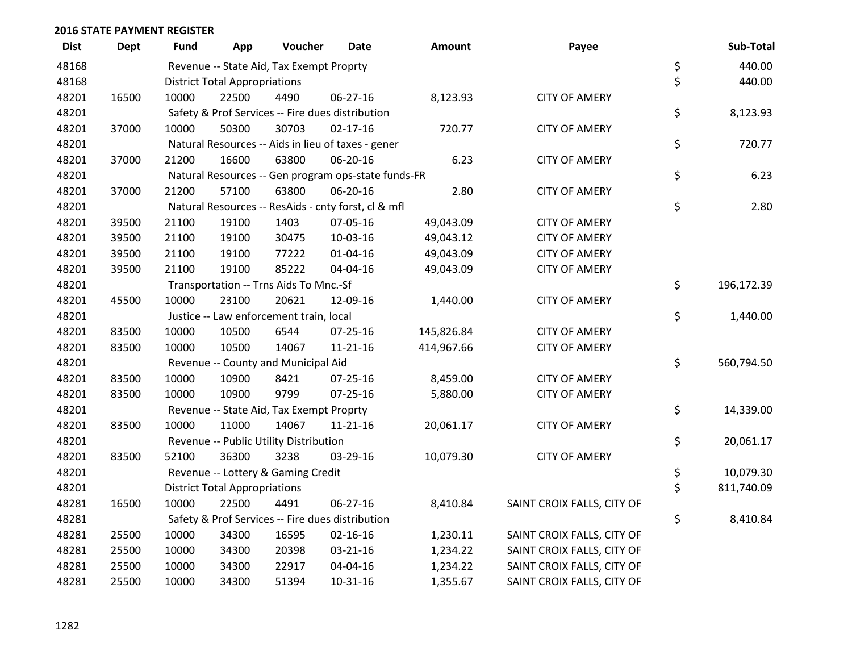| <b>Dist</b> | <b>Dept</b> | <b>Fund</b> | App                                  | Voucher                                  | <b>Date</b>                                         | <b>Amount</b> | Payee                      | Sub-Total        |
|-------------|-------------|-------------|--------------------------------------|------------------------------------------|-----------------------------------------------------|---------------|----------------------------|------------------|
| 48168       |             |             |                                      | Revenue -- State Aid, Tax Exempt Proprty |                                                     |               |                            | \$<br>440.00     |
| 48168       |             |             | <b>District Total Appropriations</b> |                                          |                                                     |               |                            | \$<br>440.00     |
| 48201       | 16500       | 10000       | 22500                                | 4490                                     | 06-27-16                                            | 8,123.93      | <b>CITY OF AMERY</b>       |                  |
| 48201       |             |             |                                      |                                          | Safety & Prof Services -- Fire dues distribution    |               |                            | \$<br>8,123.93   |
| 48201       | 37000       | 10000       | 50300                                | 30703                                    | $02 - 17 - 16$                                      | 720.77        | <b>CITY OF AMERY</b>       |                  |
| 48201       |             |             |                                      |                                          | Natural Resources -- Aids in lieu of taxes - gener  |               |                            | \$<br>720.77     |
| 48201       | 37000       | 21200       | 16600                                | 63800                                    | 06-20-16                                            | 6.23          | <b>CITY OF AMERY</b>       |                  |
| 48201       |             |             |                                      |                                          | Natural Resources -- Gen program ops-state funds-FR |               |                            | \$<br>6.23       |
| 48201       | 37000       | 21200       | 57100                                | 63800                                    | 06-20-16                                            | 2.80          | <b>CITY OF AMERY</b>       |                  |
| 48201       |             |             |                                      |                                          | Natural Resources -- ResAids - cnty forst, cl & mfl |               |                            | \$<br>2.80       |
| 48201       | 39500       | 21100       | 19100                                | 1403                                     | 07-05-16                                            | 49,043.09     | <b>CITY OF AMERY</b>       |                  |
| 48201       | 39500       | 21100       | 19100                                | 30475                                    | 10-03-16                                            | 49,043.12     | <b>CITY OF AMERY</b>       |                  |
| 48201       | 39500       | 21100       | 19100                                | 77222                                    | 01-04-16                                            | 49,043.09     | <b>CITY OF AMERY</b>       |                  |
| 48201       | 39500       | 21100       | 19100                                | 85222                                    | 04-04-16                                            | 49,043.09     | <b>CITY OF AMERY</b>       |                  |
| 48201       |             |             |                                      | Transportation -- Trns Aids To Mnc.-Sf   |                                                     |               |                            | \$<br>196,172.39 |
| 48201       | 45500       | 10000       | 23100                                | 20621                                    | 12-09-16                                            | 1,440.00      | <b>CITY OF AMERY</b>       |                  |
| 48201       |             |             |                                      | Justice -- Law enforcement train, local  |                                                     |               |                            | \$<br>1,440.00   |
| 48201       | 83500       | 10000       | 10500                                | 6544                                     | 07-25-16                                            | 145,826.84    | <b>CITY OF AMERY</b>       |                  |
| 48201       | 83500       | 10000       | 10500                                | 14067                                    | $11 - 21 - 16$                                      | 414,967.66    | <b>CITY OF AMERY</b>       |                  |
| 48201       |             |             |                                      | Revenue -- County and Municipal Aid      |                                                     |               |                            | \$<br>560,794.50 |
| 48201       | 83500       | 10000       | 10900                                | 8421                                     | 07-25-16                                            | 8,459.00      | <b>CITY OF AMERY</b>       |                  |
| 48201       | 83500       | 10000       | 10900                                | 9799                                     | 07-25-16                                            | 5,880.00      | <b>CITY OF AMERY</b>       |                  |
| 48201       |             |             |                                      | Revenue -- State Aid, Tax Exempt Proprty |                                                     |               |                            | \$<br>14,339.00  |
| 48201       | 83500       | 10000       | 11000                                | 14067                                    | $11 - 21 - 16$                                      | 20,061.17     | <b>CITY OF AMERY</b>       |                  |
| 48201       |             |             |                                      | Revenue -- Public Utility Distribution   |                                                     |               |                            | \$<br>20,061.17  |
| 48201       | 83500       | 52100       | 36300                                | 3238                                     | 03-29-16                                            | 10,079.30     | <b>CITY OF AMERY</b>       |                  |
| 48201       |             |             |                                      | Revenue -- Lottery & Gaming Credit       |                                                     |               |                            | \$<br>10,079.30  |
| 48201       |             |             | <b>District Total Appropriations</b> |                                          |                                                     |               |                            | \$<br>811,740.09 |
| 48281       | 16500       | 10000       | 22500                                | 4491                                     | 06-27-16                                            | 8,410.84      | SAINT CROIX FALLS, CITY OF |                  |
| 48281       |             |             |                                      |                                          | Safety & Prof Services -- Fire dues distribution    |               |                            | \$<br>8,410.84   |
| 48281       | 25500       | 10000       | 34300                                | 16595                                    | 02-16-16                                            | 1,230.11      | SAINT CROIX FALLS, CITY OF |                  |
| 48281       | 25500       | 10000       | 34300                                | 20398                                    | 03-21-16                                            | 1,234.22      | SAINT CROIX FALLS, CITY OF |                  |
| 48281       | 25500       | 10000       | 34300                                | 22917                                    | 04-04-16                                            | 1,234.22      | SAINT CROIX FALLS, CITY OF |                  |
| 48281       | 25500       | 10000       | 34300                                | 51394                                    | $10-31-16$                                          | 1,355.67      | SAINT CROIX FALLS, CITY OF |                  |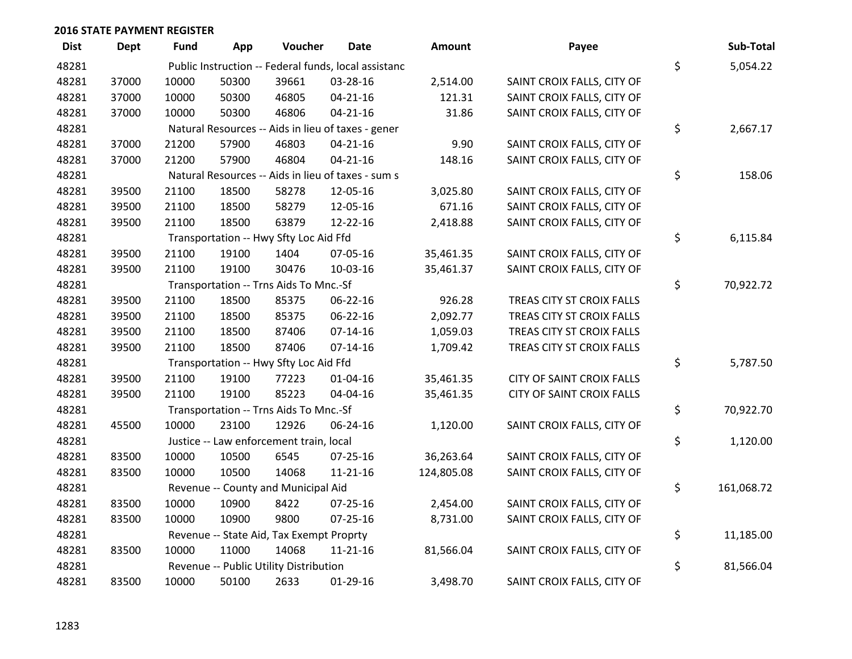| <b>Dist</b> | <b>Dept</b> | <b>Fund</b> | App   | Voucher                                  | Date                                                 | <b>Amount</b> | Payee                            | Sub-Total        |
|-------------|-------------|-------------|-------|------------------------------------------|------------------------------------------------------|---------------|----------------------------------|------------------|
| 48281       |             |             |       |                                          | Public Instruction -- Federal funds, local assistanc |               |                                  | \$<br>5,054.22   |
| 48281       | 37000       | 10000       | 50300 | 39661                                    | 03-28-16                                             | 2,514.00      | SAINT CROIX FALLS, CITY OF       |                  |
| 48281       | 37000       | 10000       | 50300 | 46805                                    | $04 - 21 - 16$                                       | 121.31        | SAINT CROIX FALLS, CITY OF       |                  |
| 48281       | 37000       | 10000       | 50300 | 46806                                    | $04 - 21 - 16$                                       | 31.86         | SAINT CROIX FALLS, CITY OF       |                  |
| 48281       |             |             |       |                                          | Natural Resources -- Aids in lieu of taxes - gener   |               |                                  | \$<br>2,667.17   |
| 48281       | 37000       | 21200       | 57900 | 46803                                    | $04 - 21 - 16$                                       | 9.90          | SAINT CROIX FALLS, CITY OF       |                  |
| 48281       | 37000       | 21200       | 57900 | 46804                                    | $04 - 21 - 16$                                       | 148.16        | SAINT CROIX FALLS, CITY OF       |                  |
| 48281       |             |             |       |                                          | Natural Resources -- Aids in lieu of taxes - sum s   |               |                                  | \$<br>158.06     |
| 48281       | 39500       | 21100       | 18500 | 58278                                    | 12-05-16                                             | 3,025.80      | SAINT CROIX FALLS, CITY OF       |                  |
| 48281       | 39500       | 21100       | 18500 | 58279                                    | 12-05-16                                             | 671.16        | SAINT CROIX FALLS, CITY OF       |                  |
| 48281       | 39500       | 21100       | 18500 | 63879                                    | 12-22-16                                             | 2,418.88      | SAINT CROIX FALLS, CITY OF       |                  |
| 48281       |             |             |       | Transportation -- Hwy Sfty Loc Aid Ffd   |                                                      |               |                                  | \$<br>6,115.84   |
| 48281       | 39500       | 21100       | 19100 | 1404                                     | 07-05-16                                             | 35,461.35     | SAINT CROIX FALLS, CITY OF       |                  |
| 48281       | 39500       | 21100       | 19100 | 30476                                    | 10-03-16                                             | 35,461.37     | SAINT CROIX FALLS, CITY OF       |                  |
| 48281       |             |             |       | Transportation -- Trns Aids To Mnc.-Sf   |                                                      |               |                                  | \$<br>70,922.72  |
| 48281       | 39500       | 21100       | 18500 | 85375                                    | 06-22-16                                             | 926.28        | TREAS CITY ST CROIX FALLS        |                  |
| 48281       | 39500       | 21100       | 18500 | 85375                                    | 06-22-16                                             | 2,092.77      | TREAS CITY ST CROIX FALLS        |                  |
| 48281       | 39500       | 21100       | 18500 | 87406                                    | $07-14-16$                                           | 1,059.03      | TREAS CITY ST CROIX FALLS        |                  |
| 48281       | 39500       | 21100       | 18500 | 87406                                    | $07 - 14 - 16$                                       | 1,709.42      | TREAS CITY ST CROIX FALLS        |                  |
| 48281       |             |             |       | Transportation -- Hwy Sfty Loc Aid Ffd   |                                                      |               |                                  | \$<br>5,787.50   |
| 48281       | 39500       | 21100       | 19100 | 77223                                    | 01-04-16                                             | 35,461.35     | <b>CITY OF SAINT CROIX FALLS</b> |                  |
| 48281       | 39500       | 21100       | 19100 | 85223                                    | 04-04-16                                             | 35,461.35     | <b>CITY OF SAINT CROIX FALLS</b> |                  |
| 48281       |             |             |       | Transportation -- Trns Aids To Mnc.-Sf   |                                                      |               |                                  | \$<br>70,922.70  |
| 48281       | 45500       | 10000       | 23100 | 12926                                    | 06-24-16                                             | 1,120.00      | SAINT CROIX FALLS, CITY OF       |                  |
| 48281       |             |             |       | Justice -- Law enforcement train, local  |                                                      |               |                                  | \$<br>1,120.00   |
| 48281       | 83500       | 10000       | 10500 | 6545                                     | $07 - 25 - 16$                                       | 36,263.64     | SAINT CROIX FALLS, CITY OF       |                  |
| 48281       | 83500       | 10000       | 10500 | 14068                                    | $11 - 21 - 16$                                       | 124,805.08    | SAINT CROIX FALLS, CITY OF       |                  |
| 48281       |             |             |       | Revenue -- County and Municipal Aid      |                                                      |               |                                  | \$<br>161,068.72 |
| 48281       | 83500       | 10000       | 10900 | 8422                                     | 07-25-16                                             | 2,454.00      | SAINT CROIX FALLS, CITY OF       |                  |
| 48281       | 83500       | 10000       | 10900 | 9800                                     | $07 - 25 - 16$                                       | 8,731.00      | SAINT CROIX FALLS, CITY OF       |                  |
| 48281       |             |             |       | Revenue -- State Aid, Tax Exempt Proprty |                                                      |               |                                  | \$<br>11,185.00  |
| 48281       | 83500       | 10000       | 11000 | 14068                                    | $11 - 21 - 16$                                       | 81,566.04     | SAINT CROIX FALLS, CITY OF       |                  |
| 48281       |             |             |       | Revenue -- Public Utility Distribution   |                                                      |               |                                  | \$<br>81,566.04  |
| 48281       | 83500       | 10000       | 50100 | 2633                                     | $01-29-16$                                           | 3,498.70      | SAINT CROIX FALLS, CITY OF       |                  |